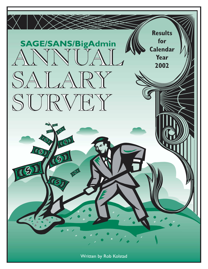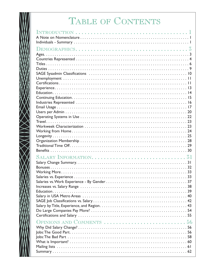# TABLE OF CONTENTS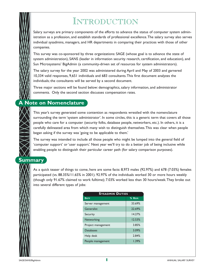# INTRODUCTION

Salary surveys are primary components of the efforts to advance the status of computer system administration as a profession, and establish standards of professional excellence.The salary survey also serves individual sysadmins, managers, and HR departments in comparing their practices with those of other companies.

This survey was co-sponsored by three organizations: SAGE (whose goal is to advance the state of system administration), SANS (leader in information security research, certification, and education), and Sun Microsystems' BigAdmin (a community-driven set of resources for system administrators).

The salary survey for the year 2002 was administered during April and May of 2003 and garnered 10,334 valid responses, 9,651 individuals and 683 consultants.This first document analyzes the individuals; the consultants will be served by a second document.

Three major sections will be found below: demographics, salary information, and administrator comments. Only the second section discusses compensation rates.

## **A Note on Nomenclature**

This year's survey generated some contention as respondents wrestled with the nomenclature surrounding the term 'system administrator'. In some circles, this is a generic term that covers all those people who care for a computer (security folks, database people, networkers, etc.). In others, it is a carefully delineated area from which many wish to distinguish themselves.This was clear when people began asking if the survey was 'going to be applicable to them.'

The survey was intended to include all those people who might be lumped into the general field of 'computer support' or 'user support.' Next year we'll try to do a better job of being inclusive while enabling people to distinguish their particular career path (for salary comparison purposes).

**Summary** 

As a quick teaser of things to come, here are some facts: 8,973 males (92.97%) and 678 (7.03%) females participated (vs. 88.35%/11.65% in 2001). 92.97% of the individuals worked 30 or more hours weekly (though only 91.67% claimed to work fulltime); 7.03% worked less than 30 hours/week.They broke out into several different types of jobs:

| <b>SYSADMIN DUTIES</b> |         |
|------------------------|---------|
| <b>DUTY</b>            | % RESP. |
| Server management      | 33.69%  |
| Generalist             | 22.69%  |
| Security               | 14.27%  |
| Networking             | 12.53%  |
| Project management     | 3.85%   |
| Databases              | 3.09%   |
| Help desk              | 2.84%   |
| People management      | 1.39%   |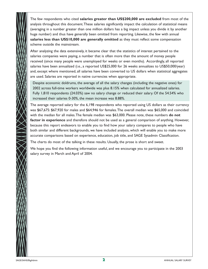The few respondents who cited **salaries greater than US\$200,000 are excluded** from most of the analysis throughout this document.These salaries significantly impact the calculation of statistical means (averaging in a number greater than one million dollars has a big impact unless you divide it by another huge number) and thus have generally been omitted from reporting. Likewise, the few with annual **salaries less than US\$10,000 are generally omitted** as they must reflect some compensation scheme outside the mainstream.

After analyzing the data extensively, it became clear that the statistics of interest pertained to the salaries companies were paying, a number that is often more than the amount of money people received (since many people were unemployed for weeks or even months). Accordingly, all reported salaries have been annualized (i.e., a reported US\$25,000 for 26 weeks annualizes to US\$50,000/year) and, except where mentioned, all salaries have been converted to US dollars when statistical aggregates are used. Salaries are reported in native currencies when appropriate.

Despite economic doldrums, the average of all the salary changes (including the negative ones) for 2002 across full-time workers worldwide was plus 8.15% when calculated for annualized salaries. Fully 1,810 respondents (24.03%) saw no salary change or reduced their salary. Of the 54.54% who increased their salaries 0-30%, the mean increase was 8.88%.

The average reported salary for the 6,198 respondents who reported using US dollars as their currency was \$67,675: \$67,920 for males and \$64,946 for females.The overall median was \$65,000 and coincided with the median for all males.The female median was \$63,000. Please note, these numbers **do not factor in experience** and therefore should not be used as a general comparison of anything. However, because this report endeavors to enable you to find how your salary compares to people who have both similar and different backgrounds, we have included analysis, which will enable you to make more accurate comparisons based on experience, education, job title, and SAGE Sysadmin Classification.

The charts do most of the talking in these results. Usually, the prose is short and sweet.

We hope you find the following information useful, and we encourage you to participate in the 2003 salary survey in March and April of 2004.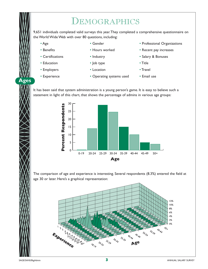# DEMOGRAPHICS

9,651 individuals completed valid surveys this year.They completed a comprehensive questionnaire on the World Wide Web with over 80 questions, including:

• Age

- Gender
- Benefits
- Hours worked
- Certifications
	-
- Education • Employers
- Industry
- Job type
- Location
- 
- Salary & Bonuses

• Recent pay increases

• Professional Organizations

- Title
- Travel

• Experience

**Ages**

- Operating systems used
- Email use

It has been said that system administration is a young person's game. It is easy to believe such a statement in light of this chart, that shows the percentage of admins in various age groups:



The comparison of age and experience is interesting. Several respondents (8.3%) entered the field at age 30 or later. Here's a graphical representation:

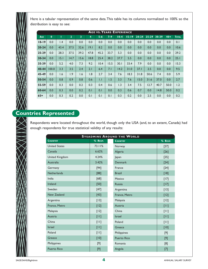Here is a tabular representation of the same data.This table has its columns normalized to 100% so the distribution is easy to see:

|           | <b>AGE VS. YEARS EXPERIENCE</b> |      |                |      |                |              |         |          |           |           |           |       |       |              |
|-----------|---------------------------------|------|----------------|------|----------------|--------------|---------|----------|-----------|-----------|-----------|-------|-------|--------------|
| AGE       | $\mathbf{0}$                    | т    | $\overline{2}$ | 3    | $\overline{4}$ | $5 - 6$      | $7 - 9$ | $10 - 4$ | $15 - 19$ | $20 - 24$ | $25 - 29$ | 30-39 | $40+$ | <b>TOTAL</b> |
| $18 - 19$ | 0.0                             | 1.4  | 0.0            | 0.0  | 0.0            | 0.0          | 0.0     | 0.0      | 0.0       | 0.0       | 0.0       | 0.0   | 0.0   | 0.1          |
| $20 - 24$ | 0.0                             | 43.4 | 37.5           | 32.6 | 19.1           | 8.2          | 0.0     | 0.0      | 0.0       | 0.0       | 0.0       | 0.0   | 0.0   | 10.6         |
| $25 - 29$ | 0.0                             | 28.3 | 37.5           | 39.2 | 47.8           | 45.2         | 33.7    | 5.3      | 0.0       | 0.0       | 0.0       | 0.0   | 0.0   | 29.2         |
| 30-34     | 0.0                             | 15.1 | 14.7           | 15.6 | 18.8           | 25.4         | 38.2    | 37.7     | 5.5       | 0.0       | 0.0       | 0.0   | 0.0   | 25.1         |
| 35-39     | 0.0                             | 5.2  | 4.0            | 7.3  | 9.2            | 10.4         | 15.5    | 30.1     | 33.4      | 7.9       | 0.0       | 0.0   | 0.0   | 15.3         |
| 40-44     | 100.0                           | 3.3  | 3.5            | 2.4  | 2.1            | 6.4          | 7.1     | 14.2     | 31.0      | 37.1      | 2.5       | 0.0   | 0.0   | 9.5          |
| 45-49     | 0.0                             | 1.6  | 1.9            | 1.6  | 1.8            | 2.7          | 3.4     | 7.6      | 18.3      | 31.8      | 50.6      | 7.4   | 0.0   | 5.9          |
| 50-54     | 0.0                             | 0.8  | 0.9            | 0.8  | 0.6            | $\mathsf{L}$ | 1.5     | 3.3      | 7.6       | 15.0      | 31.6      | 37.0  | 0.0   | 2.7          |
| 55-59     | 0.0                             | 0.3  | 0.0            | 0.2  | 0.3            | 0.4          | 0.6     | 1.3      | 3.4       | 7.5       | 12.7      | 40.7  | 50.0  | 1.2          |
| 60-64     | 0.0                             | 0.3  | 0.0            | 0.2  | 0.1            | 0.1          | 0.0     | 0.3      | 0.6       | 0.7       | 0.0       | 14.8  | 50.0  | 0.2          |
| $65+$     | 0.0                             | 0.3  | 0.2            | 0.0  | 0.1            | 0.1          | 0.1     | 0.3      | 0.2       | 0.0       | 2.5       | 0.0   | 0.0   | 0.2          |

## **Countries Represented**

Respondents were located throughout the world, though only the USA (and, to an extent, Canada) had enough respondents for true statistical validity of any results:

| <b>SYSADMINS AROUND THE WORLD</b> |         |                    |         |  |  |  |  |  |  |
|-----------------------------------|---------|--------------------|---------|--|--|--|--|--|--|
| <b>COUNTRY</b>                    | % RESP. | <b>COUNTRY</b>     | % RESP. |  |  |  |  |  |  |
| <b>United States</b>              | 73.11%  | Norway             | $[27]$  |  |  |  |  |  |  |
| Canada                            | 6.62%   | Algeria            | $[26]$  |  |  |  |  |  |  |
| United Kingdom                    | 4.24%   | Japan              | $[25]$  |  |  |  |  |  |  |
| Australia                         | 3.42%   | <b>Denmark</b>     | $[24]$  |  |  |  |  |  |  |
| Germany                           | $[94]$  | France             | $[24]$  |  |  |  |  |  |  |
| <b>Netherlands</b>                | [88]    | <b>Brazil</b>      | $[18]$  |  |  |  |  |  |  |
| India                             | $[68]$  | Mexico             | $[17]$  |  |  |  |  |  |  |
| Ireland                           | $[50]$  | <b>Russia</b>      | $[17]$  |  |  |  |  |  |  |
| Sweden                            | $[47]$  | Argentina          | $[13]$  |  |  |  |  |  |  |
| New Zealand                       | $[43]$  | France, Metro      | $[12]$  |  |  |  |  |  |  |
| Argentina                         | $[13]$  | Malaysia           | $[12]$  |  |  |  |  |  |  |
| France, Metro                     | $[12]$  | Austria            | $[11]$  |  |  |  |  |  |  |
| Malaysia                          | $[12]$  | China              | $[11]$  |  |  |  |  |  |  |
| Austria                           | $[11]$  | <b>Israel</b>      | $[11]$  |  |  |  |  |  |  |
| China                             | $[11]$  | Poland             | $[11]$  |  |  |  |  |  |  |
| <b>Israel</b>                     | [11]    | Greece             | $[10]$  |  |  |  |  |  |  |
| Poland                            | $[11]$  | Philippines        | [9]     |  |  |  |  |  |  |
| Greece                            | $[10]$  | <b>Puerto Rico</b> | [9]     |  |  |  |  |  |  |
| Philippines                       | $[9]$   | Romania            | [8]     |  |  |  |  |  |  |
| <b>Puerto Rico</b>                | [9]     | Angola             | $[7]$   |  |  |  |  |  |  |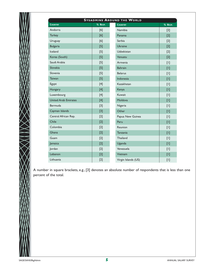|                             | % RESP. | <b>COUNTRY</b>      | % RESP. |
|-----------------------------|---------|---------------------|---------|
| Andorra                     | [6]     | Namibia             | $[2]$   |
| <b>Turkey</b>               | [6]     | Panama              | $[2]$   |
| Uruguay                     | [6]     | Serbia              | $[2]$   |
| <b>Bulgaria</b>             | $[5]$   | <b>Ukraine</b>      | $[2]$   |
| Iceland                     | $[5]$   | Uzbekistan          | $[2]$   |
| Korea (South)               | $[5]$   | Vanuatu             | $[2]$   |
| Saudi Arabia                | $[5]$   | Armenia             | $[1]$   |
| Slovakia                    | $[5]$   | <b>Bahrain</b>      | $[1]$   |
| Slovenia                    | $[5]$   | <b>Belarus</b>      | $[1]$   |
| <b>Taiwan</b>               | $[5]$   | Indonesia           | $[1]$   |
| Egypt                       | $[4]$   | Kazakhstan          | $[1]$   |
| Hungary                     | $[4]$   | Kenya               | $[1]$   |
| Luxembourg                  | $[4]$   | Kuwait              | $[1]$   |
| <b>United Arab Emirates</b> | $[4]$   | Moldova             | $[1]$   |
| Bermuda                     | $[3]$   | Nigeria             | $[1]$   |
| Cayman Islands              | $[3]$   | Other               | $[1]$   |
| Central African Rep.        | $[2]$   | Papua New Guinea    | $[1]$   |
| Chile                       | $[2]$   | Peru                | $[1]$   |
| Colombia                    | $[2]$   | Reunion             | $[1]$   |
| Ghana                       | $[2]$   | Tanzania            | $[1]$   |
| Guam                        | $[2]$   | Thailand            | $[1]$   |
| Jamaica                     | $[2]$   | Uganda              | $[1]$   |
| Jordan                      | $[2]$   | Venezuela           | $[1]$   |
| Lebanon                     | $[2]$   | Vietnam             | $[1]$   |
| Lithuania                   | $[2]$   | Virgin Islands (US) | $[1]$   |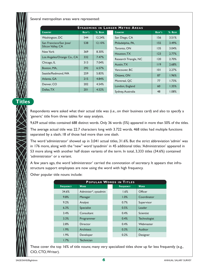Several metropolitan areas were represented:

|                            | <b>SYSADMINS IN LARGER METRO AREAS</b> |         |                   |                       |        |         |  |  |  |
|----------------------------|----------------------------------------|---------|-------------------|-----------------------|--------|---------|--|--|--|
| <b>COUNTRY</b>             | RESP'S                                 | % RESP. | <b>COUNTRY</b>    |                       | RESP'S | % RESP. |  |  |  |
| Washington, DC             | 544                                    | 12.24%  | San Diego, CA     |                       | 156    | 3.51%   |  |  |  |
| San Francisco/San Jose/    | 538                                    | 12.10%  | Philadelphia, PA, |                       | 155    | 3.49%   |  |  |  |
| Silicon Valley, CA         |                                        |         | Toronto, ON       |                       | 135    | 3.04%   |  |  |  |
| New York                   | 369                                    | 8.30%   | Houston, TX       |                       | 123    | 2.77%   |  |  |  |
| Los Angeles/Orange Co., CA | 332                                    | 7.47%   |                   | Research Triangle, NC | 120    | 2.70%   |  |  |  |
| Chicago, IL                | 313                                    | 7.04%   | Austin, TX        |                       | 119    | 2.68%   |  |  |  |
| Boston, MA,                | 292                                    | 6.57%   | Vancouver, BC     |                       | 0      | 2.27%   |  |  |  |
| Seattle/Redmond, WA        | 259                                    | 5.83%   | Ottawa, ON        |                       | 87     | 1.96%   |  |  |  |
| Atlanta, GA                | 215                                    | 4.84%   | Montreal, QC      |                       | 77     | 1.73%   |  |  |  |
| Denver, CO                 | 202                                    | 4.54%   | London, England   |                       | 60     | 1.35%   |  |  |  |
| Dallas, TX                 | 201                                    | 4.52%   | Sydney, Australia |                       | 48     | 1.08%   |  |  |  |

**Titles**

Respondents were asked what their actual title was (i.e., on their business card) and also to specify a 'generic' title from three tables for easy analysis.

9,639 actual titles contained 688 distinct words. Only 36 words (5%) appeared in more than 50% of the titles.

The average actual title was 22.7 characters long with 3.722 words. 468 titles had multiple functions separated by a slash; 18 of those had more than one slash.

The word 'administrator' showed up in 3,041 actual titles, 31.6%. But the strict abbreviation 'admin' was in 176 more, along with the "new" word 'sysadmin' in 45 additional titles.'Administration' appeared in 53 more along with another half dozen variants of the term. In total, 3,333 titles (34.6%) contained 'administrator' or a variant.

A few years ago, the word 'administrator' carried the connotation of secretary. It appears that infrastructure support employees are now using the word with high frequency.

Other popular title nouns include:

|                  | POPULAR WORDS IN TITLES |  |                  |              |  |  |  |  |  |  |
|------------------|-------------------------|--|------------------|--------------|--|--|--|--|--|--|
| <b>FREQUENCY</b> | <b>WORD</b>             |  | <b>FREQUENCY</b> | <b>WORD</b>  |  |  |  |  |  |  |
| 34.6%            | Administr*, sysadmin    |  | 1.6%             | Officer      |  |  |  |  |  |  |
| 9.8%             | Manager                 |  | 1.0%             | Coordinator  |  |  |  |  |  |  |
| 9.2%             | Analyst                 |  | 0.7%             | Supervisor   |  |  |  |  |  |  |
| 6.3%             | Specialist              |  | 0.5%             | Leader       |  |  |  |  |  |  |
| 3.4%             | Consultant              |  | 0.4%             | Scientist    |  |  |  |  |  |  |
| 3.3%             | Programmer              |  | 0.4%             | Technologist |  |  |  |  |  |  |
| 2.8%             | Director                |  | 0.4%             | Webmaster    |  |  |  |  |  |  |
| 1.9%             | Architect               |  | 0.3%             | Auditor      |  |  |  |  |  |  |
| 1.9%             | Developer               |  | 0.2%             | Designer     |  |  |  |  |  |  |
| 1.7%             | <b>Technician</b>       |  |                  |              |  |  |  |  |  |  |

These cover the top 16% of title nouns; many very specialized titles show up far less frequently (e.g., CIO, CTO,Writer).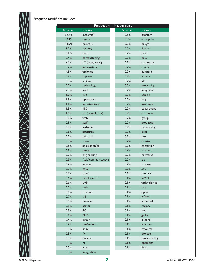Frequent modifiers include:

|                  |                      | <b>FREQUENT MODIFIERS</b> |                 |
|------------------|----------------------|---------------------------|-----------------|
| <b>FREQUENCY</b> | <b>MODIFIER</b>      | <b>FREQUENCY</b>          | <b>MODIFIER</b> |
| 39.7%            | $system{s}$          | 0.3%                      | program         |
| 17.7%            | senior               | 0.3%                      | enterprise      |
| 14.9%            | network              | 0.3%                      | design          |
| 9.2%             | security             | 0.2%                      | <b>Solaris</b>  |
| 9.1%             | unix                 | 0.2%                      | head            |
| 7.4%             | comput{er,ing}       | 0.2%                      | desk            |
| 6.0%             | I.T. (many ways)     | 0.2%                      | corporate       |
| 5.2%             | information          | 0.2%                      | center          |
| 4.5%             | technical            | 0.2%                      | business        |
| 3.7%             | support              | 0.2%                      | advisor         |
| 3.3%             | software             | 0.2%                      | <b>VP</b>       |
| 2.2%             | technology           | 0.2%                      | processing      |
| 2.0%             | lead                 | 0.2%                      | integrator      |
| 1.9%             | II, 2                | 0.2%                      | Oracle          |
| 1.3%             | operations           | 0.2%                      | help            |
| 1.1%             | infrastructure       | 0.2%                      | assurance       |
| 1.3%             | III, 3               | 0.2%                      | department      |
| 1.0%             | I.S. (many forms)    | 0.2%                      | customer        |
| 0.9%             | web                  | 0.2%                      | group           |
| 0.9%             | staff                | 0.2%                      | production      |
| 0.9%             | assistant            | 0.2%                      | networking      |
| 0.9%             | associate            | 0.2%                      | level           |
| 0.8%             | principal            | 0.2%                      | test            |
| 0.8%             | team                 | 0.2%                      | desktop         |
| 0.8%             | application{s}       | 0.2%                      | consulting      |
| 0.7%             | project              | 0.2%                      | solutions       |
| 0.7%             | engineering          | 0.2%                      | networks        |
| 0.5%             | [tele]communications | 0.2%                      | lab             |
| 0.7%             | internet             | 0.2%                      | storage         |
| 0.7%             | data                 | 0.2%                      | site            |
| 0.7%             | chief                | 0.2%                      | product         |
| 0.6%             | development          | 0.1%                      | <b>WAN</b>      |
| 0.6%             | <b>LAN</b>           | 0.1%                      | technologies    |
| 0.5%             | tech                 | 0.1%                      | risk            |
| 0.5%             | research             | 0.1%                      | open            |
| 0.7%             | I, I                 | 0.1%                      | infosec         |
| 0.5%             | member               | 0.1%                      | advanced        |
| 0.5%             | server               | 0.1%                      | regional        |
| 0.5%             | PC                   | 0.1%                      | noc             |
| 0.4%             | M.I.S.               | 0.1%                      | global          |
| 0.4%             | junior               | 0.1%                      | expert          |
| 0.4%             | professional         | 0.1%                      | windows         |
| 0.3%             | linux                | 0.1%                      | resource        |
| 0.3%             | ${\sf IV}$           | 0.1%                      | projects        |
| 0.3%             | service              | 0.1%                      | programming     |
| 0.3%             | <b>NT</b>            | 0.1%                      | operating       |
| 0.3%             | vice-                | 0.1%                      | field           |
| 0.3%             | integration          |                           |                 |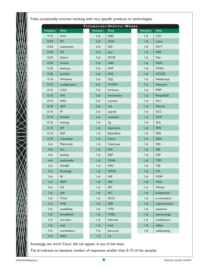Titles occasionally connote working with very specific products or technologies:

| TECHNOLOGY-SPECIFIC WORDS |                                   |                  |                   |                  |                  |  |  |  |  |  |
|---------------------------|-----------------------------------|------------------|-------------------|------------------|------------------|--|--|--|--|--|
| <b>FREQUENCY</b>          | <b>WORD</b>                       | <b>FREQUENCY</b> | <b>WORD</b>       | <b>FREQUENCY</b> | <b>WORD</b>      |  |  |  |  |  |
| 9.1%                      | Unix                              | 2#               | DB <sub>2</sub>   | #                | <b>LTO</b>       |  |  |  |  |  |
| 0.5%                      | PC                                | 2#               | <b>DNS</b>        | #                | Lotus            |  |  |  |  |  |
| 0.4%                      | webmaster                         | 2#               | <b>IDS</b>        | #                | <b>MCT</b>       |  |  |  |  |  |
| 0.3%                      | <b>NT</b>                         | 2#               | Java              | #                | <b>MSE</b>       |  |  |  |  |  |
| 0.2%                      | Solaris                           | 2#               | <b>MCSE</b>       | #                | Mac              |  |  |  |  |  |
| 0.2%                      | Oracle                            | 2#               | <b>NAS</b>        | #                | <b>NOS</b>       |  |  |  |  |  |
| 0.2%                      | desktop                           | 2#               | PHP               | #                | <b>NTAC</b>      |  |  |  |  |  |
| 0.2%                      | product                           | 2#               | <b>RAS</b>        | #                | <b>NTCSS</b>     |  |  |  |  |  |
| 0.1%                      | Windows                           | 2#               | SQL               | #                | Netbackup        |  |  |  |  |  |
| 0.1%                      | configuration                     | 2#               | <b>WWW</b>        | #                | <b>Netware</b>   |  |  |  |  |  |
| 0.1%                      | CAD                               | 2#               | forensics         | #                | <b>PMP</b>       |  |  |  |  |  |
| 0.1%                      | AIX                               | 2#               | hostmaster        | #                | PeopleSoft       |  |  |  |  |  |
| 0.1%                      | SAN                               | 2#               | intranet          | #                | Perl             |  |  |  |  |  |
| 0.1%                      | <b>AVP</b>                        | 2#               | net               | #                | Pharma           |  |  |  |  |  |
| 0.1%                      | IP                                | 2#               | payroll           | #                | SCC              |  |  |  |  |  |
| 0.1%                      | firewall                          | 2#               | sasystem          | #                | <b>SCM</b>       |  |  |  |  |  |
| 0.1%                      | hosting                           | #                | 3g                | #                | <b>SLA</b>       |  |  |  |  |  |
| 0.1%                      | <b>ISP</b>                        | #                | Applecare         | #                | SME              |  |  |  |  |  |
| 0.1%                      | SAP                               | $ $ #            | <b>Backoffice</b> | #                | SMS              |  |  |  |  |  |
| 0.1%                      | e-business                        | #                | Citrix            | #                | SQA              |  |  |  |  |  |
| 4#                        | Macintosh                         | #                | Clearcase         | #                | <b>SSA</b>       |  |  |  |  |  |
| 4#                        | Sun                               | #                | <b>EDI</b>        | #                | <b>SSR</b>       |  |  |  |  |  |
| 4#                        | backup                            | #                | <b>ERP</b>        | #                | <b>SVP</b>       |  |  |  |  |  |
| 4#                        | multimedia                        | #                | <b>GWA</b>        | #                | <b>TSM</b>       |  |  |  |  |  |
| 3#                        | AS/400                            | #                | <b>HPC</b>        | #                | <b>TSS</b>       |  |  |  |  |  |
| 3#                        | Exchange                          | #                | <b>HPUX</b>       | #                | VM               |  |  |  |  |  |
| 3#                        | $\ensuremath{\mathsf{IR}}\xspace$ | #                | <b>IAP</b>        | #                | <b>VOIP</b>      |  |  |  |  |  |
| 3#                        | <b>ISSM</b>                       | #                | <b>IMS</b>        | #                | W <sub>2</sub> k |  |  |  |  |  |
| 3#                        | OS                                | #                | <b>IPC</b>        | #                | Wintel           |  |  |  |  |  |
| 3#                        | QA                                | #                | <b>ISC</b>        | #                | buildmaster      |  |  |  |  |  |
| 3#                        | Tivoli                            | #                | <b>ISCO</b>       | #                | e-commerce       |  |  |  |  |  |
| 3#                        | <b>VMS</b>                        | #                | <b>ISSE</b>       | #                | e-government     |  |  |  |  |  |
| 3#                        | availability                      | #                | ITP <sub>2</sub>  | #                | esystems         |  |  |  |  |  |
| 3#                        | broadband                         | #                | <b>ITSSC</b>      | #                | etechnology      |  |  |  |  |  |
| 3#                        | intrusion                         | #                | Infovista         | #                | middleware       |  |  |  |  |  |
| 3#                        | mail                              | #                | Intel             | #                | safety           |  |  |  |  |  |
| 3#                        | workstation                       | #                | Jen-a-sys         | #                | webhosting       |  |  |  |  |  |
| 2#                        | <b>DAA</b>                        | #                | L2                |                  |                  |  |  |  |  |  |

Amazingly, the word 'Cisco' did not appear in any of the titles.

The # indicates an absolute number of responses smaller than 0.1% of the samples.

 $\gg$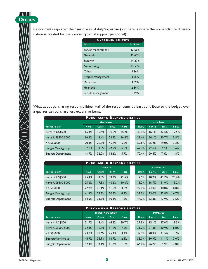Respondents reported their main area of duty/expertise (and here is where the nomenclature differentiation is created for the various types of support personnel):

| <b>SYSADMIN DUTIES</b> |         |
|------------------------|---------|
| DUTY                   | % RESP. |
| Server management      | 33.69%  |
| Generalist             | 22.69%  |
| Security               | 14.27%  |
| Networking             | 12.53%  |
| Other                  | 5.66%   |
| Project management     | 3.85%   |
| Databases              | 3.09%   |
| Help desk              | 2.84%   |
| People management      | 1.39%   |

What about purchasing responsibilities? Half of the respondents at least contribute to the budget; over a quarter can purchase less expensive items:

| <b>PURCHASING RESPONSIBILITIES</b> |             |                   |             |              |  |                   |              |             |              |  |  |
|------------------------------------|-------------|-------------------|-------------|--------------|--|-------------------|--------------|-------------|--------------|--|--|
|                                    |             | <b>GENERALIST</b> |             |              |  | <b>HELP DESKI</b> |              |             |              |  |  |
| <b>RESPONSIBILITY</b>              | <b>NONE</b> | <b>CONTR</b>      | <b>SPEC</b> | <b>FINAL</b> |  | <b>NONE</b>       | <b>CONTR</b> | <b>SPEC</b> | <b>FINAL</b> |  |  |
| Items $<$ US\$500                  | 15.4%       | 10.4%             | 39.0%       | 35.2%        |  | 33.9%             | 16.1%        | 32.5%       | 17.5%        |  |  |
| Items US\$500-5000                 | 16.4%       | 16.4%             | 52.3%       | 14.8%        |  | 39.4%             | 24.1%        | 30.7%       | 5.8%         |  |  |
| $>$ US\$5000                       | 20.3%       | 26.6%             | 46.4%       | 6.8%         |  | 52.6%             | 25.2%        | 19.0%       | 3.3%         |  |  |
| Budget: Workgroup                  | 37.6%       | 32.9%             | 22.7%       | 6.8%         |  | 67.2%             | 22.6%        | 7.7%        | 2.6%         |  |  |
| <b>Budget: Department</b>          | 43.7%       | 32.0%             | 18.6%       | 5.7%         |  | 70.4%             | 20.4%        | 7.3%        | 1.8%         |  |  |

| <b>PURCHASING RESPONSIBILITIES</b> |             |                 |             |              |  |                   |              |             |              |  |
|------------------------------------|-------------|-----------------|-------------|--------------|--|-------------------|--------------|-------------|--------------|--|
|                                    |             | <b>SECURITY</b> |             |              |  | <b>NETWORKING</b> |              |             |              |  |
| <b>RESPONSIBILITY</b>              | <b>NONE</b> | <b>CONTR</b>    | <b>SPEC</b> | <b>FINAL</b> |  | <b>NONE</b>       | <b>CONTR</b> | <b>SPEC</b> | <b>FINAL</b> |  |
| Items $<$ US\$500                  | 25.4%       | 12.8%           | 39.3%       | 22.5%        |  | 17.5%             | 10.2%        | 42.7%       | 29.6%        |  |
| Items US\$500-5000                 | 25.6%       | 17.3%           | 46.6%       | 10.6%        |  | 18.2%             | 16.7%        | 51.9%       | 13.2%        |  |
| > US\$5000                         | 27.7%       | 26.1%           | 41.5%       | 4.6%         |  | 22.0%             | 24.0%        | 48.0%       | 6.0%         |  |
| Budget: Workgroup                  | 41.4%       | 33.3%           | 20.6%       | 4.7%         |  | 37.5%             | 35.0%        | 22.8%       | 4.7%         |  |
| <b>Budget: Department</b>          | 54.5%       | 33.6%           | 10.3%       | 1.6%         |  | 44.7%             | 33.8%        | 17.9%       | 3.6%         |  |

| <b>PURCHASING RESPONSIBILITIES</b> |             |                          |             |              |  |                  |              |             |              |  |
|------------------------------------|-------------|--------------------------|-------------|--------------|--|------------------|--------------|-------------|--------------|--|
|                                    |             | <b>SERVER MANAGEMENT</b> |             |              |  | <b>DATABASES</b> |              |             |              |  |
| <b>RESPONSIBILITY</b>              | <b>NONE</b> | <b>CONTR</b>             | <b>SPEC</b> | <b>FINAL</b> |  | <b>NONE</b>      | <b>CONTR</b> | <b>SPEC</b> | <b>FINAL</b> |  |
| Items $<$ US\$500                  | 21.7%       | 13.4%                    | 44.2%       | 20.7%        |  | 27.9%            | 15.1%        | 37.6%       | 19.5%        |  |
| Items US\$500-5000                 | 22.4%       | 18.6%                    | 51.2%       | 7.9%         |  | 31.2%            | 21.8%        | 40.9%       | 6.0%         |  |
| $>$ US\$5000                       | 23.7%       | 27.6%                    | 45.4%       | 3.2%         |  | 37.9%            | 28.9%        | 31.5%       | 1.7%         |  |
| Budget: Workgroup                  | 44.9%       | 35.9%                    | 16.7%       | 2.5%         |  | 55.0%            | 30.9%        | 11.1%       | 3.0%         |  |
| <b>Budget: Department</b>          | 52.4%       | 34.1%                    | 11.7%       | 1.8%         |  | 64.1%            | 26.2%        | 7.7%        | 2.0%         |  |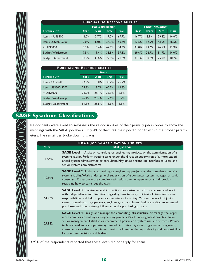

#### **P URCHASING RESPONSIBILITIES**

|                           | <b>PEOPLE MANAGEMENT</b> |              |             |              |             | <b>PROJECT MANAGEMENT</b> |             |              |  |
|---------------------------|--------------------------|--------------|-------------|--------------|-------------|---------------------------|-------------|--------------|--|
| <b>RESPONSIBILITY</b>     | <b>NONE</b>              | <b>CONTR</b> | <b>SPEC</b> | <b>FINAL</b> | <b>NONE</b> | <b>CONTR</b>              | <b>SPEC</b> | <b>FINAL</b> |  |
| Items $<$ US\$500         | 1.2%                     | 3.7%         | 17.2%       | 67.9%        | 16.7%       | 8.9%                      | 29.8%       | 44.6%        |  |
| Items US\$500-5000        | 9.0%                     | 6.0%         | 34.3%       | 50.7%        | 17.5%       | 12.9%                     | 43.0%       | 26.6%        |  |
| > US\$5000                | 8.2%                     | 10.4%        | 47.0%       | 34.3%        | 21.0%       | 19.6%                     | 46.5%       | 12.9%        |  |
| Budget: Workgroup         | 7.5%                     | 19.4%        | 35.8%       | 37.3%        | 29.6%       | 24.7%                     | 31.7%       | 14.0%        |  |
| <b>Budget: Department</b> | 17.9%                    | 30.6%        | 29.9%       | 21.6%        | 34.1%       | 30.6%                     | 25.0%       | 10.2%        |  |

| <b>PURCHASING RESPONSIBILITIES</b> |              |              |             |              |  |  |  |  |
|------------------------------------|--------------|--------------|-------------|--------------|--|--|--|--|
|                                    | <b>OTHER</b> |              |             |              |  |  |  |  |
| <b>RESPONSIBILITY</b>              | <b>NONE</b>  | <b>CONTR</b> | <b>SPEC</b> | <b>FINAL</b> |  |  |  |  |
| Items < US\$500                    | 24.9%        | 13.0%        | 35.2%       | 26.9%        |  |  |  |  |
| Items US\$500-5000                 | 27.8%        | 18.7%        | 40.7%       | 12.8%        |  |  |  |  |
| $>$ US\$5000                       | 33.0%        | 25.1%        | 35.3%       | 6.6%         |  |  |  |  |
| Budget: Workgroup                  | 47.1%        | 29.7%        | 17.6%       | 5.7%         |  |  |  |  |
| <b>Budget: Department</b>          | 54.8%        | 25.8%        | 15.6%       | 3.8%         |  |  |  |  |

## **SAGE Sysadmin Classifications**

Respondents were asked to self-assess the responsibilities of their primary job in order to show the mappings with the SAGE job levels. Only 4% of them felt their job did not fit within the proper parameters.The remainder broke down this way:

| <b>SAGE JOB CLASSIFICATION INDICES</b> |                                                                                                                                                                                                                                                                                                                                                                                                                                                                                                         |  |  |  |
|----------------------------------------|---------------------------------------------------------------------------------------------------------------------------------------------------------------------------------------------------------------------------------------------------------------------------------------------------------------------------------------------------------------------------------------------------------------------------------------------------------------------------------------------------------|--|--|--|
| % RESP.                                | <b>SAGE JOB LEVEL</b>                                                                                                                                                                                                                                                                                                                                                                                                                                                                                   |  |  |  |
| 1.54%                                  | <b>SAGE Level 1:</b> Assist on consulting or engineering projects or the administration of a<br>systems facility. Perform routine tasks under the direction supervision of a more experi-<br>enced system administrator or consultant. May act as a front-line interface to users and<br>senior system administrators:                                                                                                                                                                                  |  |  |  |
| 12.94%                                 | <b>SAGE Level 2:</b> Assist on consulting or engineering projects or the administration of a<br>systems facility. Work under general supervision of a computer system manager or senior<br>consultant. Carry out more complex tasks with some independence and discretion<br>regarding how to carry out the tasks.                                                                                                                                                                                      |  |  |  |
| 51.76%                                 | <b>SAGE Level 3:</b> Receive general instructions for assignments from manager and work<br>with independence and discretion regarding how to carry out tasks. Initiate some new<br>responsibilities and help to plan for the future of a facility. Manage the work of junior<br>system administrators, operators, engineers, or consultants. Evaluate and/or recommend<br>purchases and have a strong influence on the purchasing process.                                                              |  |  |  |
| 29.83%                                 | <b>SAGE Level 4:</b> Design and manage the computing infrastructure or manage the larger<br>more complex consulting or engineering projects. Work under general direction from<br>senior management. Establish or recommend policies on system use and services. Provide<br>technical lead and/or supervise system administrators, system programmers, engineers,<br>consultants, or others of equivalent seniority. Have purchasing authority and responsibility<br>for purchase decisions and budget. |  |  |  |

3.93% of the respondents reported that these levels did not apply for them.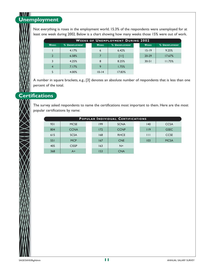#### N NN A **Unemployment**

Not everything is roses in the employment world. 15.3% of the respondents were unemployed for at least one week during 2002. Below is a chart showing how many weeks those 15% were out of work.

| <b>WEEKS OF UNEMPLOYMENT DURING 2002</b> |                |  |              |                |  |              |                       |
|------------------------------------------|----------------|--|--------------|----------------|--|--------------|-----------------------|
| <b>WEEKS</b>                             | % UNEMPLOYMENT |  | <b>WEEKS</b> | % UNEMPLOYMENT |  | <b>WEEKS</b> | <b>% UNEMPLOYMENT</b> |
|                                          | 4.17%          |  | 6            | 6.42%          |  | $15 - 19$    | 9.25%                 |
| $\overline{2}$                           | 6.58%          |  |              | $[11]$         |  | 20-29        | 17.67%                |
| 3                                        | 4.25%          |  | 8            | 8.25%          |  | $30 - 51$    | 11.75%                |
| $\overline{4}$                           | 7.17%          |  | 9            | 1.75%          |  |              |                       |
| 5                                        | 4.00%          |  | $10 - 14$    | 17.83%         |  |              |                       |

A number in square brackets, e.g., [3] denotes an absolute number of respondents that is less than one percent of the total.

### **Certifications**

The survey asked respondents to name the certifications most important to them. Here are the most popular certifications by name:

| POPULAR INDIVIDUAL CERTIFICATIONS |              |  |     |             |  |              |             |  |
|-----------------------------------|--------------|--|-----|-------------|--|--------------|-------------|--|
| 931                               | <b>MCSE</b>  |  | 199 | <b>SCNA</b> |  | 140          | <b>CCSA</b> |  |
| 804                               | <b>CCNA</b>  |  | 172 | <b>CCNP</b> |  | 119          | <b>GSEC</b> |  |
| 615                               | <b>SCSA</b>  |  | 168 | <b>RHCE</b> |  | $\mathbf{H}$ | <b>CCSE</b> |  |
| 551                               | <b>MCP</b>   |  | 167 | <b>CNE</b>  |  | 103          | <b>MCSA</b> |  |
| 405                               | <b>CISSP</b> |  | 163 | $N+$        |  |              |             |  |
| 368                               | A+           |  | 153 | <b>CNA</b>  |  |              |             |  |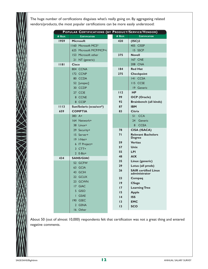The huge number of certifications disguises what's really going on. By aggregating related vendors/products, the most popular certifications can be more easily understood:

|         | POPULAR CERTIFICATIONS (BY PRODUCT/SERVICE/VENDOR) |          |                                              |
|---------|----------------------------------------------------|----------|----------------------------------------------|
| # RESP. | <b>CERTIFICATION</b>                               | # RESP.  | <b>CERTIFICATION</b>                         |
| 1959    | <b>Microsoft</b>                                   | 420      | (ISC)2                                       |
|         | 1160 Microsoft MCS*                                |          | 405 CISSP                                    |
|         | 625 Microsoft MCP/MCP+i                            |          | 15 SSCP                                      |
|         | 153<br>Microsoft other                             | 375      | <b>Novell</b>                                |
|         | 21 NT (generic)                                    |          | <b>167 CNE</b>                               |
| 1181    | <b>Cisco</b>                                       |          | <b>208 CNA</b>                               |
|         | 804 CCNA                                           | 184      | <b>Red Hat</b>                               |
|         | 172 CCNP                                           | 275      | <b>Checkpoint</b>                            |
|         | 80 CCDA                                            |          | 141 CCSA                                     |
|         | 52 [unspec]                                        |          | <b>II5 CCSE</b>                              |
|         | 30 CCDP                                            |          | 19 Generic                                   |
|         | 27 CCIE                                            | 112      | <b>HP</b>                                    |
|         | 8 CCNE                                             | 99       | <b>OCP</b> (Oracle)                          |
|         | 8 CCSP                                             | 92       | <b>Brainbench (all kinds)</b>                |
| 1113    | Sun/Solaris (scsa/scn*)                            | 87       | <b>IBM</b>                                   |
| 659     | <b>COMPTIA</b>                                     | 83       | <b>Citrix</b>                                |
|         | $383 A+$                                           |          | 51 CCA                                       |
|         | 164 Network+                                       |          | Generic<br>24                                |
|         | 38 Linux+                                          |          | <b>CCEA</b><br>8                             |
|         | 29 Security+                                       | 78       | <b>CISA (ISACA)</b>                          |
|         | 15 Server+                                         | 71       | <b>Relevant Bachelors</b><br><b>Degree</b>   |
|         | 19 I-Net+                                          | 59       | <b>Veritas</b>                               |
|         | 6 IT Project+                                      | 57       | Unix                                         |
|         | 3 CTT+                                             | 55       | <b>LPI</b>                                   |
|         | $2$ E-Biz+                                         | 48       | <b>AIX</b>                                   |
| 434     | <b>SANS/GIAC</b>                                   | 35       | Linux (generic)                              |
|         | 52 GCFW                                            | 29       | Lotus (all prods)                            |
|         | <b>GCIA</b><br>63<br>43 GCIH                       | 26       | <b>SAIR certified Linux</b><br>administrator |
|         | 22 GCUX                                            | 23       |                                              |
|         | 23 GCWN                                            |          | Compaq                                       |
|         | 17 GIAC                                            | 9        | <b>CSage</b>                                 |
|         | 5 GISO                                             | 17<br>15 | <b>Learning Tree</b>                         |
|         | <b>GSAE</b><br>Π                                   | 4        | <b>Apple</b><br><b>ISS</b>                   |
|         | 190 GSEC                                           |          | <b>EMC</b>                                   |
|         | 2 GSNA                                             | 13       | <b>SCO</b>                                   |
|         | 16 Other                                           | 13       |                                              |
|         |                                                    |          |                                              |

About 50 (out of almost 10,000) respondents felt that certification was not a great thing and entered negative comments.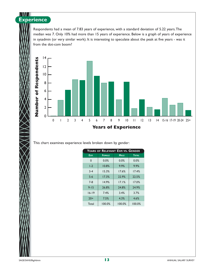#### N NN A **Experience**

Respondents had a mean of 7.83 years of experience, with a standard deviation of 5.22 years.The median was 7. Only 10% had more than 15 years of experience. Below is a graph of years of experience in sysadmin (or very similar work). It is interesting to speculate about the peak at five years - was it from the dot-com boom?



This chart examines experience levels broken down by gender:

| YEARS OF RELEVANT EXP. VS. GENDER |               |             |              |  |  |  |  |
|-----------------------------------|---------------|-------------|--------------|--|--|--|--|
| Exp.                              | <b>FEMALE</b> | <b>MALE</b> | <b>TOTAL</b> |  |  |  |  |
| 0                                 | $0.0\%$       | 0.0%        | 0.0%         |  |  |  |  |
| $1-2$                             | 10.8%         | 9.9%        | 9.9%         |  |  |  |  |
| $3 - 4$                           | 15.3%         | 17.6%       | 17.4%        |  |  |  |  |
| $5 - 6$                           | 17.3%         | 22.9%       | 22.5%        |  |  |  |  |
| $7 - 8$                           | 14.9%         | 17.1%       | 17.0%        |  |  |  |  |
| $9 - 15$                          | 26.8%         | 24.8%       | 24.9%        |  |  |  |  |
| $16 - 19$                         | 7.4%          | 3.4%        | 3.7%         |  |  |  |  |
| $20+$                             | 7.5%          | 4.3%        | 4.6%         |  |  |  |  |
| Total                             | 100.0%        | 100.0%      | 100.0%       |  |  |  |  |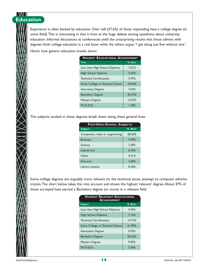#### N NAV A **Education**

Experience is often backed by education. Over half (57.6%) of those responding have a college degree (in some field).This is interesting in that it hints at the huge debate among sysadmins about university education. Informal discussions at conferences yield the unsurprising results that those admins with degrees think college education is a real boon while the others argue, "I get along just fine without one."

Here's how generic education breaks down:

| <b>HIGHEST EDUCATIONAL ACHIEVEMENT</b> |  |  |  |  |  |
|----------------------------------------|--|--|--|--|--|
| % RESP.                                |  |  |  |  |  |
| 1.01%                                  |  |  |  |  |  |
| 5.63%                                  |  |  |  |  |  |
| 3.93%                                  |  |  |  |  |  |
| 24.64%                                 |  |  |  |  |  |
| 7.62%                                  |  |  |  |  |  |
| 43.53%                                 |  |  |  |  |  |
| 12.07%                                 |  |  |  |  |  |
| 1.59%                                  |  |  |  |  |  |
|                                        |  |  |  |  |  |

The subjects studied in these degrees break down along these general lines:

| <b>POST-HIGH-SCHOOL SUBJECTS</b> |         |  |  |  |  |
|----------------------------------|---------|--|--|--|--|
| <b>SUBJECT</b>                   | % RESP. |  |  |  |  |
| Computers, math, or engineering  | 68.26%  |  |  |  |  |
| <b>Business</b>                  | 7.44%   |  |  |  |  |
| Science                          | 7.30%   |  |  |  |  |
| Liberal arts                     | 6.32%   |  |  |  |  |
| Other                            | 4.21%   |  |  |  |  |
| Fine arts                        | 1.60%   |  |  |  |  |
| Library science                  | 0.36%   |  |  |  |  |

Some college degrees are arguably more relevant (in the technical sense, anyway) to computer administration.The chart below takes this into account and shows the highest 'relevant' degree.About 47% of those surveyed have earned a Bachelors degree (or more) in a relevant field.

| <b>HIGHEST RELEVANT EDUCATIONAL</b><br><b>ACHIEVEMENT</b> |         |  |  |  |  |  |
|-----------------------------------------------------------|---------|--|--|--|--|--|
| <b>SUBJECT</b>                                            | % RESP. |  |  |  |  |  |
| Less than High School Diploma                             | 3.43%   |  |  |  |  |  |
| High School Diploma                                       | 7.14%   |  |  |  |  |  |
| Technical Certificate(s)                                  | 14.73%  |  |  |  |  |  |
| Some College or Technical School                          | 21.99%  |  |  |  |  |  |
| <b>Associates Degree</b>                                  | 5.93%   |  |  |  |  |  |
| <b>Bachelors Degree</b>                                   | 34.52%  |  |  |  |  |  |
| Masters Degree                                            | 9.92%   |  |  |  |  |  |
| Ph.D/D.Sc.                                                | 2.34%   |  |  |  |  |  |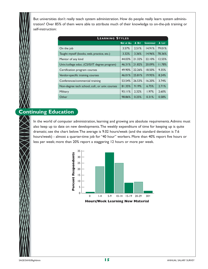But universities don't really teach system administration. How do people really learn system administration? Over 85% of them were able to attribute much of their knowledge to on-the-job training or self-instruction:

| <b>LEARNING STYLES</b>                          |                   |        |                 |        |  |  |  |  |
|-------------------------------------------------|-------------------|--------|-----------------|--------|--|--|--|--|
|                                                 | <b>NOT AT ALL</b> | A BIT  | <b>SOMEWHAT</b> | A LOT  |  |  |  |  |
| On the job                                      | 3.57%             | 2.51%  | 14.91%          | 79.01% |  |  |  |  |
| Taught myself (books, web, practice, etc.)      | 3.32%             | 3.36%  | 14.96%          | 78.36% |  |  |  |  |
| Mentor of any kind                              | 44.03%            | 21.32% | 22.10%          | 12.55% |  |  |  |  |
| Univ./college educ. (CS/IS/IT degree program)   | 46.31%            | 21.82% | 20.09%          | 11.78% |  |  |  |  |
| Certification program courses                   | 49.90%            | 22.26% | 18.50%          | 9.35%  |  |  |  |  |
| Vendor-specific training courses                | 46.01%            | 25.81% | 19.95%          | 8.24%  |  |  |  |  |
| Conferences/commercial training                 | 53.54%            | 26.53% | 16.20%          | 3.74%  |  |  |  |  |
| Non-degree tech school, coll., or univ. courses | 81.35%            | 9.19%  | 6.75%           | 2.71%  |  |  |  |  |
| Military                                        | 93.11%            | 2.32%  | 1.97%           | 2.60%  |  |  |  |  |
| Other                                           | 98.86%            | 0.25%  | 0.31%           | 0.58%  |  |  |  |  |

## **Continuing Education**

In the world of computer administration, learning and growing are absolute requirements.Admins must also keep up to date on new developments.The weekly expenditure of time for keeping up is quite dramatic; see the chart below.The average is 9.02 hours/week (and the standard deviation is 7.6 hours/week) - almost a quarter-time job for "40 hour" workers. More than 40% report five hours or less per week; more than 20% report a staggering 12 hours or more per week.

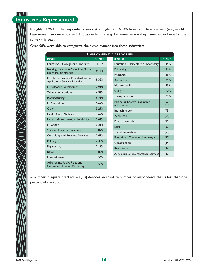#### N NAZI **Industries Represented**

Roughly 83.96% of the respondents work at a single job; 16.04% have multiple employers (e.g., would have more than one employer). Education led the way; for some reason they came out in force for the survey this year.

Over 98% were able to categorize their employment into these industries:

| <b>EMPLOYMENT CATEGORIES</b>                                           |         |                                                  |                |  |  |  |
|------------------------------------------------------------------------|---------|--------------------------------------------------|----------------|--|--|--|
| <b>INDUSTRY</b>                                                        | % RESP. | <b>INDUSTRY</b>                                  | % RESP.        |  |  |  |
| Education - College or University                                      | 11.31%  | Education - Elementary or Secondary              | 1.44%          |  |  |  |
| Banking, Insurance, Securities, Stock<br>Exchange, or Finance          | 9.17%   | Publishing                                       | 1.31%          |  |  |  |
| IT: Internet Service Provider/Internet<br>Application Service Provider | 8.35%   | Research<br>Aerospace                            | 1.26%<br>1.25% |  |  |  |
| IT: Software Development                                               | 7.91%   | Not-for-profit                                   | 1.23%          |  |  |  |
| Telecommunications                                                     | 6.98%   | <b>Utility</b>                                   | 1.10%          |  |  |  |
| Manufacturing                                                          | 5.71%   | Transportation                                   | 1.09%          |  |  |  |
| IT: Consulting                                                         | 5.62%   | Mining or Energy Production<br>(oil, coal, etc.) | [76]           |  |  |  |
| Other                                                                  | 5.29%   | Biotechnology                                    | $[73]$         |  |  |  |
| Health Care, Medicine                                                  | 3.67%   | Wholesale                                        | [65]           |  |  |  |
| Federal Government - Non-Military                                      | 3.61%   | Pharmaceuticals                                  | [63]           |  |  |  |
| IT: Other                                                              | 3.21%   | Legal                                            | $[57]$         |  |  |  |
| <b>State or Local Government</b>                                       | 3.02%   | Travel/Recreation                                | $[53]$         |  |  |  |
| Consulting and Business Services                                       | 2.49%   | Education - Commercial, training, etc.           | $[52]$         |  |  |  |
| Military                                                               | 2.33%   | Construction                                     | $[34]$         |  |  |  |
| Engineering                                                            | 2.16%   | <b>Real Estate</b>                               | $[32]$         |  |  |  |
| Retail                                                                 | 1.87%   | Agriculture or Environmental Services            | $[32]$         |  |  |  |
| Entertainment                                                          | 1.56%   |                                                  |                |  |  |  |
| Advertising, Public Relations,<br>Communication, or Marketing          | 1.50%   |                                                  |                |  |  |  |

A number in square brackets, e.g., [3] denotes an absolute number of respondents that is less than one percent of the total.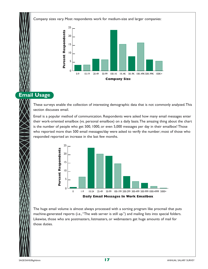Company sizes vary. Most respondents work for medium-size and larger companies:



## **Email Usage**

These surveys enable the collection of interesting demographic data that is not commonly analyzed.This section discusses email.

Email is a popular method of communication. Respondents were asked how many email messages enter their work-oriented emailbox (vs. personal emailbox) on a daily basis.The amazing thing about the chart is the number of people who get 500, 1000, or even 5,000 messages per day in their emailbox! Those who reported more than 500 email messages/day were asked to verify the number; most of those who responded reported an increase in the last few months.



The huge email volume is almost always processed with a sorting program like procmail that puts machine-generated reports (i.e.,"The web server is still up.") and mailing lists into special folders. Likewise, those who are postmasters, listmasters, or webmasters get huge amounts of mail for those duties.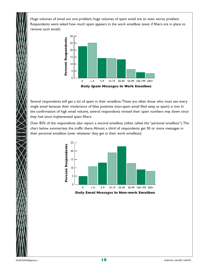Huge volumes of email are one problem; huge volumes of spam email are an even worse problem. Respondents were asked how much spam appears in the work emailbox (even if filters are in place to remove such email):



Several respondents still get a lot of spam in their emailbox.These are often those who must see every single email because their intolerance of false positives (non-spam email filed away as spam) is low. In the confirmation of high email volume, several respondents revised their spam numbers way down since they had since implemented spam filters.

Over 85% of the respondents also report a second emailbox (often called the "personal emailbox").The chart below summarizes the traffic there.Almost a third of respondents get 50 or more messages in their personal emailbox (over whatever they get in their work emailbox):



**Daily Email Messages In Non-work Emailbox**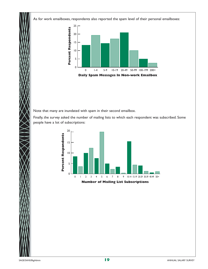As for work emailboxes, respondents also reported the spam level of their personal emailboxes:



Note that many are inundated with spam in their second emailbox.

Finally, the survey asked the number of mailing lists to which each respondent was subscribed. Some people have a lot of subscriptions:

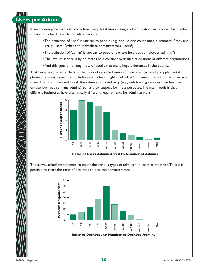# **Users per Admin**

It seems everyone wants to know how many total users a single administrator can service.This number turns out to be difficult to calculate because:

- The definition of 'user' is unclear to people (e.g., should one count one's customers if they are really 'users'? What about database administrators' users?)
- The definition of 'admin' is unclear to people (e.g., are help-desk employees 'admins'?)
- The level of service is by no means held constant over such calculations at different organizations
- And this goes on through lots of details that make huge differences in the counts.

That being said, here's a chart of the ratio of reported users administered (which, by supplemental phone interview, sometimes includes what others might think of as 'customers') to admins who service them.This chart does not break the values out by industry (e.g., web hosting services have few users on-site, but require many admins), so it's a bit suspect for most purposes.The main result is that different businesses have dramatically different requirements for administrators.



**Ratio of Users Administered to Number of Admins**

The survey asked respondents to count the various types of admins and users at their site.Thus it is possible to chart the ratio of desktops to desktop administrators:

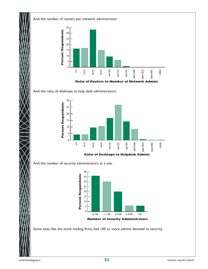And the number of routers per network administrator:



**Ratio of Routers to Number of Network Admins**

And the ratio of desktops to help desk administrators:



**Ratio of Desktops to Helpdesk Admins**

And the number of security administrators at a site:



Some sites, like the stock trading firms, had 100 or more admins devoted to security.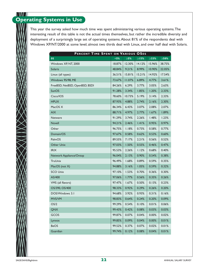### N NAZI **Operating Systems in Use**

This year the survey asked how much time was spent administering various operating systems.The interesting result of this table is not the actual times themselves, but rather the incredible diversity and deployment of a surprisingly large set of operating systems.About 81% of the respondents deal with Windows XP/NT/2000 at some level; almost two thirds deal with Linux, and over half deal with Solaris.

| PERCENT TIME SPENT ON VARIOUS OSES |        |           |            |            |            |  |  |
|------------------------------------|--------|-----------|------------|------------|------------|--|--|
| OS                                 | $<$ 5% | $\geq$ 5% | $\geq$ 15% | $\geq$ 33% | $\geq$ 50% |  |  |
| Windows XP, NT, 2000               | 18.87% | 12.30%    | 14.12%     | 15.96%     | 38.75%     |  |  |
| <b>Solaris</b>                     | 48.84% | 9.21%     | 8.99%      | 10.90%     | 22.05%     |  |  |
| Linux (all types)                  | 36.51% | 15.81%    | 15.21%     | 14.92%     | 17.54%     |  |  |
| Windows 95/98, ME                  | 73.67% | 11.07%    | 6.89%      | 4.77%      | 3.61%      |  |  |
| FreeBSD, NetBSD, OpenBSD, BSDI     | 84.26% | 6.29%     | 3.77%      | 3.05%      | 2.63%      |  |  |
| <b>SunOS</b>                       | 91.28% | 3.34%     | 1.85%      | 1.20%      | 2.33%      |  |  |
| Cisco/IOS                          | 78.60% | 10.73%    | 5.19%      | 3.14%      | 2.33%      |  |  |
| <b>HPUX</b>                        | 87.93% | 4.88%     | 2.74%      | 2.16%      | 2.30%      |  |  |
| MacOS X                            | 86.34% | 6.43%     | 3.07%      | 2.08%      | 2.07%      |  |  |
| <b>AIX</b>                         | 88.71% | 4.97%     | 2.77%      | 1.67%      | 1.89%      |  |  |
| Netware                            | 91.29% | 3.74%     | 2.26%      | 1.48%      | 1.23%      |  |  |
| Novell                             | 94.21% | 2.46%     | 1.41%      | 0.95%      | 0.97%      |  |  |
| Other                              | 96.75% | 1.18%     | 0.73%      | 0.58%      | 0.77%      |  |  |
| Domain/OS                          | 97.67% | 0.58%     | 0.62%      | 0.53%      | 0.60%      |  |  |
| PalmOS                             | 89.55% | 7.17%     | 2.21%      | 0.56%      | 0.52%      |  |  |
| Other Unix                         | 97.03% | 1.50%     | 0.55%      | 0.46%      | 0.47%      |  |  |
| <b>IRIX</b>                        | 95.53% | 2.26%     | 1.12%      | 0.68%      | 0.40%      |  |  |
| Network Appliance/Ontop            | 96.04% | 2.13%     | 0.90%      | 0.54%      | 0.38%      |  |  |
| TruUnix                            | 96.49% | 1.68%     | 0.89%      | 0.59%      | 0.35%      |  |  |
| MacOS (not X)                      | 94.88% | 3.16%     | 1.05%      | 0.59%      | 0.32%      |  |  |
| <b>SCO Unix</b>                    | 97.10% | 1.53%     | 0.70%      | 0.36%      | 0.30%      |  |  |
| AS/400                             | 97.06% | 1.77%     | 0.56%      | 0.35%      | 0.26%      |  |  |
| VMS (all flavors)                  | 97.47% | 1.67%     | 0.50%      | 0.13%      | 0.23%      |  |  |
| OS/390, OS/400                     | 98.33% | 0.92%     | 0.29%      | 0.26%      | 0.20%      |  |  |
| DOS/Windows 3.1                    | 94.68% | 3.92%     | 0.93%      | 0.31%      | 0.16%      |  |  |
| MVS/VM                             | 98.83% | 0.64%     | 0.24%      | 0.20%      | 0.09%      |  |  |
| OS/2                               | 99.29% | 0.54%     | 0.10%      | 0.01%      | 0.06%      |  |  |
| QNX                                | 99.43% | 0.42%     | 0.08%      | 0.03%      | 0.03%      |  |  |
| GCOS                               | 99.87% | 0.07%     | 0.04%      | 0.00%      | 0.02%      |  |  |
| Lynxos                             | 99.85% | 0.09%     | 0.04%      | 0.00%      | 0.01%      |  |  |
| <b>BeOS</b>                        | 99.52% | 0.37%     | 0.07%      | 0.02%      | 0.01%      |  |  |
| Guardian                           | 99.74% | 0.12%     | 0.08%      | 0.04%      | 0.01%      |  |  |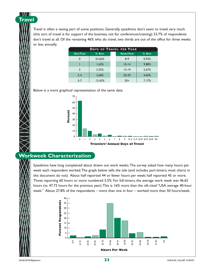Travel is often a vexing part of some positions. Generally, sysadmins don't seem to travel very much (this sort of travel is for support of the business, not for conferences/training); 53.7% of respondents don't travel at all. Of the remaining 46% who do travel, two thirds are out of the office for three weeks or less annually.

| <b>DAYS OF TRAVEL PER YEAR</b> |         |  |                   |         |  |  |
|--------------------------------|---------|--|-------------------|---------|--|--|
| DAYS/YEAR                      | % RESP. |  | <b>HOURS/YEAR</b> | % RESP. |  |  |
|                                | 53.66%  |  | $8-9$             | 0.93%   |  |  |
|                                | 1.62%   |  | $10 - 14$         | 9.88%   |  |  |
| $\mathbf{2}$                   | 3.35%   |  | $15 - 19$         | 2.67%   |  |  |
| $3 - 4$                        | 3.68%   |  | $20 - 29$         | 4.60%   |  |  |
| $5 - 7$                        | 12.43%  |  | $30+$             | 7.17%   |  |  |

Below is a more graphical representation of the same data:



### **Workweek Characterization**

Sysadmins have long complained about drawn out work weeks.The survey asked how many hours per week each respondent worked.The graph below tells the tale (and includes part-timers; most charts in this document do not). About half reported 44 or fewer hours per week; half reported 45 or more. Those reporting 60 hours or more numbered 5.5%. For full-timers, the average work week was 46.65 hours (vs. 47.73 hours for the previous year).This is 16% more than the oft-cited "USA average 40-hour week." About 27.8% of the respondents – more than one in four – worked more than 50 hours/week.



**Travel**

N NATA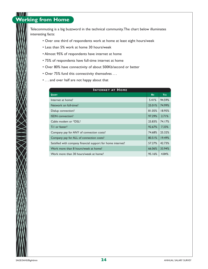#### I VIV A **Working from Home**

Telecommuting is a big buzzword in the technical community.The chart below illuminates interesting facts:

- Over one third of respondents work at home at least eight hours/week
- Less than 5% work at home 30 hours/week
- Almost 95% of respondents have internet at home
- 75% of respondents have full-time internet at home
- Over 80% have connectivity of about 500Kb/second or better
- Over 75% fund this connectivity themselves . . .
- . . . and over half are not happy about that

| <b>INTERNET AT HOME</b>                                     |           |                 |  |  |  |  |
|-------------------------------------------------------------|-----------|-----------------|--|--|--|--|
| <b>QUERY</b>                                                | <b>No</b> | Y <sub>ES</sub> |  |  |  |  |
| Internet at home?                                           | 5.41%     | 94.59%          |  |  |  |  |
| Network on full-time?                                       | 25.01%    | 74.99%          |  |  |  |  |
| Dialup connection?                                          | 81.05%    | 18.95%          |  |  |  |  |
| <b>ISDN</b> connection?                                     | 97.29%    | 2.71%           |  |  |  |  |
| Cable modem or *DSL?                                        | 25.83%    | 74.17%          |  |  |  |  |
| T-1 or faster?                                              | 92.67%    | 7.33%           |  |  |  |  |
| Company pay for ANY of connection costs?                    | 74.68%    | 25.32%          |  |  |  |  |
| Company pay for ALL of connection costs?                    | 80.51%    | 19.49%          |  |  |  |  |
| Satisfied with company financial support for home internet? | 57.27%    | 42.73%          |  |  |  |  |
| Work more than 8 hours/week at home?                        | 66.06%    | 33.94%          |  |  |  |  |
| Work more than 30 hours/week at home?                       | 95.16%    | 4.84%           |  |  |  |  |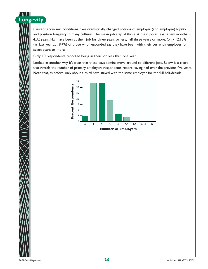

Current economic conditions have dramatically changed notions of employer (and employee) loyalty and position longevity in many cultures.The mean job stay of those at their job at least a few months is 4.32 years. Half have been at their job for three years or less; half three years or more. Only 12.15% (vs. last year at 18.4%) of those who responded say they have been with their currently employer for seven years or more.

Only 10 respondents reported being in their job less than one year.

Looked at another way, it's clear that these days admins move around to different jobs. Below is a chart that reveals the number of primary employers respondents report having had over the previous five years. Note that, as before, only about a third have stayed with the same employer for the full half-decade.

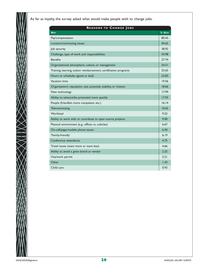As far as loyalty, the survey asked what would make people wish to change jobs:

| <b>REASONS TO CHANGE JOBS</b>                                     |         |
|-------------------------------------------------------------------|---------|
| <b>WHY</b>                                                        | % RESP. |
| Pay/compensation                                                  | 80.43   |
| Location/commuting issues                                         | 44.65   |
| Job security                                                      | 38.92   |
| Challenge, type of work and responsibilities                      | 34.98   |
| <b>Benefits</b>                                                   | 27.74   |
| Organizational atmosphere, culture, or management                 | 24.31   |
| Training, learning, tuition reimbursement, certification programs | 23.65   |
| Hours or schedules (good or bad)                                  | 22.83   |
| Vacation time                                                     | 19.56   |
| Organization's reputation, size, potential, stability, or mission | 18.66   |
| New technology                                                    | 1799    |
| Ability to advance/be promoted more quickly                       | 17.93   |
| People (friendlier, more competent, etc.)                         | 16.14   |
| Telecommuting                                                     | 10.65   |
| Workload                                                          | 9.22    |
| Ability to work with or contribute to open source projects        | 9.00    |
| Physical environment (e.g., offices vs. cubicles)                 | 6.67    |
| On-call/pager/mobile phone issues                                 | 6.30    |
| 'Family-friendly'                                                 | 6.19    |
| Conference attendance                                             | 4.75    |
| Travel issues (want more or want less)                            | 4.66    |
| Ability to avoid a given brand or vendor                          | 2.32    |
| Visa/work permit                                                  | 2.21    |
| Other                                                             | 1.43    |
| Child care                                                        | 0.93    |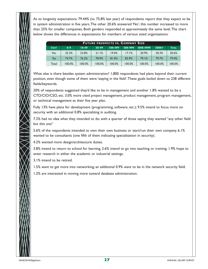As to longevity expectations: 79.44% (vs. 75.8% last year) of respondents report that they expect to be in system administration in five years.The other 20.6% answered 'No'; this number increased to more than 25% for smaller companies. Both genders responded at approximately the same level.The chart below shows the differences in expectations for members of various sized organizations:

| <b>FUTURE PROSPECTS VS. COMPANY SIZE</b> |         |         |        |         |        |                                     |         |              |
|------------------------------------------|---------|---------|--------|---------|--------|-------------------------------------|---------|--------------|
| STAY?                                    | $0 - 9$ | $10-49$ | 50-99  | 100-499 |        | $\sqrt{500-999}$ $\sqrt{1000-4999}$ | $5000+$ | <b>TOTAL</b> |
| No                                       | 25.3%   | 23.8%   | 21.1%  | 19.0%   | 17.1%  | 20.9%                               | 20.3%   | 20.6%        |
| Yes                                      | 74.7%   | 76.2%   | 78.9%  | 81.0%   | 82.9%  | 79.1%                               | 79.7%   | 79.4%        |
| Total                                    | 100.0%  | 100.0%  | 100.0% | 100.0%  | 100.0% | 100.0%                              | 100.0%  | 100.0%       |

What else is there besides system administration? 1,800 respondents had plans beyond their current position, even though some of them were 'staying in the field'.These goals boiled down to 238 different fields/keywords.

20% of respondents suggested they'd like to be in management and another 1.8% wanted to be a CTO/CIO/CSO, etc. 3.0% more cited project management, product management, program management, or technical management as their five year plan.

Fully 13% have plans for development (programming, software, etc.); 9.5% intend to focus more on security with an additional 0.8% specializing in auditing.

7.2% had no idea what they intended to do, with a quarter of those saying they wanted "any other field but this one"

5.6% of the respondents intended to own their own business or start/run their own company. 6.1% wanted to be consultants (one fifth of them indicating specialization in security).

4.2% wanted more design/architecture duties.

3.8% intend to return to school for learning, 2.6% intend to go into teaching or training. 1.9% hope to enter research in either the academic or industrial settings.

3.1% intend to be retired.

1.5% want to get more into networking; an additional 0.9% want to be in the network security field.

1.2% are interested in moving more toward database administration.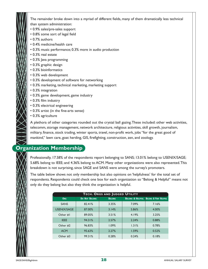The remainder broke down into a myriad of different fields, many of them dramatically less technical than system administration:

- 0.9% sales/pre-sales support
- 0.8% some sort of legal field
- 0.7% authors
- 0.4% medicine/health care
- 0.3% music performance; 0.3% more in audio production
- 0.3% real estate
- 0.3% Java programming
- 0.3% graphic design
- 0.3% bioinformatics
- 0.3% web development
- 0.3% development of software for networking
- 0.3% marketing, technical marketing, marketing support
- 0.3% integration
- 0.3% game development, game industry
- 0.3% film industry
- 0.3% electrical engineering
- 0.3% artist (in the fine-arts sense)
- 0.3% agriculture

A plethora of other categories rounded out the crystal ball gazing.These included: other web activities, telecomm, storage management, network architecture, religious activities, skill growth, journalism, military, finance, stock trading, winter sports, travel, non-profit work, jobs "for the great good of mankind," lawn care, goat herding, GIS, firefighting, construction, zen, and zoology.

## **Organization Membership**

Professionally, 17.58% of the respondents report belonging to SANS; 13.01% belong to USENIX/SAGE; 5.68% belong to IEEE; and 4.36% belong to ACM. Many other organizations were also represented.This breakdown is not surprising, since SAGE and SANS were among the survey's promoters.

The table below shows not only membership but also opinions on 'helpfulness' for the total set of respondents. Respondents could check one box for each organization so "Belong & Helpful" means not only do they belong but also they think the organization is helpful.

| TECH. ORGS AND JUDGED UTILITY |                      |               |       |                                                       |  |  |  |
|-------------------------------|----------------------|---------------|-------|-------------------------------------------------------|--|--|--|
| <b>ORG</b>                    | <b>Do Not BELONG</b> | <b>BELONG</b> |       | <b>BELONG &amp; HELPFUL BELONG &amp; VERY HELPFUL</b> |  |  |  |
| <b>SANS</b>                   | 82.41%               | 3.35%         | 7.09% | 7.16%                                                 |  |  |  |
| <b>USENIX/SAGE</b>            | 87.00%               | 3.14%         | 5.86% | 4.00%                                                 |  |  |  |
| Other #1                      | 89.05%               | 3.51%         | 4.19% | 3.25%                                                 |  |  |  |
| <b>IEEE</b>                   | 94.31%               | 2.57%         | 2.24% | 0.88%                                                 |  |  |  |
| Other #2                      | 96.83%               | 1.09%         | 1.31% | 0.78%                                                 |  |  |  |
| <b>ACM</b>                    | 95.63%               | 2.27%         | 1.59% | 0.52%                                                 |  |  |  |
| Other #3                      | 99.31%               | 0.28%         | 0.24% | 0.18%                                                 |  |  |  |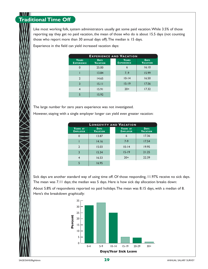#### N NAMA **Traditional Time Off**

Like most working folk, system administrators usually get some paid vacation.While 3.5% of those reporting say they get no paid vacation, the mean of those who do is about 15.5 days (not counting those who report more than 30 annual days off).The median is 15 days.

Experience in the field can yield increased vacation days:

| <b>EXPERIENCE AND VACATION</b> |                                |                            |                                |  |  |  |
|--------------------------------|--------------------------------|----------------------------|--------------------------------|--|--|--|
| YEARS<br><b>EXPERIENCE</b>     | <b>DAYS</b><br><b>VACATION</b> | YEARS<br><b>EXPERIENCE</b> | <b>DAYS</b><br><b>VACATION</b> |  |  |  |
|                                | 25.00                          | 6                          | 16.10                          |  |  |  |
|                                | 13.84                          | 7.9                        | 15.99                          |  |  |  |
| $\mathcal{D}$                  | 14.65                          | $10 - 14$                  | 16.50                          |  |  |  |
| 3                              | 15.11                          | $15 - 19$                  | 17.56                          |  |  |  |
|                                | 15.91                          | $20+$                      | 17.32                          |  |  |  |
|                                | 15.92                          |                            |                                |  |  |  |

The large number for zero years experience was not investigated.

However, staying with a single employer longer can yield even greater vacation:

| <b>LONGEVITY AND VACATION</b> |                                |  |                             |                                |  |  |
|-------------------------------|--------------------------------|--|-----------------------------|--------------------------------|--|--|
| YEARS AT<br><b>EMPLOYER</b>   | <b>DAYS</b><br><b>VACATION</b> |  | YEARS AT<br><b>EMPLOYER</b> | <b>DAYS</b><br><b>VACATION</b> |  |  |
|                               | 13.87                          |  | 6                           | 17.36                          |  |  |
|                               | 14.16                          |  | $7-9$                       | 17.54                          |  |  |
| $\mathcal{P}$                 | 15.03                          |  | $10 - 14$                   | 19.95                          |  |  |
| 3                             | 15.34                          |  | $15 - 19$                   | 21.25                          |  |  |
|                               | 16.53                          |  | $20+$                       | 22.39                          |  |  |
|                               | 16.95                          |  |                             |                                |  |  |

Sick days are another standard way of using time off. Of those responding, 11.97% receive no sick days. The mean was 7.11 days; the median was 5 days. Here is how sick day allocation breaks down:

About 5.8% of respondents reported no paid holidays.The mean was 8.15 days, with a median of 8. Here's the breakdown graphically:

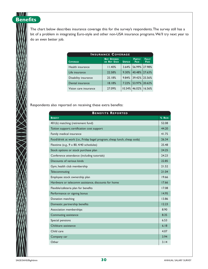**Benefits** The chart below describes insurance coverage this for the survey's respondents.The survey still has a bit of a problem in integrating Euro-style and other non-USA insurance programs.We'll try next year to do an even better job.

| <b>INSURANCE COVERAGE</b> |                                   |               |                              |                      |  |  |  |  |
|---------------------------|-----------------------------------|---------------|------------------------------|----------------------|--|--|--|--|
| <b>COVERAGE</b>           | <b>NOT OFFERED</b><br>OR NOT USED | <b>UNPAID</b> | <b>PARTLY</b><br><b>PAID</b> | <b>FULLY</b><br>PAID |  |  |  |  |
| Health insurance          | 11.40%                            | 3.64%         | 56.99% 27.98%                |                      |  |  |  |  |
| Life insurance            | 22.58%                            | 9.30%         | 40.48% 27.63%                |                      |  |  |  |  |
| Disability insurance      | 25.18%                            | 9.84%         | 39.42% 25.56%                |                      |  |  |  |  |
| Dental insurance          | 18.18%                            | 7.22%         | 53.97% 20.62%                |                      |  |  |  |  |
| Vision care insurance     | 27.09%                            |               | $10.34\%$ 46.02%             | 16.56%               |  |  |  |  |

Respondents also reported on receiving these extra benefits:

| <b>BENEFITS REPORTED</b>                                                 |         |  |  |  |
|--------------------------------------------------------------------------|---------|--|--|--|
| <b>BENEFIT</b>                                                           | % RESP. |  |  |  |
| 401(k) matching (retirement fund)                                        | 52.08   |  |  |  |
| Tuition support; certification cost support                              | 44.20   |  |  |  |
| Family medical insurance                                                 | 41.75   |  |  |  |
| Food/drink at work (i.e., Friday bagel program, cheap lunch, cheap soda) | 26.34   |  |  |  |
| Flextime (e.g., 9 x 80, 4/40 schedules)                                  | 25.48   |  |  |  |
| Stock options or stock purchase plan                                     | 24.25   |  |  |  |
| Conference attendance (including tutorials)                              | 24.23   |  |  |  |
| Discounts of various kinds                                               | 22.85   |  |  |  |
| Gym, health club membership                                              | 21.52   |  |  |  |
| Telecommuting                                                            | 21.04   |  |  |  |
| Employee stock ownership plan                                            | 19.66   |  |  |  |
| Hardware or telecomm assistance, discounts for home                      | 17.66   |  |  |  |
| Flexible/cafeteria plan for benefits                                     | 17.08   |  |  |  |
| Performance or signing bonus                                             | 14.95   |  |  |  |
| Donation matching                                                        | 13.86   |  |  |  |
| Domestic partnership benefits                                            | 12.23   |  |  |  |
| Association memberships                                                  | 8.90    |  |  |  |
| Commuting assistance                                                     | 8.35    |  |  |  |
| Special pensions                                                         | 6.53    |  |  |  |
| Childcare assistance                                                     | 6.18    |  |  |  |
| Child care                                                               | 4.07    |  |  |  |
| Company car                                                              | 3.94    |  |  |  |
| Other                                                                    | 3.14    |  |  |  |

\\M\\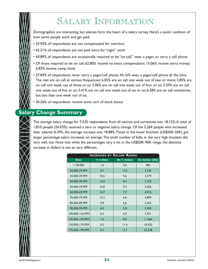# SALARY INFORMATION

Demographics are interesting, but salaries form the heart of a salary survey. Here's a quick rundown of how some people work and get paid:

- 53.92% of respondents are not compensated for overtime
- 65.21% of respondents are not paid extra for "night" work
- 69.89% of respondents are occasionally required to be "on-call," wear a pager, or carry a cell phone
- Of those required to be on call, 62.80% receive no extra compensation; 15.06% receive extra money; 6.83% receive comp time)
- 27.84% of respondents never carry a pager/cell phone; 44.16% wear a pager/cell phone all the time. The rest are on call at various frequencies: 6.05% are on call one week out of two or more; 3.85% are on call one week out of three or so; 5.06% are on call one week out of four or so; 3.35% are on call one week out of five or so; 3.41% are on call one week out of six or so; 6.28% are on call sometimes, but less than one week out of six.
- 30.26% of respondents receive some sort of stock bonus

## **Salary Change Summary**

The average salary change for 7,532 respondents from all nations and currencies was +8.15%.A total of 1,810 people (24.03%) received a zero or negative salary change. Of the 5,264 people who increased their salaries 0-30%, the average increase was +8.88%.Those in the lower brackets (US\$20K-50K) got larger percentage salary increases on average.The small number of folks in the very high brackets did very well, too. Note that while the percentages vary a lot in the US\$20K-90K range, the absolute increase in dollars is not so very different.

| <b>INCREASES BY SALARY RANGE</b> |            |                       |                     |  |  |  |
|----------------------------------|------------|-----------------------|---------------------|--|--|--|
| <b>RANGE</b>                     | % IN RANGE | <b>Avg % INCREASE</b> | AVG INCREASE (US\$) |  |  |  |
| < 20,000                         | 1.6        | 5.6                   | 982                 |  |  |  |
| 20,000-29,999                    | 4.7        | 13.5                  | 3,545               |  |  |  |
| 30,000-39,999                    | 10.6       | 9.6                   | 3,379               |  |  |  |
| 40,000-49,999                    | 14.0       | 8.4                   | 3,750               |  |  |  |
| 50,000-59,999                    | 16.8       | 9.3                   | 5,026               |  |  |  |
| 60,000-69,999                    | 14.7       | 7.7                   | 4,915               |  |  |  |
| 70,000-79,999                    | 13.3       | 6.6                   | 4,899               |  |  |  |
| 80,000-89,999                    | 9.8        | 6.6                   | 5,562               |  |  |  |
| 90,000-99,999                    | 6.0        | 5.8                   | 5,494               |  |  |  |
| 100,000-124,999                  | 6.2        | 6.9                   | 7,591               |  |  |  |
| 125,000-149,999                  | 1.6        | 8.9                   | 11,964              |  |  |  |
| 150,000-174,999                  | 0.5        | 11.6                  | 18,430              |  |  |  |
| 175,000-199,999                  | 0.2        | 2.1                   | 22,278              |  |  |  |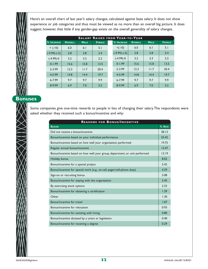Here's an overall chart of last year's salary changes, calculated against base salary. It does not show experience or job categories and thus must be viewed as no more than an overall big picture. It does suggest, however, that little if any gender-gap exists on the overall generality of salary changes.

| <b>SALARY RAISES FROM YEAR-TO-YEAR</b> |                |             |               |  |                    |                |             |               |
|----------------------------------------|----------------|-------------|---------------|--|--------------------|----------------|-------------|---------------|
| % INCREASE                             | <b>OVERALL</b> | <b>MALE</b> | <b>FEMALE</b> |  | <b>% INCREASE</b>  | <b>OVERALL</b> | <b>MALE</b> | <b>FEMALE</b> |
| $<$ (-10)                              | 6.0            | 6.1         | 5.1           |  | $< (-10)$          | 6.0            | 6.1         | 5.1           |
| $(-9.99)$ - $(-5)$                     | 2.8            | 2.8         | 2.4           |  | $(-9.99)$ - $(-5)$ | 2.8            | 2.8         | 2.4           |
| $(-4.99)-0$                            | 3.2            | 3.3         | 2.2           |  | $(-4.99)-0$        | 3.2            | 3.3         | 2.2           |
| $0 - 1.99$                             | 15.6           | 15.8        | 13.5          |  | $0 - 1.99$         | 15.6           | 15.8        | 13.5          |
| $2 - 3.99$                             | 12.3           | 11.7        | 20.4          |  | $2 - 3.99$         | 12.3           | 11.7        | 20.4          |
| 4-5.99                                 | 14.8           | 14.4        | 19.7          |  | 4-5.99             | 14.8           | 14.4        | 19.7          |
| $6 - 7.99$                             | 9.7            | 9.7         | 9.9           |  | $6 - 7.99$         | 9.7            | 9.7         | 9.9           |
| 8-9.99                                 | 6.9            | 7.0         | 5.5           |  | 8-9.99             | 6.9            | 7.0         | 5.5           |

## **Bonuses**

Some companies give one-time rewards to people in lieu of changing their salary.The respondents were asked whether they received such a bonus/incentive and why:

| <b>REASONS FOR BONUS/INCENTIVE</b>                                          |         |  |  |  |
|-----------------------------------------------------------------------------|---------|--|--|--|
| <b>REASON</b>                                                               | % RESP. |  |  |  |
| Did not receive a bonus/incentive                                           | 38.13   |  |  |  |
| Bonus/incentive based on your individual performance                        | 25.42   |  |  |  |
| Bonus/incentive based on how well your organization performed               | 19.75   |  |  |  |
| Regular annual bonus/incentive                                              | 13.47   |  |  |  |
| Bonus/incentive based on how well your group, department, or unit performed | 13.19   |  |  |  |
| Holiday bonus                                                               | 8.02    |  |  |  |
| Bonus/incentive for a special project                                       | 5.42    |  |  |  |
| Bonus/incentive for special work (e.g., on-call, pager/cell-phone duty)     | 4.29    |  |  |  |
| Sign-on or recruiting bonus                                                 | 3.08    |  |  |  |
| Bonus/incentive for staying with the organization                           | 2.45    |  |  |  |
| By exercising stock options                                                 | 2.33    |  |  |  |
| Bonus/incentive for obtaining a certification                               | 1.39    |  |  |  |
| Other                                                                       | 1.30    |  |  |  |
| Bonus/incentive for travel                                                  | 1.07    |  |  |  |
| Bonus/incentive for relocation                                              | 0.93    |  |  |  |
| Bonus/incentive for assisting with hiring                                   | 0.80    |  |  |  |
| Bonus/incentive dictated by a union or legislation                          | 0.40    |  |  |  |
| Bonus/incentive for receiving a degree                                      | 0.29    |  |  |  |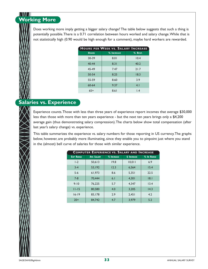# **Working More**

Does working more imply getting a bigger salary change? The table below suggests that such a thing is potentially possible.There is a 0.71 correlation between hours worked and salary change.While that is not statistically high (0.90 would be high enough for a comment), maybe hard workers are rewarded.

| <b>HOURS PER WEEK VS. SALARY INCREASE</b> |            |                  |  |  |  |  |
|-------------------------------------------|------------|------------------|--|--|--|--|
| <b>HOURS</b>                              | % INCREASE | % RESP.          |  |  |  |  |
| 30-39                                     | 8.01       | 10.4             |  |  |  |  |
| $40 - 44$                                 | 8.31       | 40.2             |  |  |  |  |
| 45-49                                     | 7.47       | 21.7             |  |  |  |  |
| 50-54                                     | 8.25       | 18.3             |  |  |  |  |
| 55-59                                     | 8.60       | 3.9              |  |  |  |  |
| $60 - 64$                                 | 9.37       | 4.1              |  |  |  |  |
| $65+$                                     | 8.61       | $\overline{1.4}$ |  |  |  |  |

### **Salaries vs. Experience**

Experience counts.Those with less than three years of experience report incomes that average \$30,000 less than those with more than ten years experience - but the next ten years brings only a \$4,200 average gain (thus demonstrating salary compression).The charts below show total compensation (after last year's salary change) vs. experience.

This table summarizes the experience vs. salary numbers for those reporting in US currency.The graphs below, however, are probably more illuminating, since they enable you to pinpoint just where you stand in the (almost) bell curve of salaries for those with similar experience.

|                  | <b>COMPUTER EXPERIENCE VS. SALARY AND INCREASE</b> |            |                   |            |  |  |  |
|------------------|----------------------------------------------------|------------|-------------------|------------|--|--|--|
| <b>EXP RANGE</b> | <b>AVG SALARY</b>                                  | % INCREASE | <b>S</b> INCREASE | % In RANGE |  |  |  |
| $1-2$            | 50,613                                             | 19.8       | 10,011            | 6.9        |  |  |  |
| $3 - 4$          | 53,192                                             | 12.3       | 6,564             | 15.4       |  |  |  |
| $5-6$            | 61,973                                             | 8.6        | 5,351             | 22.5       |  |  |  |
| $7 - 8$          | 70.444                                             | 6.1        | 4.301             | 8.1        |  |  |  |
| $9 - 10$         | 76.225                                             | 5.7        | 4.347             | 13.4       |  |  |  |
| $11 - 15$        | 80,580                                             | 4.0        | 3.205             | 14.3       |  |  |  |
| $16 - 19$        | 83.178                                             | 2.9        | 2,451             | 4.2        |  |  |  |
| $20+$            | 84.742                                             | 4.7        | 3.979             | 5.2        |  |  |  |
|                  |                                                    |            |                   |            |  |  |  |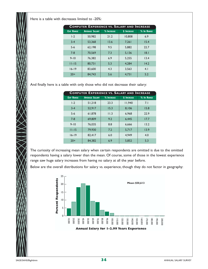Here is a table with decreases limited to -20%:

| <b>COMPUTER EXPERIENCE VS. SALARY AND INCREASE</b> |                       |            |                    |            |  |  |
|----------------------------------------------------|-----------------------|------------|--------------------|------------|--|--|
| <b>EXP RANGE</b>                                   | <b>AVERAGE SALARY</b> | % INCREASE | <b>\$ INCREASE</b> | % In RANGE |  |  |
| $1-2$                                              | 50,982                | 21.2       | 10,808             | 6.9        |  |  |
| $3 - 4$                                            | 53,368                | 13.6       | 7,261              | 15.4       |  |  |
| $5-6$                                              | 62.198                | 9.5        | 5,882              | 22.7       |  |  |
| $7 - 8$                                            | 70.569                | 7.3        | 5,136              | 8.1        |  |  |
| $9 - 10$                                           | 76.382                | 6.9        | 5.255              | 13.4       |  |  |
| $11 - 15$                                          | 80.731                | 5.3        | 4.284              | 14.2       |  |  |
| $16 - 19$                                          | 83,600                | 4.3        | 3,563              | 4.1        |  |  |
| $20+$                                              | 84.743                | 5.6        | 4,731              | 5.2        |  |  |

And finally here is a table with only those who did not decrease their salary:

| <b>COMPUTER EXPERIENCE VS. SALARY AND INCREASE</b> |                       |            |                   |            |  |  |
|----------------------------------------------------|-----------------------|------------|-------------------|------------|--|--|
| <b>EXP RANGE</b>                                   | <b>AVERAGE SALARY</b> | % INCREASE | <b>S</b> INCREASE | % In RANGE |  |  |
| $1-2$                                              | 51,218                | 23.3       | 11,940            | 7.1        |  |  |
| $3 - 4$                                            | 52,917                | 15.3       | 8.106             | 15.8       |  |  |
| $5-6$                                              | 61,878                | 11.3       | 6,968             | 22.9       |  |  |
| $7 - 8$                                            | 69,809                | 9.2        | 6,445             | 17.7       |  |  |
| $9 - 10$                                           | 76.035                | 8.8        | 6.666             | 13.2       |  |  |
| $11 - 15$                                          | 79,930                | 7.2        | 5,717             | 13.9       |  |  |
| $16 - 19$                                          | 82,417                | 6.0        | 4,949             | 4.0        |  |  |
| $20+$                                              | 84,382                | 6.9        | 5,852             | 5.3        |  |  |

The curiosity of increasing mean salary when certain respondents are omitted is due to the omitted respondents having a salary lower than the mean. Of course, some of those in the lowest experience range saw huge salary increases from having no salary at all the year before.

Below are the overall distributions for salary vs. experience, though they do not factor in geography:



**Annual Salary for 1-2.99 Years Experience**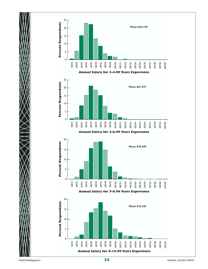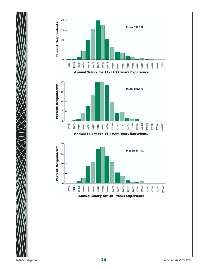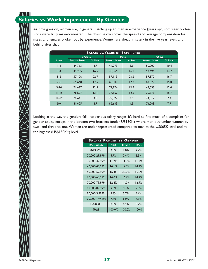#### N VIV 7 **Salaries vs.Work Experience - By Gender**

As time goes on, women are, in general, catching up to men in experience (years ago, computer professions were truly male-dominated).The chart below shows the spread and average compensation for males and females broken out by experience.Women are ahead in salary in the 1-6 year levels and behind after that.

| <b>SALARY VS. YEARS OF EXPERIENCE</b> |                       |         |                       |             |                       |               |  |
|---------------------------------------|-----------------------|---------|-----------------------|-------------|-----------------------|---------------|--|
|                                       | <b>OVERALL</b>        |         |                       | <b>MALE</b> |                       | <b>FEMALE</b> |  |
| <b>YEARS</b>                          | <b>AVERAGE SALARY</b> | % RESP. | <b>AVERAGE SALARY</b> | % RESP.     | <b>AVERAGE SALARY</b> | % RESP.       |  |
| $1-2$                                 | 44,763                | 8.7     | 44.273                | 8.6         | 50,000                | 10.4          |  |
| $3 - 4$                               | 49.255                | 16.5    | 48,966                | 16.7        | 53.494                | 14.7          |  |
| $5-6$                                 | 57,126                | 22.7    | 57.113                | 23.2        | 57,370                | 16.7          |  |
| $7 - 8$                               | 65,648                | 17.5    | 65,800                | 17.7        | 63.329                | 15.0          |  |
| $9 - 10$                              | 71.637                | 12.9    | 71.974                | 12.9        | 67,095                | 12.4          |  |
| $11 - 15$                             | 76,627                | 13.1    | 77,167                | 12.9        | 70,876                | 15.7          |  |
| $16 - 19$                             | 78,641                | 3.8     | 79,327                | 3.5         | 74,312                | 7.3           |  |
| $20+$                                 | 81,605                | 4.7     | 82,633                | 4.5         | 74.063                | 7.9           |  |

Looking at the way the genders fall into various salary ranges, it's hard to find much of a complaint for gender equity except in the bottom two brackets (under US\$30K) where men outnumber women by two- and three-to-one.Women are under-represented compared to men at the US\$65K level and at the highest (US\$150K+) level.

| <b>SALARY RANGES BY GENDER</b> |             |               |              |
|--------------------------------|-------------|---------------|--------------|
| <b>TOTAL SALARY</b>            | <b>MALE</b> | <b>FEMALE</b> | <b>TOTAL</b> |
| 0-19,999                       | 2.8%        | 1.0%          | 2.7%         |
| 20,000-29,999                  | 5.7%        | 2.4%          | 5.5%         |
| 30,000-39,999                  | 11.2%       | 11.3%         | 11.2%        |
| 40,000-49,999                  | 14.1%       | 14.3%         | 14.1%        |
| 50,000-59,999                  | 16.3%       | 20.0%         | 16.6%        |
| 60,000-69,999                  | 14.0%       | 16.7%         | 14.2%        |
| 70,000-79,999                  | 12.8%       | 14.0%         | 12.9%        |
| 80.000-89.999                  | 9.3%        | 8.4%          | 9.3%         |
| 90,000-9,9999                  | 5.6%        | 5.7%          | 5.6%         |
| 100,000-149,999                | 7.4%        | 6.0%          | 7.3%         |
| 150,000+                       | 0.8%        | 0.2%          | 0.7%         |
| Total                          | 100.0%      | 100.0%        | 100.0        |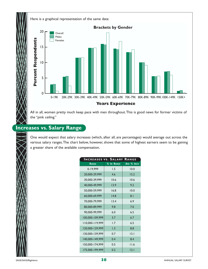

All in all, women pretty much keep pace with men throughout.This is good news for former victims of the "pink ceiling."

## **Increases vs. Salary Range**

One would expect that salary increases (which, after all, are percentages) would average out across the various salary ranges.The chart below, however, shows that some of highest earners seem to be gaining a greater share of the available compensation.

| <b>INCREASES VS. SALARY</b> |            | RANGE      |
|-----------------------------|------------|------------|
| <b>RANGE</b>                | % In RANGE | Avg % INCR |
| 0-19,999                    | 1.5        | 10.0       |
| 20,000-29,999               | 4.6        | 15.2       |
| 30,000-39,999               | 10.6       | 10.6       |
| 40,000-49,999               | 13.9       | 9.2        |
| 50,000-59,999               | 16.8       | 10.0       |
| 60,000-69,999               | 14.8       | 8.1        |
| 70,000-79,999               | 13.4       | 6.9        |
| 80,000-89,999               | 9.8        | 7.0        |
| 90,000-99,999               | 6.0        | 6.5        |
| 100,000-109,999             | 3.7        | 6.7        |
| 110,000-119,999             | 1.7        | 6.5        |
| 120,000-129,999             | 1.3        | 8.8        |
| 130,000-139,999             | 0.7        | 3.1        |
| 140,000-149,999             | 0.4        | 8.4        |
| 150,000-174,999             | 0.5        | 11.6       |
| 175,000-199,999             | 0.2        | 12.1       |

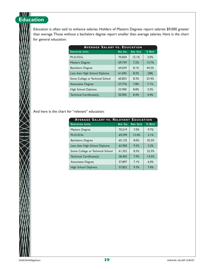# **Education**

Education is often said to enhance salaries. Holders of Masters Degrees report salaries \$9,000 greater than average.Those without a bachelors degree report smaller than average salaries. Here is the chart for general education:

| <b>AVERAGE SALARY VS. EDUCATION</b> |                |                 |        |  |  |  |
|-------------------------------------|----------------|-----------------|--------|--|--|--|
| <b>EDUCATION LEVEL</b>              | <b>Avg SAL</b> | <b>ANG INCR</b> | % RESP |  |  |  |
| Ph.D./D.Sc.                         | 70,830         | 12.1%           | 3.0%   |  |  |  |
| <b>Masters Degree</b>               | 69,739         | 7.2%            | 13.7%  |  |  |  |
| <b>Bachelors Degree</b>             | 64,029         | 8.1%            | 44.3%  |  |  |  |
| Less than High School Diploma       | 61.045         | 8.2%            | $[48]$ |  |  |  |
| Some College or Technical School    | 60,853         | 8.3%            | 23.4%  |  |  |  |
| <b>Associates Degree</b>            | 57,776         | 7.8%            | 7.1%   |  |  |  |
| High School Diploma                 | 53,900         | 8.8%            | 3.5%   |  |  |  |
| Technical Certificate(s)            | 50,905         | 8.4%            | 4.4%   |  |  |  |

And here is the chart for "relevant" education:

| <b>AVERAGE SALARY VS. RELEVANT EDUCATION</b> |                |                 |        |  |  |  |
|----------------------------------------------|----------------|-----------------|--------|--|--|--|
| <b>EDUCATION LEVEL</b>                       | <b>Avg SAL</b> | <b>ANG INCR</b> | % RESP |  |  |  |
| <b>Masters Degree</b>                        | 70,219         | 7.0%            | 9.7%   |  |  |  |
| Ph.D./D.Sc.                                  | 69.599         | 13.4%           | 2.1%   |  |  |  |
| <b>Bachelors Degree</b>                      | 65,125         | 8.0%            | 35.2%  |  |  |  |
| Less than High School Diploma                | 62,900         | 9.5%            | 3.2%   |  |  |  |
| Some College or Technical School             | 61,352         | 8.3%            | 22.3%  |  |  |  |
| Technical Certificate(s)                     | 58,402         | 7.9%            | 14.5%  |  |  |  |
| <b>Associates Degree</b>                     | 57,897         | 7.1%            | 6.0%   |  |  |  |
| High School Diploma                          | 57,822         | 9.3%            | 7.0%   |  |  |  |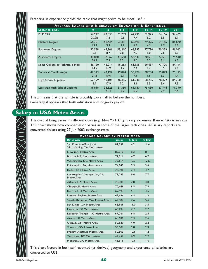Factoring in experience yields the table that might prove to be most useful:

| AVERAGE SALARY AND INCREASE BY EDUCATION & EXPERIENCE |         |                |         |         |           |               |        |  |
|-------------------------------------------------------|---------|----------------|---------|---------|-----------|---------------|--------|--|
| <b>EDUCATION LEVEL</b>                                | $0 - 1$ | $\overline{2}$ | $3 - 4$ | $5 - 9$ | $10 - 14$ | $15 - 19$     | $20 +$ |  |
| Ph.D./D.Sc.                                           | 54,927  | 72,533         | 62,799  | 62,795  | 82,975    | 84,166        | 94,469 |  |
|                                                       | 20.2#   | 7.2            | 10.5    | 9.7     | 5.2       | 3.5           | 6.7    |  |
| <b>Masters Degree</b>                                 | 66,381  | 58,434         | 53,351  | 66,598  | 79,396    | 84,166        | 86,670 |  |
|                                                       | 13.2    | 9.3            | 11.1    | 6.6     | 4.3       | 1.7           | 5.9    |  |
| <b>Bachelors Degree</b>                               | 50,558  | 45,846         | 53,690  | 63,893  | 77,780    | 79,359        | 81,012 |  |
|                                                       | 8.5     | 8.7            | 9.8     | 7.0     | 5.0       | 2.6           | 3.3    |  |
| <b>Associates Degree</b>                              | 38,820  | 37,069         | 44,558  | 56,539  | 70,501    | 72,501        | 74,510 |  |
|                                                       | 26.7    | 7.9            | 9.5     | 5.0     | 5.2       | 3.1           | 4.3    |  |
| Some College or Technical School                      | 46,160  | 42,014         | 46,253  | 61,958  | 69,437    | 77,726        | 84,144 |  |
|                                                       | 14.9    | 14.9           | 11.7    | 7.4     | 4.7       | 3.5           | 2.4    |  |
| Technical Certificate(s)                              | 42,323  | 42,192         | 49,024  | 58,126  | 68,234    | 75,829        | 75,195 |  |
|                                                       | 21.8    | 10.6           | 12.7    | 7.1     | 1.5       | 6.3           | 4.4    |  |
| High School Diploma                                   | 52,499  | 40,106         | 46,355  | 61,048  | 68,235    | 76,322        | 84,760 |  |
|                                                       | 5.7     | 17.9           | 7.2     | 8.1     | 5.5       | $3.4^{\circ}$ | 7.3    |  |
| Less than High School Diploma                         | 39,818  | 38,325         | 51,350  | 63,180  | 75,630    | 87.744        | 71,390 |  |
|                                                       | 5.9     | 23.3           | 12.2    | 6.9     | 3.6       | 2.9           | 6.6    |  |

The # means that the sample is probably too small to believe the numbers. Generally, it appears that both education and longevity pay off.

### **Salary in USA Metro Areas**

The cost of living varies in different cities (e.g., New York City is very expensive; Kansas City is less so). This chart shows how compensation varies in some of the larger tech cities. All salary reports are converted dollars using 27 Jun 2003 exchange rates.

|                                                          |               |        | <b>AVERAGE SALARY BY METRO AREA</b> |  |  |  |  |  |  |  |  |
|----------------------------------------------------------|---------------|--------|-------------------------------------|--|--|--|--|--|--|--|--|
| <b>METRO AREA</b>                                        | <b>SALARY</b> | % INCR | % RESP                              |  |  |  |  |  |  |  |  |
| San Francisco/San Jose/<br>Silicon Valley, CA Metro Area | 87,238        | 6.2    | 11.4                                |  |  |  |  |  |  |  |  |
| New York Metro Area                                      | 85,010        | 8.3    | 8.1                                 |  |  |  |  |  |  |  |  |
| Boston, MA, Metro Area                                   | 77.211        | 4.7    | 6.7                                 |  |  |  |  |  |  |  |  |
| Washington, DC Metro Area                                | 75.614        | 10.3   | 12.6                                |  |  |  |  |  |  |  |  |
| Philadelphia, PA, Metro Area                             | 74.343        | 5.5    | 3.6                                 |  |  |  |  |  |  |  |  |
| Dallas, TX Metro Area                                    | 73,390        | 7.4    | 4.7                                 |  |  |  |  |  |  |  |  |
| Los Angeles/ Orange Co., CA<br>Metro Area                | 73,285        | 9.4    | 7.7                                 |  |  |  |  |  |  |  |  |
| Atlanta, GA Metro Area                                   | 70,809        | 7.0    | 4.8                                 |  |  |  |  |  |  |  |  |
| Chicago, IL Metro Area                                   | 70,448        | 8.5    | 7.5                                 |  |  |  |  |  |  |  |  |
| Denver, CO Metro Area                                    | 69,493        | 5.1    | 4.6                                 |  |  |  |  |  |  |  |  |
| London, England Metro Area                               | 69,486        | 6.5    | 1.3                                 |  |  |  |  |  |  |  |  |
| Seattle/Redmond, WA Metro Areas                          | 69,082        | 7.6    | 5.6                                 |  |  |  |  |  |  |  |  |
| San Diego, CA Metro Area                                 | 68.969        | 11.0   | 3.5                                 |  |  |  |  |  |  |  |  |
| Houston, TX Metro Area                                   | 68.194        | 7.7    | 2.7                                 |  |  |  |  |  |  |  |  |
| Research Triangle, NC Metro Area                         | 67,261        | 6.8    | 2.5                                 |  |  |  |  |  |  |  |  |
| Austin, TX Metro Area                                    | 65,606        | 9.3    | 2.6                                 |  |  |  |  |  |  |  |  |
| Ottawa, ON Metro Area                                    | 52,520        | 4.0    | 2.2                                 |  |  |  |  |  |  |  |  |
| Toronto, ON Metro Area                                   | 50,506        | 9.8    | 2.9                                 |  |  |  |  |  |  |  |  |
| Sydney, Australia Metro Area                             | 50,503        | 10.6   | 1.2                                 |  |  |  |  |  |  |  |  |
| Vancouver, BC Metro Area                                 | 44,451        | 6.9    | 2.2                                 |  |  |  |  |  |  |  |  |
| Montreal, OC Metro Area                                  | 43,616        | 10.9   | 1.6                                 |  |  |  |  |  |  |  |  |

This chart factors in both self-reported (vs. derived) geography and experience; all salaries are converted to US\$.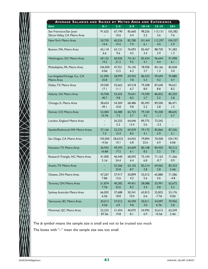

| <b>AVERAGE SALARIES AND RAISES BY METRO AREA AND EXPERIENCE</b> |         |                |                |                 |                  |                |
|-----------------------------------------------------------------|---------|----------------|----------------|-----------------|------------------|----------------|
| AREA                                                            | $0 - 1$ | $2 - 4$        | $5-9$          | $10 - 14$       | $15 - 19$        | $20 +$         |
| San Francisco/San Jose/                                         | 91,625  | 67,190         | 85,660         | 98,256          | 113,131          | 105,382        |
| Silicon Valley, CA Metro Area                                   |         | 10.6           | 4.4            | 2.2             | 2.6              | 7.6            |
| New York Metro Area                                             | 50,750  | 60,526         | 82,780         | 101,441         | 112,297          | 104,357        |
|                                                                 | 14.4    | 19.2           | 7.9            | 6.1             | 4.0              | 5.9            |
| Boston, MA, Metro Area                                          | 65,118  | 63, 121        | 76,093         | 83,467          | 88,720           | 91,283         |
|                                                                 | 6.6     | 9.6            | 4.5            | 3.4             | 3.9              | 1.3            |
| Washington, DC Metro Area                                       | 69,125  | 60,036         | 74,161         | 83,424          | 96,644           | 91,098         |
|                                                                 | 19.2    | 21.2           | 9.5            | 4.1             | 4.4              | 6.1            |
| Philadelphia, PA, Metro Area                                    | 106,000 | 47,921         | 76,105         | 78,958          | 84,166           | 85,838         |
|                                                                 | 0.0#    | 12.5           | 6.3            | 3.7             | 1.3              | 3.0            |
| Los Angeles/Orange Co., CA                                      | 61,090  | 58,999         | 69,955         | 86,433          | 99,694           | 95,880         |
| Metro Area                                                      | 25.8    | 17.1           | 7.8            | 5.3             | 4.2              | 4.7            |
| Dallas, TX Metro Area                                           | 59,500  | 55,662         | 69,518         | 79,308          | 87,640           | 90,631         |
|                                                                 | 17.1    | 11.1           | 6.7            | 8.0             | 8.8              | 8.2            |
| Atlanta, GA Metro Area                                          | 43,938  | 55.655         | 70.651         | 74,290          | 86,832           | 85,203         |
|                                                                 | 40.7    | 9.8            | 8.5            | 2.7             | 3.2              | 2.8            |
| Chicago, IL Metro Area                                          | 38,654  | 54,369         | 68,486         | 85,493          | 89,500           | 86,471         |
|                                                                 | 49.I    | 10.8           | 9.8            | 5.2             | 2.8              | 1.5            |
| Denver, CO Metro Area                                           | 52,000  | 56,080         | 65,725         | 79,183          | 92,300           | 88,645         |
|                                                                 | 10.7#   | 7.2            | 5.7            | 4.2             | $-1.1$           | 6.7            |
| London, England Metro Area                                      |         | 56,255<br>5.2  | 64,646<br>13.4 | 89,775<br>5.6   | 73,542<br>$-3.2$ | -<br>$-$       |
| Seattle/Redmond, WA Metro Areas                                 | 57,166  | 53,232         | 69,039         | 79,175          | 85,866           | 87,526         |
|                                                                 | 7.5     | 12.4           | 8.5            | 4.1             | 2.9              | 5.1            |
| San Diego, CA Metro Area                                        | 105,000 | 58,6333        | 64,055         | 79,894          | 70,058           | 104, 193       |
|                                                                 | $-4.5#$ | 10.1           | 6.8            | 22.6            | 6.9              | 6.0#           |
| Houston, TX Metro Area                                          | 36,942  | 49,593         | 64,609         | 80,108          | 84,950           | 90,212         |
|                                                                 | 16.8#   | 17.2           | 6.1            | 8.2             | 2.2              | 7.8            |
| Research Triangle, NC Metro Area                                | 41,000  | 46,440         | 68,092         | 75,104          | 71,163           | 71,266         |
|                                                                 | 5.1#    | 24.4           | 6.4            | 6.8             | $-0.7$           | 0.9            |
| Austin, TX Metro Area                                           |         | 53,266<br>23.8 | 63,102<br>8.7  | 82,214<br>$2.8$ | 69,065<br>2.8    | 85,333<br>5.4# |
| Ottawa, ON Metro Area                                           | 47,267  | 37,917         | 50,899         | 55,012          | 65,880           | 71,586         |
|                                                                 | 7.8#    | 12.6           | 4.2            | 5.6             | 4.6              | $-4.8$         |
| Toronto, ON Metro Area                                          | 51,874  | 40,282         | 49,451         | 58,088          | 55,991           | 62,672         |
|                                                                 | 7.7#    | 23.6           | 8.2            | 3.4             | 0.8              | 5.2            |
| Sydney, Australia Metro Area                                    | 66,005  | 37,688         | 50,341         | 63,815          | 55,835           | 53,176         |
|                                                                 | 6.5#    | 18.8           | 10.0           | 6.6             | $-7.7#$          | 0.0#           |
| Vancouver, BC Metro Area                                        | 30,013  | 37,012         | 44,590         | 50,011          | 54,097           | 70,956         |
|                                                                 | 4.5#    | 6.9            | 9.8            | 3.0             | 6.7#             | 2.8            |
| Montreal, QC Metro Area                                         | 22,232  | 31,454         | 40,075         | 54,992          | 52,615           | 62,249         |
|                                                                 | 87.5#   | 19.8           | 8.1            | 6.9             | 10.5#            | 2.4#           |

The # symbol means the sample size is small and not to be trusted too much.

The boxes with "–" mean the sample size was too small.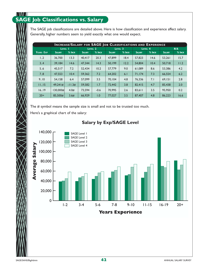#### \\I\I I **SAGE Job Classifications vs. Salary**

The SAGE job classifications are detailed above. Here is how classification and experience affect salary. Generally, higher numbers seem to yield exactly what one would expect.

|           | <b>INCREASE/SALARY FOR SAGE JOB CLASSIFICATIONS AND EXPERIENCE</b> |          |               |                    |               |                    |               |         |               |        |
|-----------|--------------------------------------------------------------------|----------|---------------|--------------------|---------------|--------------------|---------------|---------|---------------|--------|
|           |                                                                    | LEVEL 1  |               | LEVEL <sub>2</sub> |               | LEVEL <sub>3</sub> |               | LEVEL 4 |               | N/A    |
| YEARS EXP | <b>SALARY</b>                                                      | % INCR   | <b>SALARY</b> | % INCR             | <b>SALARY</b> | % INCR             | <b>SALARY</b> | % INCR  | <b>SALARY</b> | % INCR |
| 1.2       | 36,700                                                             | 13.3     | 40.417        | 20.3               | 47,899        | 18.4               | 57,823        | 14.6    | 53,261        | 15.7   |
| 3.4       | 39.184                                                             | 14.6     | 47,344        | 14.3               | 50.199        | 12.2               | 54,804        | 10.4    | 50,718        | 11.2   |
| 5.6       | 45.517                                                             | 7.2      | 52.434        | 10.2               | 57,779        | 9.0                | 61.089        | 8.6     | 53.386        | 4.2    |
| 7.8       | 47.553                                                             | 10.4     | 59.362        | 7.2                | 64.202        | 6.1                | 71,174        | 7.3     | 66,554        | 6.2    |
| 9.10      | 54.158                                                             | 6.4      | 57,099        | 3.5                | 70.104        | 4.8                | 76.336        | 7.1     | 69.151        | 2.8    |
| 11.15     | 49,241#                                                            | $-11.3#$ | 59,582        | 1.7                | 72,442        | 3.8                | 82,415        | 4.7     | 85,438        | 2.0    |
| 16.19     | 130,000#                                                           | 4.0#     | 73.594        | $-0.6$             | 70,995        | 2.6                | 83.611        | 3.5     | 95,950        | 0.2    |
| $20+$     | 85.500#                                                            | 3.6#     | 66,929        | 1.0                | 77,027        | 3.5                | 87,407        | 4.8     | 86,223        | 16.6   |

The # symbol means the sample size is small and not to be trusted too much.

Here's a graphical chart of the salary:

### **Salary by Exp/SAGE Level**

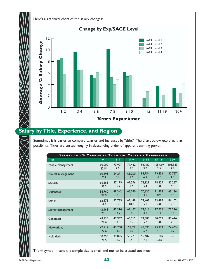

## **Salary by Title, Experience, and Region**

Sometimes it is easier to compare salaries and increases by "title." The chart below explores that possibility. Titles are sorted roughly in descending order of apparent earning power.

| <b>SALARY AND % CHANGE BY TITLE AND YEARS OF EXPERIENCE</b> |                |                |                         |               |                   |         |
|-------------------------------------------------------------|----------------|----------------|-------------------------|---------------|-------------------|---------|
| <b>TITLE</b>                                                | $0 - 1$        | $2 - 4$        | $5 - 9$                 | $10 - 14$     | $15 - 19$         | $20 +$  |
| People management                                           | 60,000         | 73,927         | 77.432                  | 94,480        | 105.669           | 103,343 |
|                                                             | 22.8#          | 7.0            | 7.8                     | 3.0           | 3.5               | 4.2     |
| Project management                                          | 60,193         | 54,271         | 68,200                  | 83,754        | 79,854            | 80,727  |
|                                                             | 7.5            | 8.1            | 9.6                     | 6.9           | $-1.0$            | 1.9     |
| Security                                                    | 66,681         | 57,179         | 67,376                  | 76,129        | 78,627            | 82,257  |
|                                                             | 33.3           | 15.7           | 7.6                     | 5.4           | 3.8               | 6.3     |
| <b>Databases</b>                                            | 34,760         | 48,342         | 62,090                  | 70,630        | 71,898            | 63,186  |
|                                                             | 21.9           | 16.9           | 8.0                     | 3.1           | 8.2               | 3.5     |
| Other                                                       | 62,578         | 52,789         | 62,148                  | 73,408        | 83,489            | 86,102  |
|                                                             | $-1.9$         | 9.4            | 10.8                    | 5.1           | 4.0               | 9.9     |
| Server management                                           | 42.168         | 49,314         | 62,167                  | 73,916        | 77,855            | 79,224  |
|                                                             | 20.1           | 13.2           | .0                      | 4.0           | 2.3               | 3.4     |
| Generalist                                                  | 48,135         | 47,937         | 60,715                  | 73,589        | 80,099            | 83,424  |
|                                                             | 21.6           | 13.5           | 6.9                     | 5.7           | 3.8               | 2.3     |
| Networking                                                  | 42,717         | 42,708         | 57,89                   | 67,095        | 73,973            | 74,665  |
|                                                             | 27.6           | 13.0           | 8.7                     | 5.7           | 4.1               | 3.2     |
| Help desk                                                   | 30,658<br>21.5 | 39,095<br>11.2 | 50,773<br>$\mathcal{A}$ | 55,402<br>7.1 | 81,189<br>$-6.1#$ |         |

The # symbol means the sample size is small and not to be trusted too much.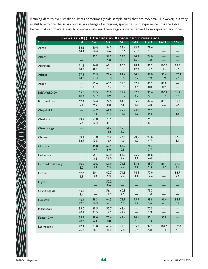Refining data to ever smaller subsets sometimes yields sample sizes that are too small. However, it is very useful to explore the salary and salary changes for regions, specialties, and experience. It is the tables below that can make it easy to compare salaries.These regions were derived from reported zip codes.

| SALARIES (K\$)/% CHANGE BY REGION AND EXPERIENCE |              |              |              |                |                |              |                |                     |
|--------------------------------------------------|--------------|--------------|--------------|----------------|----------------|--------------|----------------|---------------------|
| <b>TITLE</b>                                     | $1-2$        | $3 - 4$      | $5 - 6$      | $7 - 8$        | $9 - 10$       | $11 - 15$    | $16 - 19$      | $20 +$              |
| Akron                                            | 38.6<br>34.2 | 50.4<br>16.4 | 54.3<br>6.6  | 58.4<br>10.6   | 63.7<br>$21.6$ | 78.4<br>2.1  |                |                     |
| Albany                                           |              | 53.2<br>13.1 | 56.3<br>5.0  | 59.5<br>4.2    | 64.5<br>16.5   | 76.0<br>4.8  |                |                     |
| Arlington                                        | 71.5<br>24.9 | 54.8<br>8.8  | 68.I<br>9.1  | 80.5<br>3.1    | 78.2<br>12.3   | 89.3<br>3.7  | 100.3<br>11.4  | 85.5<br>9.6         |
| Atlanta                                          | 57.6<br>24.8 | 62.5<br>11.4 | 72.4<br>10.8 | 82.4<br>5.8    | 84.1<br>7.7    | 87.0<br>2.9  | 98.6<br>1.9    | 107.3<br>7.5        |
| Austin                                           |              | 59.6<br>31.1 | 65.5<br>14.2 | 71.8<br>5.9    | 87.5<br>4.6    | 80.5<br>0.0  | 88.8<br>0.2    |                     |
| Balt/WashDC+                                     | 65.8<br>18.4 | 67.5<br>22.2 | 75.0<br>8.9  | 79.4<br>10.7   | 87.7<br>4.7    | 90.4<br>5.1  | 106.1<br>3.7   | 91.4<br>6.4         |
| Boston+Area                                      | 62.4<br>9.1  | 64.4<br>9.0  | 72.0<br>8.8  | 84.0<br>4.6    | 85.5<br>4.5    | 87.4<br>2.8  | 88.3<br>2.5    | 95.3<br>2.4         |
| Chapel Hill                                      |              | 52.9<br>7.4  | 61.6<br>4.4  | 79.9<br>11.6   | 74.1<br>4.9    | 76.5<br>0.4  |                | 81.3<br>1.5         |
| Charlotte                                        | 49.2<br>9.6  | 54.0<br>13.4 | 78.5<br>8.1  |                |                | 75.1<br>6.1  |                |                     |
| Chattanooga                                      |              |              | 51.7<br>11.5 | 49.8<br>3.7    |                |              |                |                     |
| Chicago                                          | 59.1<br>32.9 | 61.0<br>13.5 | 76.0<br>16.4 | 77.6<br>4.0    | 90.0<br>4.0    | 93.6<br>4.7  |                | 87.5<br>$  \cdot  $ |
| Cincinnati                                       |              | 45.8<br>9.7  | 60.4<br>8.0  | 61.2<br>2.5    |                | 76.7<br>3.7  |                |                     |
| Columbus                                         |              | 55.1<br>8.4  | 63.9<br>26.0 | 62.3<br>6.6    | 76.0<br>7.7    | 86.6<br>4.0  |                |                     |
| Denver/Front Range                               | 60.5<br>8.2  | 60.6<br>5.5  | 66.9<br>7.5  | 74.1<br>4.6    | 83.4<br>5.1    | 85.7<br>2.9  | 85.1<br>$-1.0$ | 91.6<br>6.1         |
| Detroit                                          | 49.7<br>1.9  | 60.1<br>5.8  | 60.7<br>9.9  | 71.1<br>4.6    | 74.5<br>2.1    | 77.9<br>14.6 |                | 88.7<br>4.7         |
| Eugene                                           |              |              | 52.2<br>8.6  |                |                |              |                |                     |
| <b>Grand Rapids</b>                              | 46.4<br>3.4  |              | 56.1<br>12.7 | 60.8<br>7.5    |                | 75.3<br>1.0  |                |                     |
| Houston                                          | 46.9<br>22.5 | 58.3<br>16.3 | 64.3<br>4.1  | 75.9<br>6.7    | 75.9<br>7.4    | 99.8<br>3.6  | 91.4<br>4.1    | 95.9<br>8.7         |
| Indianapolis                                     | 39.0<br>20.1 | 49.5<br>23.5 | 52.7<br>12.5 | 68.4<br>$-3.5$ |                | 70.5<br>2.9  |                |                     |
| <b>Kansas City</b>                               | 59.5<br>48.6 | 68.0<br>6.4  | 70.4<br>8.8  | 69.4<br>8.3    | 74.1<br>$7.5$  | 80.1<br>1.3  | 90.8<br>3.1    |                     |
| Los Angeles                                      | 67.2<br>26.3 | 61.0<br>16.1 | 68.4<br>8.4  | 77.3<br>7.8    | 85.7<br>5.6    | 97.2<br>5.8  | 102.6<br>4.4   | 102.0<br>4.8        |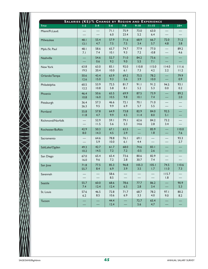|                   |              |              | SALARIES (K\$)/% CHANGE BY REGION AND EXPERIENCE |              |                |                |                          |               |
|-------------------|--------------|--------------|--------------------------------------------------|--------------|----------------|----------------|--------------------------|---------------|
| <b>TITLE</b>      | $1-2$        | $3 - 4$      | $5 - 6$                                          | $7 - 8$      | $9 - 10$       | $11 - 15$      | $16 - 19$                | $20 +$        |
| Miami/Ft.Laud.    |              |              | 71.1<br>$6.0$                                    | 75.9<br>23.4 | 73.0<br>5.2    | 63.0<br>6.4    |                          |               |
| Milwaukee         | 48.1<br>13.1 | 55.4<br>4.7  | 57.9<br>7.5                                      | 71.6<br>7.5  | 68.9<br>3.4    | 66.7<br>5.7    | 72.0<br>4.8              | 71.2<br>3.8   |
| Mpls./St. Paul    | 48.I<br>7.1  | 58.6<br>7.4  | 65.7<br>10.1                                     | 74.7<br>9.3  | 77.9<br>7.2    | 77.0<br>$-0.8$ |                          | 89.2<br>4.6   |
| Nashville         |              | 54.6<br>0.6  | 52.7<br>9.2                                      | 71.0<br>9.0  | 84.2<br>5.5    | 73.6<br>7.1    |                          |               |
| New York          | 63.8<br>19.5 | 63.0<br>20.4 | 83.1<br>10.0                                     | 92.0<br>6.1  | 110.8<br>7.3   | 115.0<br>4.2   | 114.0<br>2.2             | 111.6<br>11.2 |
| Orlando/Tampa     | 50.6<br>12.6 | 43.4<br>15.0 | 63.9<br>9.3                                      | 69.2<br>5.6  | 75.5<br>3.9    | 78.2<br>10.0   |                          | 79.9<br>0.9   |
| Philadelphia      | 60.5<br>12.2 | 53.9<br>10.8 | 72.5<br>5.8                                      | 81.7<br>8.1  | 91.1<br>5.2    | 91.2<br>5.3    | 94.5<br>0.0              | 93.1<br>0.2   |
| Phoenix           | 46.4<br>10.8 | 50.6<br>16.0 | 65.5<br>10.5                                     | 69.9<br>9.8  | 87.5<br>10.1   | 73.9<br>7.4    |                          | 89.2<br>2.0   |
| Pittsburgh        | 36.4<br>26.3 | 57.3<br>9.5  | 46.6<br>9.9                                      | 72.1<br>6.9  | 70.1<br>5.7    | 71.0<br>5.5    |                          |               |
| Portland          | 55.8<br>11.8 | 57.8<br>4.7  | 64.9<br>9.9                                      | 73.8<br>4.5  | 82.9<br>11.4   | 84.0<br>8.0    | 92.5<br>5.1              |               |
| Richmond/Norfolk  |              | 52.9<br>11.5 | 59.1<br>5.6                                      | 79.1<br>5.3  | 62.6<br>14.6   | 84.2<br>2.8    | 73.2<br>3.4              |               |
| Rochester/Buffalo | 42.9<br>8.0  | 50.3<br>14.3 | 67.1<br>4.5                                      | 63.5<br>2.9  |                | 85.9<br>1.8    | —                        | 110.0<br>7.6  |
| Sacramento        |              | 64.6<br>5.9  | 78.8<br>10.0                                     | 76.1<br>6.1  | 69.1<br>4.4    |                |                          | 93.3<br>2.7   |
| SaltLake/Ogden    | 49.3<br>10.2 | 42.7<br>14.5 | 61.7<br>$7.2$                                    | 68.0<br>7.2  | 74.6<br>$-0.5$ | 83.1<br>2.6    |                          |               |
| San Diego         | 67.0<br>16.0 | 65.4<br>9.6  | 65.4<br>$7.2$                                    | 73.6<br>2.8  | 80.6<br>30.7   | 82.9<br>7.4    | $\overline{\phantom{0}}$ |               |
| San Jose          | 71.8<br>55.7 | 77.5<br>8.4  | 85.3<br>6.9                                      | 96.8<br>3.9  | 105.3<br>3.5   | 105.1<br>1.7   | 74.5<br>11.0             | 110.6<br>7.3  |
| Savannah          |              |              | 58.6<br>8.5                                      |              |                |                | 115.7<br>1.8             |               |
| Seattle           | 55.7<br>7.4  | 60.0<br>12.4 | 68.6<br>12.4                                     | 78.6<br>6.5  | 77.7<br>2.8    | 86.2<br>3.4    |                          | 90.9<br>5.3   |
| St. Louis         | 57.6<br>6.2  | 46.5<br>8.5  | 72.8<br>10.6                                     | 71.7<br>6.9  | 68.7<br>3.3    | 78.2<br>4.0    | 97.1<br>9.0              | 80.2<br>8.2   |
| Tucson            |              |              | 44.4<br>12.4                                     |              | 72.7<br>5.6    | 65.4<br>4.7    |                          |               |

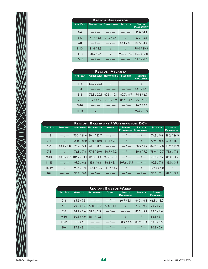| <b>REGION: ARLINGTON</b> |            |                                       |             |                                    |  |  |  |  |  |
|--------------------------|------------|---------------------------------------|-------------|------------------------------------|--|--|--|--|--|
| YRS EXP                  |            | <b>GENERALIST NETWORKING SECURITY</b> |             | <b>SERVER</b><br><b>MANAGEMENT</b> |  |  |  |  |  |
| $3 - 4$                  | $-1$       | $-/-$                                 | $-/-$       | 55.0/4.2                           |  |  |  |  |  |
| $5 - 6$                  | 71.7 / 5.5 | 71.0 / 7.4                            | $-/-$       | 67.3 / 5.8                         |  |  |  |  |  |
| $7 - 8$                  | $-/-$      | $-/-$                                 | 67.1 / 0.1  | 84.5 / 4.2                         |  |  |  |  |  |
| $9 - 10$                 | 81.4 / 5.5 | $-/-$                                 | $-1-$       | 78.0 / 19.3                        |  |  |  |  |  |
| $11 - 15$                | 88.6 / 0.4 | $-/-$                                 | 93.3 / 14.3 | $86.6 / -0.8$                      |  |  |  |  |  |
| $16 - 19$                | $-1-$      | — / —                                 | $-/-$       | $99.0 / -1.2$                      |  |  |  |  |  |

| <b>REGION: ATLANTA</b> |             |                                                 |            |                                    |  |  |  |  |
|------------------------|-------------|-------------------------------------------------|------------|------------------------------------|--|--|--|--|
| <b>YRS EXP</b>         |             | <b>GENERALIST NETWORKING</b><br><b>SECURITY</b> |            | <b>SERVER</b><br><b>MANAGEMENT</b> |  |  |  |  |
| $1-2$                  | 62.7 / 25.1 | $-1$                                            | $-/-$      | $-/-$                              |  |  |  |  |
| $3 - 4$                | $-/-$       | $-/-$                                           | $-/-$      | 62.0 / 10.8                        |  |  |  |  |
| $5 - 6$                | 72.3 / 20.1 | 62.5 / 12.1                                     | 82.7 / 8.7 | 74.4/6.7                           |  |  |  |  |
| $7 - 8$                | 85.2 / 6.7  | 75.8 / 4.9                                      | 86.5 / 3.2 | 75.1 / 5.9                         |  |  |  |  |
| $9 - 10$               | $-/-$       | $-/-$                                           | $-/-$      | 76.7/6.3                           |  |  |  |  |
| $11 - 15$              | $-/-$       | $-/-$                                           | $-/-$      | $90.3 / -1.0$                      |  |  |  |  |

|           | <b>REGION: BALTIMORE / WASHINGTON DC+</b> |  |                                                                                                    |  |  |                              |  |                   |  |  |
|-----------|-------------------------------------------|--|----------------------------------------------------------------------------------------------------|--|--|------------------------------|--|-------------------|--|--|
| YRS EXP   | <b>DATABASES</b>                          |  | <b>GENERALIST NETWORKING OTHER   PEOPLE   PROJECT   SECURITY   SERVER</b>                          |  |  | <b>MANAGEMENT MANAGEMENT</b> |  | <b>MANAGEMENT</b> |  |  |
| $1-2$     |                                           |  | $-/-$   70.3 / 21.4   50.1 / 23.7   $-/-$   $-/-$   $-/-$   74.3 / 9.6   58.2 / 26.9               |  |  |                              |  |                   |  |  |
| $3 - 4$   |                                           |  | $-/-$ 65.0 / 29.0 61.0 / 10.0 61.2 / 9.1 $-/   -$ 70.9 / 26.5 67.2 / 16.1                          |  |  |                              |  |                   |  |  |
| $5-6$     |                                           |  | 83.4 / 2.8   73.4 / 5.3   61.1 / 8.6   — / —   — / —   80.5 / 7.7   84.7 / 14.0   71.2 / 12.9      |  |  |                              |  |                   |  |  |
| $7 - 8$   |                                           |  | $-/-$   76.8 / 7.3   77.4 / 20.0   90.9 / 7.2   $-/-$   80.8 / 9.0   79.9 / 12.7   79.6 / 7.4      |  |  |                              |  |                   |  |  |
| $9 - 10$  |                                           |  | 83.0 / 0.2   $104.7$ / 11.1   84.3 / 4.4   90.2 / -1.8   -/-   -/-   -/-   75.8 / 7.5   85.0 / 3.5 |  |  |                              |  |                   |  |  |
| $11 - 15$ |                                           |  | $-/-$   99.2 / 6.2   85.8 / 6.4   96.6 / 3.1   107.6 / 5.5   $-/-$   90.5 / 7.8   85.0 / 3.5       |  |  |                              |  |                   |  |  |
| $16 - 19$ |                                           |  | $-1$   95.4 / 1.9   122.3 / -0.2   111.2 / 4.7   $-1$   $-1$   $-1$   102.7 / 5.0   $-1$           |  |  |                              |  |                   |  |  |
| $20+$     |                                           |  | $-1$   90.7 / 5.0   $-1$   $-1$   $-1$   $-1$   $-1$   95.9 / 7.1   81.2 / 3.6                     |  |  |                              |  |                   |  |  |

| <b>REGION: BOSTON+AREA</b> |                   |                      |              |                                                           |                 |                                    |  |  |  |
|----------------------------|-------------------|----------------------|--------------|-----------------------------------------------------------|-----------------|------------------------------------|--|--|--|
| YRS EXP                    | <b>GENERALIST</b> | <b>NETWORKING</b>    | <b>OTHER</b> | <b>PROJECT</b><br><b>MANAGEMENT</b>                       | <b>SECURITY</b> | <b>SERVER</b><br><b>MANAGEMENT</b> |  |  |  |
| $3 - 4$                    |                   | $65.2 / 7.5$ $-/  -$ |              | 60.7 / 5.1                                                | 64.3 / 6.8      | 66.9 / 15.2                        |  |  |  |
| $5-6$                      |                   |                      |              | $70.0 / 8.7$   $70.8 / 13.2$   $79.6 / 4.8$   $-/-$       | 73.7 / 9.0      | 70.9 / 7.7                         |  |  |  |
| $7 - 8$                    | 84.1 / 2.4        | $92.9/2.5$ $-/-$     |              | $\vert -\vert$                                            | 85.9/5.4        | 78.0 / 6.4                         |  |  |  |
| $9 - 10$                   | 90.8 / 4.9        |                      |              | 88.1/-0.9 $-1$ $-1$ $-1$ $-1$                             |                 | 83.1 / 3.1                         |  |  |  |
| $11 - 15$                  | 91.5 / 6.1        | $-1$ $-1$            |              | 88.9/4.6                                                  | 88.9 / 1.4      | 80.8 / 0.5                         |  |  |  |
| $20+$                      | 97.5 / 3.1        |                      |              | $-1$   $-1$   $-1$   $-1$   $-1$   90.5 $\frac{1}{2}$ 2.6 |                 |                                    |  |  |  |

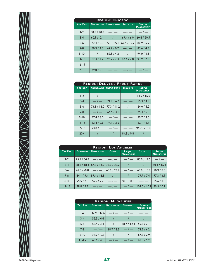|                | <b>REGION: CHICAGO</b> |                              |                 |                                    |  |  |  |  |  |  |
|----------------|------------------------|------------------------------|-----------------|------------------------------------|--|--|--|--|--|--|
| <b>YRS EXP</b> |                        | <b>GENERALIST NETWORKING</b> | <b>SECURITY</b> | <b>SERVER</b><br><b>MANAGEMENT</b> |  |  |  |  |  |  |
| $1-2$          | 50.8 / 40.6            | $-1$                         | $-1$            | $-1$                               |  |  |  |  |  |  |
| $3 - 4$        | $60.9 / -2.1$          | $-/-$                        | 69.4/6.9        | 60.4 / 29.5                        |  |  |  |  |  |  |
| $5-6$          | 72.4/6.8               | 77.1 / 27.1                  | 67.4/12.2       | 80.9 / 5.9                         |  |  |  |  |  |  |
| $7 - 8$        | 80.9 / 3.8             | 64.7 / 0.7                   | $-1$            | 83.6 / 4.8                         |  |  |  |  |  |  |
| $9 - 10$       | $-1$                   | 82.5 / 4.2                   | $-/-$           | 94.0 / 3.3                         |  |  |  |  |  |  |
| $11 - 15$      | 82.3 / 1.2             | 96.7 / 7.3                   | 87.4 / 7.8      | 93.9 / 7.0                         |  |  |  |  |  |  |
| $16 - 19$      |                        |                              |                 |                                    |  |  |  |  |  |  |
| $20+$          | 79.0 / 0.5             | — / —                        | $-/-$           | — / —                              |  |  |  |  |  |  |

|           | <b>REGION: DENVER / FRONT RANGE</b> |                                       |            |                                    |  |  |  |  |  |
|-----------|-------------------------------------|---------------------------------------|------------|------------------------------------|--|--|--|--|--|
| YRS EXP   |                                     | <b>GENERALIST NETWORKING SECURITY</b> |            | <b>SERVER</b><br><b>MANAGEMENT</b> |  |  |  |  |  |
| $1-2$     | $-/-$                               | $-/-$                                 | $-/-$      | 54.5 / 16.0                        |  |  |  |  |  |
| $3 - 4$   | $-/-$                               | 71.1 / 6.7                            | $-/-$      | 55.3 / 4.9                         |  |  |  |  |  |
| $5 - 6$   | 73.1 / 14.0                         | 77.3 / 11.2                           | $-/-$      | 64.0 / 5.2                         |  |  |  |  |  |
| $7 - 8$   | $--- / ---$                         | 64.5 / 3.1                            | $-/-$      | 75.4 / 5.8                         |  |  |  |  |  |
| $9 - 10$  | 97.4 / 8.0                          | $-/-$                                 | $-/-$      | 79.7/2.0                           |  |  |  |  |  |
| $11 - 15$ | 83.4 / 2.9                          | 74.1/2.6                              | $-/-$      | 82.1 / 2.7                         |  |  |  |  |  |
| $16 - 19$ | 73.8 / 5.3                          | $-/-$                                 | $-/-$      | $96.7 / - 10.4$                    |  |  |  |  |  |
| $20+$     | $-/-$                               | $-/-$                                 | 84.3 / 9.8 | $-/-$                              |  |  |  |  |  |

|           |                   |                    | <b>REGION: LOS ANGELES</b>               |                                     |                                                                    |                                    |
|-----------|-------------------|--------------------|------------------------------------------|-------------------------------------|--------------------------------------------------------------------|------------------------------------|
| YRS EXP   | <b>GENERALIST</b> | <b>NETWORKING</b>  | <b>OTHER</b>                             | <b>PROJECT</b><br><b>MANAGEMENT</b> | <b>SECURITY</b>                                                    | <b>SERVER</b><br><b>MANAGEMENT</b> |
| $1-2$     |                   |                    |                                          |                                     | $75.5 / 54.8$ $-/         80.0 / 12.5$ $-/-$                       |                                    |
| $3 - 4$   |                   |                    |                                          |                                     | $58.8 / 18.3   67.5 / 14.2   77.0 / 25.7   -1 -   -   60.4 / 16.4$ |                                    |
| $5-6$     |                   |                    |                                          |                                     | $67.9 / -0.8$ $-/ 65.0 / 23.1$ $-/ 69.0 / 15.2$ $70.9 / 8.8$       |                                    |
| $7 - 8$   |                   |                    | 84.1 / 9.4   57.4 / 18.3   $-7 -$   $-7$ |                                     | $\mid$ 79.7 / 7.4 $\mid$ 77.3 / 4.9                                |                                    |
| $9 - 10$  | 95.5 / 7.0        | $66.5 / 7.7$ $-/-$ |                                          |                                     | $ 90.1/8.6 $ -/- 85.6/1.3                                          |                                    |
| $11 - 15$ |                   |                    |                                          |                                     |                                                                    |                                    |

|                | <b>REGION: MILWAUKEE</b> |                                       |             |                                    |  |  |  |  |  |  |  |
|----------------|--------------------------|---------------------------------------|-------------|------------------------------------|--|--|--|--|--|--|--|
| <b>YRS EXP</b> |                          | <b>GENERALIST NETWORKING SECURITY</b> |             | <b>SERVER</b><br><b>MANAGEMENT</b> |  |  |  |  |  |  |  |
| $1-2$          | 37.9 / 32.6              | $-1$                                  | $-1$        | $-1$                               |  |  |  |  |  |  |  |
| $3 - 4$        | 52.5/4.4                 | $-1-$                                 | $-1-$       | $-1-$                              |  |  |  |  |  |  |  |
| $5-6$          | 56.4 / 3.4               | $-1$                                  | 58.7 / 12.4 | 59.6 / 7.1                         |  |  |  |  |  |  |  |
| $7 - 8$        | $-1$                     | 68.7 / 8.3                            | $-1$        | 72.2 / 6.2                         |  |  |  |  |  |  |  |
| $9 - 10$       | $64.5 / -0.8$            | $-1$                                  | $-1$        | 67.7/2.9                           |  |  |  |  |  |  |  |
| $11 - 15$      | 68.6 / 4.1               | $-1-$                                 | $-/-$       | 67.5 / 5.2                         |  |  |  |  |  |  |  |

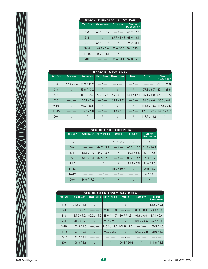|           | <b>REGION: MINNEAPOLIS / ST. PAUL</b> |                 |                                    |
|-----------|---------------------------------------|-----------------|------------------------------------|
| YRS EXP   | <b>GENERALIST</b>                     | <b>SECURITY</b> | <b>SERVER</b><br><b>MANAGEMENT</b> |
| $3 - 4$   | 60.8 / 10.7                           | $-/-$           | 60.2 / 7.0                         |
| $5 - 6$   | $-/-$                                 | 65.7 / 19.5     | 68.4 / 8.1                         |
| $7 - 8$   | 66.4 / 10.5                           | $-1$            | 76.2 / 8.1                         |
| $9 - 10$  | 64.3/9.4                              | 92.4 / 0.5      | 80.   /   3.                       |
| $11 - 15$ | $65.3 / -3.4$                         | $-1$            | $-1$                               |
| $20+$     | $-/-$                                 | 79.6 / 4.1      | 97.0 / 5.0                         |

|           |                  |                                                                            | <b>REGION: NEW YORK</b>                            |                                        |                                          |
|-----------|------------------|----------------------------------------------------------------------------|----------------------------------------------------|----------------------------------------|------------------------------------------|
| YRS EXP   | <b>DATABASES</b> |                                                                            | <b>GENERALIST   HELP DESK   NETWORKING   OTHER</b> | <b>SECURITY</b>                        | SERVER <sub>1</sub><br><b>MANAGEMENT</b> |
| $1-2$     |                  | $57.2 / 4.6   69.9 / 39.9   -1 -   -1 -   -1 -   -1 - 61.1 / 26.8$         |                                                    |                                        |                                          |
| $3 - 4$   |                  | $-/-$ 53.8 / 10.2 $-/  -/     -$ 77.8 / 8.7 62.1 / 29.8                    |                                                    |                                        |                                          |
| $5-6$     |                  | $-/-$   80.1 / 7.6   70.2 / 5.2   65.5 / 5.3                               |                                                    | 73.8 / 12.1   89.1 / 8.0   85.4 / 10.5 |                                          |
| $7 - 8$   |                  | $-/-$   100.7 / 5.0   $-/-$   69.7 / 7.7   $-/-$   81.5 / 4.4   96.5 / 6.0 |                                                    |                                        |                                          |
| $9 - 10$  |                  | $-/-$   97.7 / 8.8   $-/-$   $-/-$                                         |                                                    | $-/-$ 112.8 / 13.2 117.3 / 7.6         |                                          |
| $11 - 15$ |                  | $-/-$   105.6 / 5.0   $-/-$   93.4 / 6.3                                   |                                                    | $-/-$   128.2 / -2.6   128.6 / 4.2     |                                          |
| $20+$     |                  | $-1  -1  -1  -1 -$                                                         |                                                    | $-/-$  117.7 / 13.6 $-/-$              |                                          |

|           |                   | <b>REGION: PHILADELPHIA</b> |                  |                 |                                    |
|-----------|-------------------|-----------------------------|------------------|-----------------|------------------------------------|
| YRS EXP   | <b>GENERALIST</b> | <b>NETWORKING</b>           | <b>OTHER</b>     | <b>SECURITY</b> | <b>SERVER</b><br><b>MANAGEMENT</b> |
| $1-2$     | $-/-$             | $-1$                        | $71.2/8.2$ $-/-$ |                 | $\vert -\vert$                     |
| $3 - 4$   | $-1$              | 44.7 / 3.5                  | $-1$             | 65.5 / 15.3     | 51.5/10.9                          |
| $5-6$     | 82.6 / 1.6        | 84.7 / 3.9                  | $-1-$            | 60.7 / 8.5      | 67.1/7.5                           |
| $7 - 8$   | 67.0 / 7.4        | 87.5 / 7.1                  | $-/-$            | 80.7 / 14.5     | 85.3 / 6.7                         |
| $9 - 10$  | $-/-$             | $-1$                        | $-/-$            | 91.7 / 7.5      | 91.6 / 2.0                         |
| $11 - 15$ | $-1$              | $-1-$                       | 78.6 / 10.9      | $-1$            | 99.8 / 2.9                         |
| $16 - 19$ | $-/-$             | $-1$                        | $\vert -\vert$   | $-1$            | 86.7 / 3.5                         |
| $20+$     | $86.0 / -7.0$     | $-1-$                       | $-1$             | $-/-$           | $-/-$                              |

|           |                   |                                   | REGION: SAN JOSE+ BAY AREA                                                    |                 |                                    |
|-----------|-------------------|-----------------------------------|-------------------------------------------------------------------------------|-----------------|------------------------------------|
| YRS EXP   | <b>GENERALIST</b> | <b>HELP DESK NETWORKING OTHER</b> |                                                                               | <b>SECURITY</b> | <b>SERVER</b><br><b>MANAGEMENT</b> |
| $1-2$     |                   |                                   |                                                                               |                 |                                    |
| $3 - 4$   |                   |                                   | $81.6 / 9.5$ $-/ 75.0 / 12.8$ $-/-$ 88.0/8.4 73.3/5.8                         |                 |                                    |
| $5-6$     |                   |                                   | 85.0 / 9.2   82.2 / 19.3   85.9 / 11.7   80.7 / 4.3                           | 91.8 / 6.0      | 85.1 / 2.4                         |
| $7 - 8$   |                   |                                   | $98.5 / 5.7$ $-/ 90.4 / 9.1$ $-/ 101.9 / 6.6$ $96.2 / 0.8$                    |                 |                                    |
| $9 - 10$  |                   |                                   | $ 105.9 / 1.3 $ - $ - $   13.6 / 17.2   101.8 / 5.0 $ $ - $ - $   100.9 / 1.8 |                 |                                    |
| $11 - 15$ |                   |                                   | $ 107.1/0.5 $ - $ - $ 93.7/3.5 $ $ - $ - $ 109.7/2.8 108.0/2.3                |                 |                                    |
| $16 - 19$ |                   |                                   | $ 123.7/2.4 $ -/- $                 -$                                        |                 |                                    |
| $20+$     |                   |                                   | $ 108.8 / 5.6 $ -/- $   $ -/- $ 106.4 / 24.4 $ -/- $ 111.8 / 3.3 $            |                 |                                    |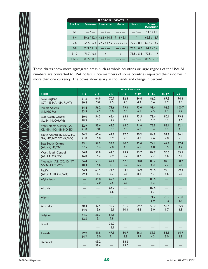

|                | <b>REGION: SEATTLE</b> |                         |              |                 |                                    |  |  |  |  |  |  |
|----------------|------------------------|-------------------------|--------------|-----------------|------------------------------------|--|--|--|--|--|--|
| <b>YRS EXP</b> | <b>GENERALIST</b>      | <b>NETWORKING</b>       | <b>OTHER</b> | <b>SECURITY</b> | <b>SERVER</b><br><b>MANAGEMENT</b> |  |  |  |  |  |  |
| $1-2$          | $-/-$                  | $-1$ $-1$ $-1$          |              | $-1$            | 53.0 / 1.2                         |  |  |  |  |  |  |
| $3 - 4$        |                        | 59.2 / 12.3 42.6 / 10.5 | 71.4/5.1     | $-/-$           | 62.3 / 16.7                        |  |  |  |  |  |  |
| $5-6$          | 55.5/6.4               | 72.9 / 12.9 75.9 / 26.7 |              | 72.7/8.1        | 65.5 / 14.2                        |  |  |  |  |  |  |
| $7 - 8$        | 82.9 / 11.3            | $-1-$                   | $-1-$        | 78.0 / 0.7      | 74.9/5.6                           |  |  |  |  |  |  |
| $9 - 10$       | 71.7/6.4               | $-1-$                   | $-1$         | 78.5 / 5.4      | $77.5 / -1.7$                      |  |  |  |  |  |  |
| $11 - 15$      | 83.5 / 8.8             |                         |              | $\vert -\vert$  | $80.5 / -1.6$                      |  |  |  |  |  |  |

These charts show more aggregated areas, such as whole countries or large regions of the USA.All numbers are converted to USA dollars, since members of some countries reported their incomes in more than one currency. The boxes show salary in thousands and change in percent

|                             | YEARS EXPERIENCE |              |              |                          |                          |             |                |                          |
|-----------------------------|------------------|--------------|--------------|--------------------------|--------------------------|-------------|----------------|--------------------------|
| <b>REGION</b>               | $1-2$            | $3 - 4$      | $5 - 6$      | $7 - 8$                  | $9 - 10$                 | $11 - 15$   | $16 - 19$      | $20 +$                   |
| New England                 | 61.3             | 64.9         | 70.7         | 82.3                     | 84.4                     | 86.2        | 87.3           | 94.6                     |
| (CT, ME, MA, NH, RI, VT)    | 10.8             | 9.0          | 7.5          | 4.3                      | 4.3                      | 3.4         | 2.9            | 2.9                      |
| Middle Atlantic             | 54.4             | 56.2         | 73.6         | 79.4                     | 93.0                     | 93.4        | 96.5           | 100.7                    |
| (NJ, NY, PA)                | 23.9             | 14.5         | 8.0          | 6.9                      | $6.5$                    | 4.5         | 1.3            | 5.7                      |
| East North Central          | 50.0             | 54.3         | 62.4         | 68.4                     | 73.5                     | 78.4        | 80.1           | 79.6                     |
| (IL, IN, MI, OH, WI)        | 18.3             | 10.3         | 12.4         | 6.0                      | 5.1                      | 5.7         | 3.2            | 3.6                      |
| West North Central (IA,     | 52.9             | 53.4         | 63.2         | 68.0                     | 71.6                     | 75.9        | 88.1           | 82.1                     |
| KS, MN, MO, NB, ND, SD)     | 21.0             | 7.8          | 10.0         | 6.8                      | 6.8                      | 3.4         | 8.2            | 2.0                      |
| South Atlantic (DE, DC, FL, | 56.2             | 60.4         | 67.9         | 77.0                     | 79.2                     | 84.8        | 92.8           | 86.I                     |
| GA, MD, NC, SC, VA, WV)     | 21.8             | 16.8         | 8.9          | 9.8                      | 4.7                      | 4.6         | 2.8            | 5.8                      |
| <b>East South Central</b>   | 39.1             | 51.9         | 59.2         | 60.0                     | 72.0                     | 74.1        | 64.7           | 87.4                     |
| (AL, KY, MS, TN)            | 37.5             | 15.4         | 7.0          | 4.0                      | 6.0                      | 6.8         | 3.5            | 4.2                      |
| <b>West South Central</b>   | 54.8             | 52.8         | 62.0         | 73.4                     | 73.7                     | 84.7        | 90.5           | 85.5                     |
| (AR, LA, OK, TX)            | 16.0             | 14.2         | 9.9          | 5.7                      | 8.7                      | 2.7         | 5.6            | 7.7                      |
| Mountain (AZ, CO, ID, MT,   | 56.4             | 53.3         | 62.1         | 67.8                     | 80.0                     | 80.7        | 82.3           | 88.2                     |
| NV, NM, UT, WY)             | 10.3             | 14.6         | 8.1          | 6.9                      | 6.5                      | 6.2         | 2.7            | 6.3                      |
| Pacific                     | 64.9             | 63.5         | 71.6         | 83.0                     | 86.9                     | 93.6        | 97.3           | 99.3                     |
| (AK, CA, HI, OR, WA)        | 29.3             | 11.3         | 8.7          | 5.6                      | 8.1                      | 4.7         | 5.6            | 6.3                      |
| Afghanistan                 |                  | 45.8<br>12.0 | 69.4<br>7.5  | 73.8<br>9.8              |                          | 83.6<br>1.3 |                |                          |
| <b>Albania</b>              |                  |              | 64.7<br>6.6  | ۵                        |                          | 87.6<br>8.7 |                |                          |
| Algeria                     |                  |              |              |                          |                          | 71.7<br>6.9 | 78.0<br>$-1.5$ | 91.8<br>4.4              |
| Australia                   | 40.3             | 42.5         | 45.2         | 51.5                     | 59.2                     | 58.0        | 52.4           | 55.9                     |
|                             | 14.0             | 15.6         | 2.1          | 10.4                     | 4.6                      | 5.0         | 1.7            | 6.3                      |
| Belgium                     | 44.6<br>12.5     | 36.7<br>15.1 | 54.1<br>7.8  | $\overline{\phantom{0}}$ | $\overline{\phantom{0}}$ | —           |                | $\overline{\phantom{0}}$ |
| <b>Brazil</b>               |                  |              | 36.2<br>11.1 | 득                        |                          | $\equiv$    |                |                          |
| Canada                      | 39.9             | 41.8         | 47.9         | 50.7                     | 56.3                     | 59.3        | 55.9           | 64.9                     |
|                             | 14.7             | 15.0         | 7.1          | 6.8                      | 5.9                      | 4.3         | 3.0            | 2.3                      |
| Denmark                     |                  | 63.2<br>38.6 |              | 58.2<br>15.0             |                          |             |                |                          |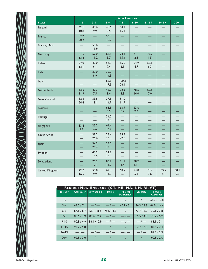

|                | YEARS EXPERIENCE |              |              |               |              |             |             |             |  |
|----------------|------------------|--------------|--------------|---------------|--------------|-------------|-------------|-------------|--|
| <b>REGION</b>  | $1-2$            | $3 - 4$      | $5 - 6$      | $7 - 8$       | $9 - 10$     | $11 - 15$   | $16 - 19$   | $20 +$      |  |
| Finland        | 52.1<br>10.8     | 40.6<br>9.9  | 48.6<br>8.5  | 54.1<br>16.1  |              |             |             |             |  |
| France         | 52.2<br>20.2     |              | 56.3<br>10.9 |               |              |             |             |             |  |
| France, Metro  |                  | 50.6<br>11.9 |              |               |              |             |             |             |  |
| Germany        | 51.5<br>13.3     | 52.0<br>11.2 | 62.5<br>9.7  | 74.3<br>15.4  | 71.1<br>2.3  | 77.7<br>1.5 |             |             |  |
| Ireland        | 72.9<br> 2.1     | 40.0<br>6.1  | 54.3<br>7.4  | 65.0<br>6.1   | 54.9<br>4.7  | 55.8<br>6.3 |             |             |  |
| Italy          |                  | 30.0<br>8.9  | 39.2<br>14.5 |               |              |             |             |             |  |
| Japan          |                  |              | 66.6<br>17.5 | 100.3<br>26.1 |              |             |             |             |  |
| Netherlands    | 32.6<br>11.9     | 42.3<br>7.5  | 46.2<br>8.4  | 72.5<br>3.3   | 78.5<br>14.0 | 60.9<br>7.0 |             |             |  |
| New Zealand    | 32.3<br>24.4     | 39.6<br>18.1 | 37.1<br>14.7 | 51.0<br>11.9  |              |             |             |             |  |
| Norway         |                  |              | 63.1<br>3.5  | 63.9<br>8.4   | 63.6<br>2.6  |             |             |             |  |
| Portugal       |                  |              | 34.0<br>13.3 |               |              |             |             |             |  |
| Singapore      | 33.4<br>6.8      | 25.2<br>4.6  | 41.4<br>16.4 |               |              |             |             |             |  |
| South Africa   |                  | 38.2<br>26.6 | 28.4<br>26.8 | 39.6<br>22.0  |              |             |             |             |  |
| Spain          |                  | 34.5<br>25.4 | 38.0<br>13.8 |               |              |             |             |             |  |
| Sweden         |                  | 43.9<br>15.5 | 52.2<br>16.0 |               |              |             |             |             |  |
| Switzerland    |                  | 70.2<br>17.1 | 80.2<br>11.7 | 81.7<br>1.4   | 98.2<br> 2.1 |             |             |             |  |
| United Kingdom | 42.7<br>16.5     | 53.8<br>9.9  | 62.8<br>11.0 | 60.9<br>8.3   | 74.8<br>5.3  | 75.2<br>3.6 | 77.4<br>5.1 | 88.I<br>0.7 |  |

|           | REGION: NEW ENGLAND (CT, ME, MA, NH, RI, VT) |                   |              |                                     |                 |                                    |  |  |  |  |  |  |
|-----------|----------------------------------------------|-------------------|--------------|-------------------------------------|-----------------|------------------------------------|--|--|--|--|--|--|
| YRS EXP   | <b>GENERALIST</b>                            | <b>NETWORKING</b> | <b>OTHER</b> | <b>PROJECT</b><br><b>MANAGEMENT</b> | <b>SECURITY</b> | <b>SERVER</b><br><b>MANAGEMENT</b> |  |  |  |  |  |  |
| $1-2$     | $-1$                                         | $-/-$             | $-/-$        | $-1$                                | $-/-$           | 55.3 / 13.8                        |  |  |  |  |  |  |
| $3 - 4$   | 65.0 / 7.1                                   | $-1-$             | $-/-$        | 60.7 / 5.1                          | 64.3 / 6.8      | 66.9 / 14.6                        |  |  |  |  |  |  |
| $5-6$     | 67.1/6.7                                     | 68.1 / 8.2        | 79.6 / 4.8   | $-1$                                | 73.7/9.0        | 70.1 / 7.8                         |  |  |  |  |  |  |
| $7 - 8$   | 80.6 / 3.9                                   | 85.6 / 2.9        | $-1-$        | $-1$                                | 85.5 / 4.5      | 78.7 / 5.2                         |  |  |  |  |  |  |
| $9 - 10$  | 90.8 / 4.9                                   | $88.1 / -0.9$     | $-1$         | $-1-$                               | $-1$            | 83.1 / 3.1                         |  |  |  |  |  |  |
| $11 - 15$ | 93.7 / 5.8                                   | $-1$              | $-1-$        | $-1$                                | 82.7/2.0        | 82.5 / 2.4                         |  |  |  |  |  |  |
| $16 - 19$ | $-1$                                         | $-1$              | $-/-$        | $-1$                                | $-1$            | 87.8 / 2.9                         |  |  |  |  |  |  |
| $20+$     | 92.5 / 3.0                                   | $-1-$             | $-1$         | $-1$                                | $-1-$           | 90.5 / 2.6                         |  |  |  |  |  |  |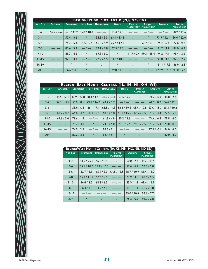| <b>HELP DESK</b><br><b>NETWORKING</b><br>YRS EXP<br><b>DATABASES</b><br><b>GENERALIST</b><br><b>OTHER</b><br><b>PEOPLE</b><br><b>PROJECT</b><br><b>SECURITY</b><br><b>MANAGEMENT</b><br><b>MANAGEMENT</b><br>35.8 / 18.8<br>57.2 / 4.6<br>54.1 / 42.2<br>$-/-$<br>72.4 / 9.3<br>$1-2$<br>$-1$<br>$-/-$<br>$-/-$<br>$\frac{1}{1-\epsilon}$<br>$\frac{1}{2}$<br>$3-4$<br>$-/-$<br>50.4 / 8.2<br>58.5 / 5.5<br>63.1 / 13.8<br>$-1-$<br>73.9 / 12.1<br>$-/-$<br>76.2 / 5.4<br>64.5 / 6.4<br>66.0 / $4.9$<br>75.7 / 12.8<br>$-/-$<br>92.2 / 13.1<br>75.2 / 6.4<br>$5-6$<br>$-1-$<br>80.4 / 5.3<br>67.5 / 9.3<br>$\frac{1}{2}$<br>$-1-$<br>$7 - 8$<br>$-/-$<br>72.1 / 7.8<br>81.7 / 9.2<br>$9 - 10$<br>88.7 / 4.5<br>69.8 / 6.2<br>$-1$<br>99.3 / 25.4<br>94.2 / 7.4<br>$-/-$<br>$-1$<br>111.7 / 2.4<br>$-1-$<br>97.1 / 3.3<br>$-1-$<br>77.9 / 5.5<br>83.8 / 10.6<br>$-1-$<br>$-/-$<br>94.8 / 3.3<br>$11 - 15$<br>$16 - 19$<br>$-1-$<br>$-1$<br>$-/-$<br>$-/-$<br>$-/-$<br>$-/-$<br>$-1-$<br>$111.1 / -7.3$<br>$-\sqrt{}$<br>$-1-$<br>$-\!\!\!-\!\!\!-$<br>$ 129.9 $ / 15.2<br>$20+$<br>$106.6 / -1.3$<br>79.8 / 3.5<br>$-1-$<br>$-/-$<br>REGION: EAST NORTH CENTRAL (IL, IN, MI, OH, WI)<br><b>HELP DESK</b><br><b>NETWORKING</b><br><b>OTHER</b><br><b>PEOPLE</b><br>YRS EXP<br><b>DATABASES</b><br><b>GENERALIST</b><br><b>SECURITY</b><br><b>MANAGEMENT</b><br>38.3 / 12.1<br>37.9 / 35.1<br>$\frac{1}{2}$<br>45.5 / 53.1<br>47.9 / 22.8<br>53.5 / 9.2<br>$1-2$<br>71.2 / 5.0<br>$\frac{1}{2}$<br>54.3 / 17.6<br>50.0 / 8.1<br>49.6 / 16.7<br>48.4 / 9.7<br>$-/-$<br>61.9 / 8.7<br>$3 - 4$<br>$-/-$<br>58.9 / 6.8<br>46.1 / 7.4<br>63.5 / 14.3<br>65.4 / 10.8<br>63.6 / 15.3<br>$5-6$<br>58.3 / 39.5<br>66.7 / 7.5<br>67.2 / 8.7<br>66.6 $/ 4.7$<br>60.3 / 6.6<br>60.6 / 5.8<br>61.1 / 15.5<br>73.2 / 4.4<br>$7 - 8$<br>$-/-$<br>$-/-$<br>$9 - 10$<br>69.6 / 5.4<br>71.6 / 1.5<br>61.8 / 4.8<br>69.2 / 6.6<br>74.6 / 6.8<br>$-\sqrt{}$<br>$-\sqrt{}$<br>$11 - 15$<br>78.2 / 3.0<br>74.0 / 6.0<br>74.1 / 5.4<br>93.0 / 2.5<br>78.2 / 5.3<br>$-/-$<br>$-1-$<br>$-/-$<br>$-/-$<br>$77.6 / -5.1$<br>$16 - 19$<br>74.9 / 2.6<br>86.5 / 7.1 | <b>SERVER</b><br><b>MANAGEMENT</b><br>48.8 / 2.7<br>56.6 / 12.1<br>65.3 / 10.2<br>72.5 / 5.6<br>79.8 / 6.0<br>78.0 / 8.8<br>86.0 / 6.0<br>$-/-$<br>$-1-$<br>$-\!\!\!-\!\!\!-$<br>$20+$<br>80.2 / 2.8<br>$-1-$<br>$-1-$<br>80.0 / 4.0<br>62.4 / 5.1 |  |       | REGION: MIDDLE ATLANTIC (NJ, NY, PA) |            |                   |            |                   |                                    |
|-------------------------------------------------------------------------------------------------------------------------------------------------------------------------------------------------------------------------------------------------------------------------------------------------------------------------------------------------------------------------------------------------------------------------------------------------------------------------------------------------------------------------------------------------------------------------------------------------------------------------------------------------------------------------------------------------------------------------------------------------------------------------------------------------------------------------------------------------------------------------------------------------------------------------------------------------------------------------------------------------------------------------------------------------------------------------------------------------------------------------------------------------------------------------------------------------------------------------------------------------------------------------------------------------------------------------------------------------------------------------------------------------------------------------------------------------------------------------------------------------------------------------------------------------------------------------------------------------------------------------------------------------------------------------------------------------------------------------------------------------------------------------------------------------------------------------------------------------------------------------------------------------------------------------------------------------------------------------------------------------------------------------------------------------------------------------------------------------------------------------------------|----------------------------------------------------------------------------------------------------------------------------------------------------------------------------------------------------------------------------------------------------|--|-------|--------------------------------------|------------|-------------------|------------|-------------------|------------------------------------|
|                                                                                                                                                                                                                                                                                                                                                                                                                                                                                                                                                                                                                                                                                                                                                                                                                                                                                                                                                                                                                                                                                                                                                                                                                                                                                                                                                                                                                                                                                                                                                                                                                                                                                                                                                                                                                                                                                                                                                                                                                                                                                                                                     |                                                                                                                                                                                                                                                    |  |       |                                      |            |                   |            |                   | <b>SERVER</b><br><b>MANAGEMENT</b> |
|                                                                                                                                                                                                                                                                                                                                                                                                                                                                                                                                                                                                                                                                                                                                                                                                                                                                                                                                                                                                                                                                                                                                                                                                                                                                                                                                                                                                                                                                                                                                                                                                                                                                                                                                                                                                                                                                                                                                                                                                                                                                                                                                     |                                                                                                                                                                                                                                                    |  |       |                                      |            |                   |            |                   | 50.2 / 22.6                        |
|                                                                                                                                                                                                                                                                                                                                                                                                                                                                                                                                                                                                                                                                                                                                                                                                                                                                                                                                                                                                                                                                                                                                                                                                                                                                                                                                                                                                                                                                                                                                                                                                                                                                                                                                                                                                                                                                                                                                                                                                                                                                                                                                     |                                                                                                                                                                                                                                                    |  |       |                                      |            |                   |            |                   | 56.0 / 22.0                        |
|                                                                                                                                                                                                                                                                                                                                                                                                                                                                                                                                                                                                                                                                                                                                                                                                                                                                                                                                                                                                                                                                                                                                                                                                                                                                                                                                                                                                                                                                                                                                                                                                                                                                                                                                                                                                                                                                                                                                                                                                                                                                                                                                     |                                                                                                                                                                                                                                                    |  |       |                                      |            |                   |            |                   | 72.6 / 9.2                         |
|                                                                                                                                                                                                                                                                                                                                                                                                                                                                                                                                                                                                                                                                                                                                                                                                                                                                                                                                                                                                                                                                                                                                                                                                                                                                                                                                                                                                                                                                                                                                                                                                                                                                                                                                                                                                                                                                                                                                                                                                                                                                                                                                     |                                                                                                                                                                                                                                                    |  |       |                                      |            |                   |            |                   | 81.0 / 6.3                         |
|                                                                                                                                                                                                                                                                                                                                                                                                                                                                                                                                                                                                                                                                                                                                                                                                                                                                                                                                                                                                                                                                                                                                                                                                                                                                                                                                                                                                                                                                                                                                                                                                                                                                                                                                                                                                                                                                                                                                                                                                                                                                                                                                     |                                                                                                                                                                                                                                                    |  |       |                                      |            |                   |            |                   | 99.4 / 5.6                         |
|                                                                                                                                                                                                                                                                                                                                                                                                                                                                                                                                                                                                                                                                                                                                                                                                                                                                                                                                                                                                                                                                                                                                                                                                                                                                                                                                                                                                                                                                                                                                                                                                                                                                                                                                                                                                                                                                                                                                                                                                                                                                                                                                     |                                                                                                                                                                                                                                                    |  |       |                                      |            |                   |            |                   | 97.7 / 2.9                         |
|                                                                                                                                                                                                                                                                                                                                                                                                                                                                                                                                                                                                                                                                                                                                                                                                                                                                                                                                                                                                                                                                                                                                                                                                                                                                                                                                                                                                                                                                                                                                                                                                                                                                                                                                                                                                                                                                                                                                                                                                                                                                                                                                     |                                                                                                                                                                                                                                                    |  |       |                                      |            |                   |            |                   | 86.9 / 2.8                         |
|                                                                                                                                                                                                                                                                                                                                                                                                                                                                                                                                                                                                                                                                                                                                                                                                                                                                                                                                                                                                                                                                                                                                                                                                                                                                                                                                                                                                                                                                                                                                                                                                                                                                                                                                                                                                                                                                                                                                                                                                                                                                                                                                     |                                                                                                                                                                                                                                                    |  |       |                                      |            |                   |            |                   | 93.0 / 5.7                         |
|                                                                                                                                                                                                                                                                                                                                                                                                                                                                                                                                                                                                                                                                                                                                                                                                                                                                                                                                                                                                                                                                                                                                                                                                                                                                                                                                                                                                                                                                                                                                                                                                                                                                                                                                                                                                                                                                                                                                                                                                                                                                                                                                     |                                                                                                                                                                                                                                                    |  |       |                                      |            |                   |            |                   |                                    |
|                                                                                                                                                                                                                                                                                                                                                                                                                                                                                                                                                                                                                                                                                                                                                                                                                                                                                                                                                                                                                                                                                                                                                                                                                                                                                                                                                                                                                                                                                                                                                                                                                                                                                                                                                                                                                                                                                                                                                                                                                                                                                                                                     |                                                                                                                                                                                                                                                    |  |       |                                      |            |                   |            |                   |                                    |
|                                                                                                                                                                                                                                                                                                                                                                                                                                                                                                                                                                                                                                                                                                                                                                                                                                                                                                                                                                                                                                                                                                                                                                                                                                                                                                                                                                                                                                                                                                                                                                                                                                                                                                                                                                                                                                                                                                                                                                                                                                                                                                                                     |                                                                                                                                                                                                                                                    |  |       |                                      |            |                   |            |                   |                                    |
|                                                                                                                                                                                                                                                                                                                                                                                                                                                                                                                                                                                                                                                                                                                                                                                                                                                                                                                                                                                                                                                                                                                                                                                                                                                                                                                                                                                                                                                                                                                                                                                                                                                                                                                                                                                                                                                                                                                                                                                                                                                                                                                                     |                                                                                                                                                                                                                                                    |  |       |                                      |            |                   |            |                   |                                    |
|                                                                                                                                                                                                                                                                                                                                                                                                                                                                                                                                                                                                                                                                                                                                                                                                                                                                                                                                                                                                                                                                                                                                                                                                                                                                                                                                                                                                                                                                                                                                                                                                                                                                                                                                                                                                                                                                                                                                                                                                                                                                                                                                     |                                                                                                                                                                                                                                                    |  |       |                                      |            |                   |            |                   |                                    |
|                                                                                                                                                                                                                                                                                                                                                                                                                                                                                                                                                                                                                                                                                                                                                                                                                                                                                                                                                                                                                                                                                                                                                                                                                                                                                                                                                                                                                                                                                                                                                                                                                                                                                                                                                                                                                                                                                                                                                                                                                                                                                                                                     |                                                                                                                                                                                                                                                    |  |       |                                      |            |                   |            |                   |                                    |
|                                                                                                                                                                                                                                                                                                                                                                                                                                                                                                                                                                                                                                                                                                                                                                                                                                                                                                                                                                                                                                                                                                                                                                                                                                                                                                                                                                                                                                                                                                                                                                                                                                                                                                                                                                                                                                                                                                                                                                                                                                                                                                                                     |                                                                                                                                                                                                                                                    |  |       |                                      |            |                   |            |                   |                                    |
|                                                                                                                                                                                                                                                                                                                                                                                                                                                                                                                                                                                                                                                                                                                                                                                                                                                                                                                                                                                                                                                                                                                                                                                                                                                                                                                                                                                                                                                                                                                                                                                                                                                                                                                                                                                                                                                                                                                                                                                                                                                                                                                                     |                                                                                                                                                                                                                                                    |  |       |                                      |            |                   |            |                   |                                    |
|                                                                                                                                                                                                                                                                                                                                                                                                                                                                                                                                                                                                                                                                                                                                                                                                                                                                                                                                                                                                                                                                                                                                                                                                                                                                                                                                                                                                                                                                                                                                                                                                                                                                                                                                                                                                                                                                                                                                                                                                                                                                                                                                     |                                                                                                                                                                                                                                                    |  |       |                                      |            |                   |            |                   |                                    |
| REGION: WEST NORTH CENTRAL (IA, KS, MN, MO, NB, ND, SD)                                                                                                                                                                                                                                                                                                                                                                                                                                                                                                                                                                                                                                                                                                                                                                                                                                                                                                                                                                                                                                                                                                                                                                                                                                                                                                                                                                                                                                                                                                                                                                                                                                                                                                                                                                                                                                                                                                                                                                                                                                                                             |                                                                                                                                                                                                                                                    |  |       |                                      |            | <b>MANAGEMENT</b> |            | <b>MANAGEMENT</b> |                                    |
| <b>YRS EXP</b><br><b>GENERALIST</b><br><b>NETWORKING</b><br><b>PROJECT</b><br><b>SECURITY</b><br><b>SERVER</b>                                                                                                                                                                                                                                                                                                                                                                                                                                                                                                                                                                                                                                                                                                                                                                                                                                                                                                                                                                                                                                                                                                                                                                                                                                                                                                                                                                                                                                                                                                                                                                                                                                                                                                                                                                                                                                                                                                                                                                                                                      |                                                                                                                                                                                                                                                    |  | $1-2$ |                                      | 46.0 / 5.9 | $-/-$             | 60.0 / 2.7 | 45.7 / 48.5       |                                    |
| 53.5 / 25.0                                                                                                                                                                                                                                                                                                                                                                                                                                                                                                                                                                                                                                                                                                                                                                                                                                                                                                                                                                                                                                                                                                                                                                                                                                                                                                                                                                                                                                                                                                                                                                                                                                                                                                                                                                                                                                                                                                                                                                                                                                                                                                                         |                                                                                                                                                                                                                                                    |  |       |                                      |            |                   |            |                   |                                    |
| 55.1 / 10.0 39.1 / 10.8<br>$-1$<br>$3 - 4$<br>57.6 / 6.1<br>56.3 / 5.8                                                                                                                                                                                                                                                                                                                                                                                                                                                                                                                                                                                                                                                                                                                                                                                                                                                                                                                                                                                                                                                                                                                                                                                                                                                                                                                                                                                                                                                                                                                                                                                                                                                                                                                                                                                                                                                                                                                                                                                                                                                              |                                                                                                                                                                                                                                                    |  |       |                                      |            |                   |            |                   |                                    |

| REGION: WEST NORTH CENTRAL (IA, KS, MN, MO, NB, ND, SD) |                   |                   |                                     |                 |                                    |  |  |  |  |  |  |
|---------------------------------------------------------|-------------------|-------------------|-------------------------------------|-----------------|------------------------------------|--|--|--|--|--|--|
| YRS EXP                                                 | <b>GENERALIST</b> | <b>NETWORKING</b> | <b>PROJECT</b><br><b>MANAGEMENT</b> | <b>SECURITY</b> | <b>SERVER</b><br><b>MANAGEMENT</b> |  |  |  |  |  |  |
| $1-2$                                                   | 53.5 / 25.0       | 46.0 / 5.9        | $-1$                                | 60.0 / 2.7      | 45.7 / 48.5                        |  |  |  |  |  |  |
| $3 - 4$                                                 | 55.1 / 10.0       | 39.1 / 10.8       | $-1$                                | 57.6 / 6.1      | 56.3 / 5.8                         |  |  |  |  |  |  |
| $5-6$                                                   | 52.7/5.9          | 65.1 / 9.0        | 64.8 / 19.5                         | 68.7 / 10.9     | 63.4 / 11.7                        |  |  |  |  |  |  |
| $7 - 8$                                                 | 65.3 / 11.1       | 67.7 / 9.5        | $-1$                                | 71.9 / 4.0      | 67.6 / 5.5                         |  |  |  |  |  |  |
| $9 - 10$                                                | 64.4 / 6.2        | 68.8 / 6.5        | $-1$                                | 85.9 / 1.3      | 69.4 / 11.9                        |  |  |  |  |  |  |
| $11 - 15$                                               | 66.3 / 3.5        | 83.5 / 4.9        | $-1$                                | 81.1 / 1.1      | 76.2 / 4.8                         |  |  |  |  |  |  |
| $16 - 19$                                               | $-/-$             | $-1$              | $-1$                                | 89.0 / 10.6     | 98.6 / 7.7                         |  |  |  |  |  |  |
| $20+$                                                   | $-1$              | $-1$              | $-1$                                | 75.2 / 0.9      | 91.0 / 2.8                         |  |  |  |  |  |  |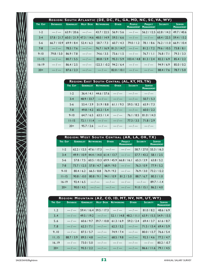|           | REGION: SOUTH ATLANTIC (DE, DC, FL, GA, MD, NC, SC, VA, WV) |                   |                  |                                           |                            |                                    |                                     |                 |                                    |
|-----------|-------------------------------------------------------------|-------------------|------------------|-------------------------------------------|----------------------------|------------------------------------|-------------------------------------|-----------------|------------------------------------|
| YRS EXP   | <b>DATABASES</b>                                            | <b>GENERALIST</b> | <b>HELP DESK</b> | <b>NETWORKING</b>                         | <b>OTHER</b>               | <b>PEOPLE</b><br><b>MANAGEMENT</b> | <b>PROJECT</b><br><b>MANAGEMENT</b> | <b>SECURITY</b> | <b>SERVER</b><br><b>MANAGEMENT</b> |
| $1-2$     |                                                             | $-/-$ 63.9 / 20.6 | $-/-$            | 43.7/22.5                                 | 56.9 / 5.6                 | $-/-$                              | 56.2 / 12.5   62.8 / 14.2           |                 | 49.7 / 40.6                        |
| $3 - 4$   | 57.8 / 21.7                                                 |                   |                  | $60.0 / 21.9$   47.3 / 14.6   48.0 / 14.9 | 59.5 / 6.6                 | $-1$                               | $-1$                                | 68.4/22.5       | 59.4 / 13.2                        |
| $5-6$     | 66.7 / 10.9                                                 | 69.9/8.4          | 52.4/6.2         | 58.7 / 7.3                                | 60.7 / 4.3                 | 79.0 / 1.2                         | 78.1 / 8.6                          | 176.2 / 11.0    | 66.9/10.4                          |
| $7 - 8$   | $-1$ $-$                                                    | 78.5 / 7.6        | $-1$             | 76.7/16.9 81.3/14.7                       |                            | $-1$                               | 81.2 / 7.2                          | 179.6 / 10.5    | 73.8 / 8.1                         |
| $9 - 10$  | 79.8 / 5.0                                                  | 86.9/7.8          | $-/-$            | 74.6 / 3.5                                | 73.6 / 1.5                 | $-1$                               | 76.7 / 1.1                          | 76.8 / 7.1      | 79.3 / 3.3                         |
| $11 - 15$ | $-1$                                                        | 80.7 / 5.5        | $-1$             | 80.8/5.9                                  | 95.3 / 5.9                 | 103.4 / 4.8                        | 81.3 / 2.4                          | 82.2 / 6.9      | 85.4 / 2.2                         |
| $16 - 19$ | $-1$                                                        | 86.4 / 2.5        | $-/-$            |                                           | $ 22.3 / -0.2 $ 94.2 / 6.4 | $-1$ $-1$                          |                                     | 94.9 / 6.9      | 85.0 / 0.2                         |
| $20+$     | $-1$ $-$                                                    | 87.6 / 2.3        |                  | $-/-$   $-/-$   82.0/10.1                 |                            | $-1$                               | $-1$                                | 88.4 / 7.6      | 78.7 / 5.0                         |

| REGION: EAST SOUTH CENTRAL (AL, KY, MS, TN) |                   |                   |              |                                 |                                    |  |  |
|---------------------------------------------|-------------------|-------------------|--------------|---------------------------------|------------------------------------|--|--|
| YRS EXP                                     | <b>GENERALIST</b> | <b>NETWORKING</b> | <b>OTHER</b> | <b>SECURITY</b>                 | <b>SERVER</b><br><b>MANAGEMENT</b> |  |  |
| $1-2$                                       | 36.4 / 4.1        | 44.6/57.6         | $-1-$        | $-/-$                           | $-1$                               |  |  |
| $3 - 4$                                     | 48.9 / 33.7       | $-1$              | $-1-$        | $-1-$                           | 50.7 / 5.3                         |  |  |
| $5 - 6$                                     | 53.4 / 3.9        | 51.9/8.8          | 61.1/9.3     | 59.5 / 8.2                      | 65.9/7.3                           |  |  |
| $7 - 8$                                     | 49.8 / 4.2        | 65.2 / 5.4        | $-1-$        | $-1$                            | 60.0 / 2.2                         |  |  |
| $9 - 10$                                    | 64.7 / 6.5        | 63.5 / 1.4        | $-1-$        | 76.1 / 8.5                      | 81.0 / 14.3                        |  |  |
| $11 - 15$                                   | 72.1 / 11.4       | $-1$              | $-1-$        | 77.3 / 3.5                      | 71.8/2.9                           |  |  |
| $20+$                                       | 95.7 / 2.6        | $-1$              | $-/-$        | $\vert - \vert - \vert - \vert$ |                                    |  |  |

| REGION: WEST SOUTH CENTRAL (AR, LA, OK, TX) |                   |                                                                |            |                                              |                                                  |                                    |  |  |  |
|---------------------------------------------|-------------------|----------------------------------------------------------------|------------|----------------------------------------------|--------------------------------------------------|------------------------------------|--|--|--|
| YRS EXP                                     | <b>GENERALIST</b> | NETWORKING OTHER                                               |            | <b>PROJECT SECURITY</b><br><b>MANAGEMENT</b> |                                                  | <b>SERVER</b><br><b>MANAGEMENT</b> |  |  |  |
| $1-2$                                       |                   | $62.2 / 12.5 / 47.6 / 17.3$ $-/  -$                            |            |                                              | 58.7/27.0 55.3/16.3                              |                                    |  |  |  |
| $3 - 4$                                     |                   | $49.9 / 10.9   44.4 / 14.0   61.4 / 13.7   -1 - 57.7 / 43.2  $ |            |                                              |                                                  | 58.1 / 2.5                         |  |  |  |
| $5-6$                                       |                   | $57.8 / 7.5$ 60.5 / 10.3 69.9 / 45.9 66.8 / 16.1               |            |                                              | 65.3 / 3.9                                       | 63.8 / 5.2                         |  |  |  |
| $7-8$                                       |                   | $73.7 / 12.5$ 57.8 / 4.7 68.9 / 9.0                            |            | $-1$                                         | 76.3 / 0.9                                       | 77.9/5.2                           |  |  |  |
| $9 - 10$                                    | 80.4 / 6.2        | 66.5 / 8.8                                                     | 76.9/9.2   | $-1$                                         | 76.9 / 3.0                                       | 73.2 / 12.2                        |  |  |  |
| $11 - 15$                                   | $90.8 / -0.0$     | 80.8 / 9.1                                                     | 94.1 / 0.9 | 81.2 / 5.0                                   | 88.7 / 6.7                                       | 80.3 / 1.0                         |  |  |  |
| $16 - 19$                                   | 92.4 / 6.5        |                                                                |            | $-/-$   $-/-$   $-/-$   $-/-$                |                                                  | $ 89.7/ -1.4 $                     |  |  |  |
| $20+$                                       | 90.0 / 4.5        |                                                                |            |                                              | $-/-$   $-/-$   $-/-$   91.0 / 15.1   86.2 / 4.0 |                                    |  |  |  |

|         | REGION: MOUNTAIN (AZ, CO, ID, MT, NV, NM, UT, WY) |                            |      |                                              |  |                                                                                      |                                    |  |  |  |
|---------|---------------------------------------------------|----------------------------|------|----------------------------------------------|--|--------------------------------------------------------------------------------------|------------------------------------|--|--|--|
| YRS EXP | <b>DATABASE</b>                                   |                            |      | <b>GENERALIST HELP DESK NETWORKING OTHER</b> |  | <b>SECURITY</b>                                                                      | <b>SERVER</b><br><b>MANAGEMENT</b> |  |  |  |
| 1.2     |                                                   |                            |      |                                              |  | $-/-$ 59.4 / 16.4 39.5 / 17.3 $-/   -$ 81.0 / 8.2 48.6 / 6.9                         |                                    |  |  |  |
| 3.4     | $-1$                                              |                            |      |                                              |  | $ 49.5 / 19.2 $ - $   52.1 / 14.8  48.2 / 11.1   63.9 / 15.5   54.9 / 13.5$          |                                    |  |  |  |
| 5.6     |                                                   |                            |      |                                              |  | $-/-$   60.6 / 9.7   39.7 / 10.8   61.3 / 6.9   59.2 / 2.4   69.4 / 3.7   61.6 / 8.7 |                                    |  |  |  |
| 7.8     |                                                   |                            |      |                                              |  | $-1$   62.3 / 7.1   $-1$   62.3 / 5.2   $-1$   71.5 / 13.4   69.4 / 5.9              |                                    |  |  |  |
| 9.10    |                                                   | $-/-$   87.5 / 5.7   $-/-$ |      | 74.9/7.4                                     |  | $-/-$   80.0 / 13.7   76.6 / 5.4                                                     |                                    |  |  |  |
| 11.15   |                                                   | $88.7 / 3.9$   89.5 / 4.8  | $-1$ | 68.5/9.8                                     |  | $-/-$   92.3 / 4.6   77.2 / 4.7                                                      |                                    |  |  |  |
| 16.19   |                                                   | $-/-$ 73.0/5.0             |      |                                              |  | $-/-$   $-/-$   $-/-$   $-/-$   $-/-$   80.2 / -0.7                                  |                                    |  |  |  |
| $20+$   |                                                   |                            |      |                                              |  | $-1$   95.5 / 2.2   $-1$   $-1$   $-1$   $-1$   86.6 / 11.6   79.1 / 4.5             |                                    |  |  |  |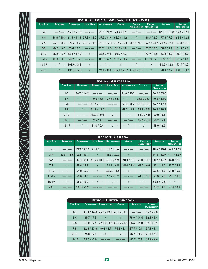|           | REGION: PACIFIC (AK, CA, HI, OR, WA) |                   |                  |                                   |                                                                                           |                                       |                                                |                                                                         |                                    |
|-----------|--------------------------------------|-------------------|------------------|-----------------------------------|-------------------------------------------------------------------------------------------|---------------------------------------|------------------------------------------------|-------------------------------------------------------------------------|------------------------------------|
| YRS EXP   | <b>DATABASE</b>                      | <b>GENERALIST</b> | <b>HELP DESK</b> | <b>NETWORKING</b>                 | <b>OTHER</b>                                                                              | <b>PEOPLE</b>                         | <b>PROJECT</b><br><b>MANAGEMENT MANAGEMENT</b> | <b>SECURITY</b>                                                         | <b>SERVER</b><br><b>MANAGEMENT</b> |
| $1-2$     |                                      |                   |                  |                                   |                                                                                           |                                       |                                                | $-/-$ 65.1/21.8 $-/-$ 56.7/21.9 73.9/8.9 $-/  -/-$ 86.1/101.8 55.4/17.1 |                                    |
| $3 - 4$   | 58.8 / 10.3                          |                   |                  |                                   | 6.5 / 1.3 57.3 / 16.0   59.5 / 8.9   68.0 / 11.6   $-/-$   60.5 / 2.2   77.3 / 7.2        |                                       |                                                |                                                                         | 64.1 / 12.5                        |
| $5-6$     | 67.1/8.5                             | 65.5/3.9          |                  | 70.0 / 13.8 64.4 / 12.3           | 73.6 / 15.1                                                                               | 88.3 / 9.1                            |                                                | 86.7 / 23.2 / 79.4 / 12.3                                               | 73.8 / 6.8                         |
| $7 - 8$   |                                      |                   |                  |                                   | $84.9 / 6.0$   $85.4 / 8.0$   $-/-$   $75.7 / 11.3$   $82.5 / 6.8$                        | $-/-$ 77.7/6.0 88.6/1.7               |                                                |                                                                         | 81.9 / 4.2                         |
| $9 - 10$  | 80.5 / 3.7                           |                   |                  |                                   | $85.4 /  7.0 $ - $ -$   82.5 $/$ 9.4   90.0 $/$ 4.2   - $-$   93.9 $/$ 1.5   83.8 $/$ 5.0 |                                       |                                                |                                                                         | 88.7 / 3.2                         |
| $11 - 15$ | 80.0 / 4.6                           | 94.2 / 6.7        |                  | $-1 - 83.9/6.2$                   | 98.5 / 14.7                                                                               |                                       | $-/-$   110.8 / 5.1   97.8 / 6.0               |                                                                         | 92.5 / 1.4                         |
| $16 - 19$ | $-1$                                 |                   |                  |                                   | $ 105.9 / 3.5 $ -/- $       $ -/- $ $ -/- $ $ -/-                                         |                                       |                                                | 86.2 / 12.4                                                             | 93.5 / 4.2                         |
| $20+$     |                                      |                   |                  | $-/   104.7 / 5.0   -/-$ 94.1/0.4 |                                                                                           | $ 06.3/21.7 112.0/2.1  -1 - 78.4/4.2$ |                                                |                                                                         | 101.4 / 3.7                        |

|           | <b>REGION: AUSTRALIA</b> |                            |      |                                                    |                         |                                    |  |  |  |
|-----------|--------------------------|----------------------------|------|----------------------------------------------------|-------------------------|------------------------------------|--|--|--|
| YRS EXP   | <b>DATABASE</b>          | <b>GENERALIST</b>          |      | <b>HELP DESK NETWORKING</b>                        | <b>SECURITY</b>         | <b>SERVER</b><br><b>MANAGEMENT</b> |  |  |  |
| $1-2$     |                          |                            |      | $36.7 / 16.2$ $-/    31.6 / 20.2$ $-/ 36.2 / 39.0$ |                         |                                    |  |  |  |
| $3 - 4$   |                          | $-/-$   40.0 / 8.3         |      | $27.8 / 5.6$ $-/ 155.6 / 33.1   40.3 / 12.0$       |                         |                                    |  |  |  |
| $5-6$     |                          | $-/-$  41.4 / 11.6   $-/-$ |      | 50.4 / 8.9                                         | 48.0 / 19.3 46.2 / 12.3 |                                    |  |  |  |
| $7 - 8$   |                          | $-/-$ 51.8 / 15.0          | $-1$ |                                                    | $48.3 / 5.2$ 55.8 / 5.5 | 50.3 / 10.2                        |  |  |  |
| $9 - 10$  | $-1$                     | 48.3/0.0                   | $-1$ | $-1$                                               | 64.6 / 4.8              | 60.0 / 8.1                         |  |  |  |
| $11 - 15$ | $-1$                     | 159.6/4.9                  | $-1$ | $-1$                                               | 65.6/2.3                | 56.2 / 5.4                         |  |  |  |
| $16 - 19$ |                          | $-/-$ 51.6/0.4             |      | $-/-$   $-/-$   $-/-$                              |                         | 55.0 / 2.2                         |  |  |  |

|           | <b>REGION: CANADA</b> |                           |           |                                                                                         |              |                                       |                            |                                    |  |
|-----------|-----------------------|---------------------------|-----------|-----------------------------------------------------------------------------------------|--------------|---------------------------------------|----------------------------|------------------------------------|--|
| YRS EXP   | <b>DATABASE</b>       | <b>GENERALIST</b>         |           | <b>HELP DESK NETWORKING</b>                                                             | <b>OTHER</b> | <b>PEOPLE</b><br><b>MANAGEMENT</b>    | <b>SECURITY</b>            | <b>SERVER</b><br><b>MANAGEMENT</b> |  |
| $1-2$     |                       |                           |           | $-/-$ 39.2 / 27.2   27.3 / 8.3   39.6 / 3.6   $-/-$   $-/-$   48.6 / 10.4   36.8 / 17.9 |              |                                       |                            |                                    |  |
| $3 - 4$   |                       |                           |           | $42.5 / 15.6   42.2 / 15.1   -1 - 145.3 / 20.3  $                                       | $-/-$        | $-1$                                  | $144.4/12.9$   41.1 / 12.7 |                                    |  |
| $5-6$     |                       | $-/-$   47.3 / 8.1        | 41.9/10.1 | 46.5 / 5.9                                                                              | 40.3 / 3.8   | 52.0 / 14.3                           | $60.2 / 14.7$ 46.8 / 3.8   |                                    |  |
| $7 - 8$   | $-/-$                 | $ 49.4/3.3 $ -/- 51.1/6.8 |           |                                                                                         | 48.0 / 8.4   | $\vert$ 43.2 / 4.6 $\vert$ 57.1 / 8.0 |                            | 49.7 / 8.1                         |  |
| $9 - 10$  |                       | $-/-$ 54.8/5.0 $-/-$      |           | 53.2 / 11.5                                                                             |              | $-/-$   $-/-$   58.5 / 4.6            |                            | 54.8 / 5.5                         |  |
| $11 - 15$ | $-1$                  |                           |           | $-/-$ 53.7/3.2                                                                          |              | $-/-$ 61.1 / 2.1   59.0 / 5.8         |                            | 59.1 / 1.8                         |  |
| $16 - 19$ | $-1$                  | 58.5/6.0                  |           | $-/-$   $-/-$   $-/-$   $-/-$   55.5 / -2.5                                             |              |                                       |                            | $-1$                               |  |
| $20+$     |                       |                           |           |                                                                                         |              |                                       |                            |                                    |  |

| <b>REGION: UNITED KINGDOM</b> |                   |                                          |                                                |                 |                                    |  |  |
|-------------------------------|-------------------|------------------------------------------|------------------------------------------------|-----------------|------------------------------------|--|--|
| YRS EXP                       | <b>GENERALIST</b> | <b>NETWORKING</b>                        | <b>OTHER</b>                                   | <b>SECURITY</b> | <b>SERVER</b><br><b>MANAGEMENT</b> |  |  |
| $1-2$                         |                   |                                          | $41.3 / 16.0   45.0 / 12.3   45.8 / 13.8   -1$ |                 | 36.6 / 7.0                         |  |  |
| $3 - 4$                       |                   | $49.7 / 7.8$ $-/  -/-$                   |                                                | 78.9/14.4       | 52.5/9.4                           |  |  |
| $5-6$                         |                   | $61.0 / 5.4$   72.3 / 34.6   63.9 / 21.3 |                                                | 66.6 / 15.0     | 59.8 / 8.5                         |  |  |
| $7 - 8$                       |                   | 62.6 / 13.6   40.4 / 3.7   74.6 / 8.1    |                                                | $87.7 / -0.1$   | 57.3 / 9.1                         |  |  |
| $9 - 10$                      | 76.8 / 5.4        | $\vert -\vert -\vert$                    | $-1$                                           | 82.4 / 4.6      | 71.4/5.7                           |  |  |
| $11 - 15$                     | $75.3 / -2.0$     | $-1$                                     | $\vert -\vert$                                 | 80.7 / 7.8      | 68.4 / 4.6                         |  |  |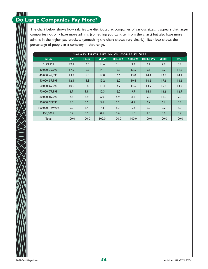### \\M\\ **Do Large Companies Pay More?**

The chart below shows how salaries are distributed at companies of various sizes. It appears that larger companies not only have more admins (something you can't tell from the chart) but also have more admins in the higher pay brackets (something the chart shows very clearly). Each box shows the percentage of people at a company in that range.

| <b>SALARY DISTRIBUTION VS. COMPANY SIZE</b> |         |           |       |         |         |           |         |              |
|---------------------------------------------|---------|-----------|-------|---------|---------|-----------|---------|--------------|
| <b>SALARY</b>                               | $0 - 9$ | $10 - 49$ | 50-99 | 100-499 | 500-999 | 1000-4999 | $5000+$ | <b>TOTAL</b> |
| 029.999                                     | 22.1    | 16.0      | 11.6  | 9.1     | 9.3     | 6.1       | 4.8     | 8.2          |
| 30,00039,999                                | 17.9    | 16.7      | 14.1  | 12.3    | 13.5    | 9.6       | 8.7     | 11.2         |
| 40,00049,999                                | 13.3    | 15.5      | 17.0  | 16.6    | 13.0    | 14.4      | 12.3    | 14.1         |
| 50,00059,999                                | 12.1    | 15.3      | 13.2  | 16.2    | 19.4    | 16.2      | 17.6    | 16.6         |
| 60.00069.999                                | 10.0    | 8.8       | 13.4  | 14.7    | 14.6    | 14.9      | 15.3    | 14.2         |
| 70,00079,999                                | 6.7     | 9.9       | 12.3  | 12.0    | 9.9     | 4.1       | 14.6    | 12.9         |
| 80,00089,999                                | 7.5     | 5.9       | 6.9   | 6.9     | 8.2     | 9.3       | 11.8    | 9.3          |
| 90.0009.9999                                | 5.0     | 5.5       | 3.6   | 5.2     | 4.7     | 6.4       | 6.1     | 5.6          |
| 100,000149,999                              | 5.0     | 5.4       | 7.3   | 6.3     | 6.4     | 8.0       | 8.2     | 7.3          |
| $150.000+$                                  | 0.4     | 0.9       | 0.6   | 0.6     | 1.0     | 1.0       | 0.6     | 0.7          |
| Total                                       | 100.0   | 100.0     | 100.0 | 100.0   | 100.0   | 100.0     | 100.0   | 100.0        |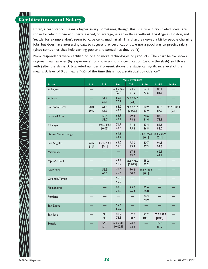#### \\I\I I **Certifications and Salary**

Often, a certification means a higher salary. Sometimes, though, this isn't true. Gray shaded boxes are those for which those with certs earned, on average, less than those without. Los Angeles, Boston, and Seattle, for example, don't seem to value certs much at all! This chart is skewed a bit by people changing jobs, but does have interesting data to suggest that certifications are not a good way to predict salary (since sometimes they help earning power and sometimes they don't).

Many respondents were certified on one or more technologies or products. The chart below shows regional mean salaries (by experience) for those without a certification (before the slash) and those with (after the slash). A bracketed number, if present, shows the statistical significance level of the means. A level of 0.05 means "95% of the time this is not a statistical coincidence."

|                    | YEARS EXPERIENCE |                       |                        |                        |                       |                          |                       |
|--------------------|------------------|-----------------------|------------------------|------------------------|-----------------------|--------------------------|-----------------------|
| <b>REGION</b>      | $1-2$            | $3 - 4$               | $5 - 6$                | $7 - 8$                | $9 - 10$              | $11 - 15$                | $16 - 19$             |
| Arlington          |                  |                       | 57.6 / 66.2<br>[0.1]   | 74.5<br>81.5           | 67.3<br>73.5          | 86.1<br>81.6             |                       |
| Atlanta            |                  | 51.0<br>57.1          | 65.3<br>70.7           | 72.4 / 82.6<br>$[0.1]$ |                       |                          |                       |
| Balt/WashDC+       | 58.0<br>59.6     | 61.9<br>63.3          | 68.2<br>69.8           | 71.4 / 78.6<br>[0.025] | 80.9<br>83.9          | 86.5<br>87.7             | 93.7 / 106.3<br>[0.1] |
| Boston+Area        |                  | 58.4<br>58.7          | 63.9<br>68.2           | 79.4<br>78.2           | 78.6<br>81.4          | 84.3<br>78.8             |                       |
| Chicago            |                  | 50.6 / 60.3<br>[0.05] | 71.7<br>69.0           | 71.4<br>75.4           | 83.4<br>86.8          | 89.5<br>88.0             |                       |
| Denver/Front Range |                  |                       | 61.6<br>62.2           |                        | 73.9 / 90.4<br>[0.1]  | 76.5 / 86.9<br>[0.1]     |                       |
| Los Angeles        | 52.6<br>61.5     | 56.4 / 48.4<br>[0.1]  | 64.0<br>59.3           | 75.0<br>69.5           | 80.7<br>77.3          | 94.5<br>92.5             |                       |
| Milwaukee          |                  |                       |                        | 67.8<br>63.0           | $\equiv$              | 62.9<br>61.1             |                       |
| Mpls./St. Paul     |                  |                       | 63.6<br>58.7           | 63.3 / 75.2<br>[0.025] | 68.2<br>79.2          |                          |                       |
| New York           |                  | 55.5<br>63.2          | 77.6<br>75.4           | 90.4<br>80.7           | 98.8 / 115.6<br>[0.1] |                          |                       |
| Orlando/Tampa      |                  |                       | 55.0<br>59.2           |                        |                       |                          |                       |
| Philadelphia       |                  |                       | 63.8<br>71.0           | 75.7<br>76.4           | 85.6<br>86.8          |                          |                       |
| Portland           |                  |                       |                        |                        | 76.3<br>78.9          |                          |                       |
| San Diego          |                  |                       | 59.4<br>60.9           |                        |                       |                          |                       |
| San Jose           |                  | 71.3<br>71.3          | 80.2<br>78.8           | 92.7<br>88.7           | 99.2<br>105.3         | 103.8 / 92.7<br>$[0.05]$ |                       |
| <b>Seattle</b>     |                  | 56.3<br>53.3          | 67.8 / 58.1<br>[0.025] | 74.0<br>73.3           |                       | 77.5<br>88.7             |                       |

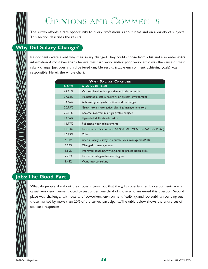# OPINIONS AND COMMENTS

The survey affords a rare opportunity to query professionals about ideas and on a variety of subjects. This section describes the results.

## **Why Did Salary Change?**

Respondents were asked why their salary changed.They could choose from a list and also enter extra information.Almost two thirds believe that hard work and/or good work ethic was the cause of their salary change. Just over a third believed tangible results (stable environment, achieving goals) was responsible. Here's the whole chart:

| <b>WHY SALARY CHANGED</b> |                                                                   |  |  |  |  |  |  |
|---------------------------|-------------------------------------------------------------------|--|--|--|--|--|--|
| % CITED                   | <b>SALARY CHANGE REASON</b>                                       |  |  |  |  |  |  |
| 64.91%                    | Worked hard with a positive attitude and ethic                    |  |  |  |  |  |  |
| 37.92%                    | Maintained a stable network or system environment                 |  |  |  |  |  |  |
| 34.46%                    | Achieved your goals on time and on budget                         |  |  |  |  |  |  |
| 20.75%                    | Grew into a more active planning/management role                  |  |  |  |  |  |  |
| 20.51%                    | Became involved in a high-profile project                         |  |  |  |  |  |  |
| 13.36%                    | Upgraded skills via education                                     |  |  |  |  |  |  |
| 11.77%                    | Publicized your achievements                                      |  |  |  |  |  |  |
| 10.83%                    | Earned a certification (i.e., SANS/GIAC, MCSE, CCNA, CISSP, etc.) |  |  |  |  |  |  |
| 10.69%                    | Other                                                             |  |  |  |  |  |  |
| 4.31%                     | Used a salary survey to educate your management/HR                |  |  |  |  |  |  |
| 3.98%                     | Changed to management                                             |  |  |  |  |  |  |
| 3.80%                     | Improved speaking, writing, and/or presentation skills            |  |  |  |  |  |  |
| 2.76%                     | Earned a college/advanced degree                                  |  |  |  |  |  |  |
| 1.48%                     | Went into consulting                                              |  |  |  |  |  |  |

## **Jobs:The Good Part**

What do people like about their jobs? It turns out that the #1 property cited by respondents was a casual work environment, cited by just under one third of those who answered this question. Second place was 'challenge,' with quality of coworkers, environment flexibility, and job stability rounding out those marked by more than 20% of the survey participants.The table below shows the entire set of standard responses: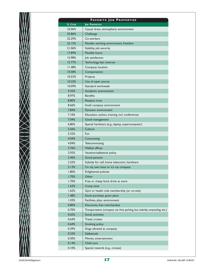| $\frac{9}{6}$ C         |
|-------------------------|
| 33.0                    |
| 25.8                    |
| 22.2                    |
| 22.1                    |
| 21.0                    |
| 17.8                    |
|                         |
| 15.9<br>15.7            |
| 11.4                    |
|                         |
| 10.5<br>10.5            |
|                         |
| 10.2                    |
| 10.0                    |
| 9.3                     |
| 8.9                     |
| 8.8                     |
| 8.6                     |
| 7.8                     |
| 7.1                     |
| 7.0                     |
| 6.8                     |
| 5.5                     |
| 5.3                     |
| 4.0                     |
| 4.0<br>3.7              |
|                         |
| 2.9<br>2.4              |
| $2.2^{1}$               |
|                         |
| 2.1                     |
| $\overline{8}$ .<br>1.7 |
|                         |
| 1.7                     |
| 1.6<br>$\overline{1.6}$ |
|                         |
| $\overline{1.4}$        |
| 0.1<br>0.8              |
| 0.7                     |
|                         |
| 0.6<br>0.6              |
|                         |
| 0.6<br>$0.3^{\circ}$    |
| 0.3                     |
|                         |
| 0.3                     |
| 0.1<br>0.1              |
|                         |
|                         |

#### **FAVORITE J O B PROPERTIES % CITED JOB PROPERTIES** 16% | Casual dress, atmosphere, environment 25.86% Challenge 22.29% Co-workers 5% | Flexible working environment, freedom  $26\%$  Stability, job security 17.89% Flexible hours  $98\%$  Job satisfaction  $17\%$  Technology, fast internet 18% | Company location  $18\%$  | Compensation  $53\%$  Projects  $12\%$  Use of open source 19% | Standard workweek 9.35% Academic environment 7% Benefits  $0\%$  Respect, trust 6% | Small company environment 4% | Dynamic environment  $0\%$   $\qquad$  Education, tuition, training, incl. conferences 4% | Good management 6% Special hardware (e.g., laptop, supercomputer) 6% | Culture 5.32% Fun 4% | Commuting 4% | Telecommuting 6% | Walled offices 2% | Vacation/sabbatical policy 6% | Good pension 2% Subsidy for cell, home telecomm, hardware  $3\%$  | I'm my own boss or it's my company 0% | Enlightened policies 0% | Other  $0\%$  Free or cheap food, drink at work 3% | Comp time  $2\%$   $\Box$  Gym or health club membership (or on-site) 8% | Stock purchase, grant plans 3% | Facilities, phys. environment 0% | Discounts, free merchandise  $0\%$  Transportation (company car, free parking, bus subsidy, carpooling, etc.)  $5\%$  Social activities 0.64% Travel, cruises 4% | Smoking policy 9% | Dogs allowed at company 0.33% Sabbaticals 0% | Movies, entertainment 4% | Child care 0% | Special rewards (e.g., cruises)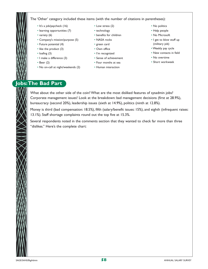

#### The 'Other' category included these items (with the number of citations in parentheses):

- It's a job/paycheck (16)
- learning opportunities (7)
- variety (6)
- Company's mission/purpose (5)
- Future potential (4)
- like the product (3)
- loafing (3)
- I make a difference (3)
- Beer (2)
- No on-call at night/weekends (2)
- Low stress (2)
- technology
- benefits for children
- NASA rocks
- green card
- Own office
- I'm recognized
- Sense of achievement
- Four months at sea
- Human interaction
- No politics
- Help people
- No Microsoft
- I get to blow stuff up (military job)
- Weekly pay cycle
- New contacts in field
- No overtime
- Short workweek

## **Jobs:The Bad Part**

What about the other side of the coin? What are the most disliked features of sysadmin jobs? Corporate management issues! Look at the breakdown: bad management decisions (first at 28.9%), bureaucracy (second 20%), leadership issues (sixth at 14.9%), politics (ninth at 12.8%).

Money is third (bad compensation: 18.5%), fifth (salary/benefit issues: 15%), and eighth (infrequent raises: 13.1%). Staff shortage complaints round out the top five at 15.3%.

Several respondents noted in the comments section that they wanted to check far more than three "dislikes." Here's the complete chart: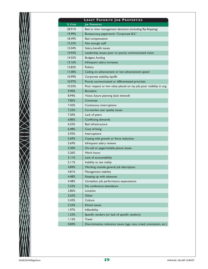|          | <b>LEAST FAVORITE JOB PROPERTIES</b>                                   |
|----------|------------------------------------------------------------------------|
| % CITED  | <b>JOB PROPERTIES</b>                                                  |
| 28.91%   | Bad or slow management decisions (including flip-flopping)             |
| 19.99%   | Bureaucracy, paperwork, "Corporate B.S."                               |
| 18.49%   | Bad compensation                                                       |
| 15.33%   | Not enough staff                                                       |
| 15.04%   | Salary, benefit issues                                                 |
| 14.93%   | Leadership issues, poor or poorly communicated vision                  |
| 14.55%   | Budgets, funding                                                       |
| 13.16%   | Infrequent salary increases                                            |
| 12.82%   | <b>Politics</b>                                                        |
| 11.00%   | Ceiling on advancement or low advancement speed                        |
| 10.99%   | Corporate stability, layoffs                                           |
| 10.97%   | Poorly communicated or differentiated priorities                       |
| 10.55%   | Poor respect or low value placed on my job; poor visibility in org.    |
| 9.90%    | <b>Boredom</b>                                                         |
| 8.94%    | Vision, future planning (lack thereof)                                 |
| 7.85%    | Commute                                                                |
| 7.42%    | Continuous interruptions                                               |
| 7.22%    | Co-worker, user quality issues                                         |
| 7.20%    | Lack of peers                                                          |
| 6.86%    | Conflicting demands                                                    |
| $6.55\%$ | <b>Bad infrastructure</b>                                              |
| 6.48%    | Cost of living                                                         |
| 5.93%    | Interruptions                                                          |
| 5.69%    | Coping with growth or force reduction                                  |
| 5.69%    | Infrequent salary reviews                                              |
| 5.30%    | On-call or pager/mobile phone issues                                   |
| 5.26%    | <b>Work hours</b>                                                      |
| 5.11%    | Lack of accountability                                                 |
| 5.11%    | Inability to see reality                                               |
| 4.84%    | Working outside general job description                                |
| 4.81%    | Management stability                                                   |
| 4.48%    | Keeping up with advances                                               |
| 4.48%    | Unrealistic job performance expectations                               |
| 3.32%    | No conference attendance                                               |
| 2.86%    | Location                                                               |
| 2.63%    | Other                                                                  |
| 2.43%    | Culture                                                                |
| 2.22%    | <b>Ethical issues</b>                                                  |
| $1.97\%$ | Inflexibility                                                          |
| 1.23%    | Specific vendors (or lack of specific vendors)                         |
| 1.12%    | <b>Travel</b>                                                          |
| 0.84%    | Discrimination, tolerance issues (age, race, creed, orientation, etc.) |

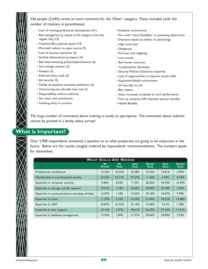

236 people (2.64%) wrote an extra comment for the 'Other' category. These included (with the number of citations in parentheses):

- Lack of training/professional development (41)
- Bad management [a repeat of the category from the regular list] (15)
- Cubicles/office physical layout (14)
- Microsoft culture; no open source (9)
- Lack of security awareness (4)
- No/bad advancement prospects (4)
- Bad telecommuting policy/implementation (4)
- Not enough vacation (3)
- Respect (3)
- Enforced dress code (2)
- Job security (2)
- Dislike of sysadmin work/job satisfaction (2)
- Outsourcing (my job; jobs near me) (2)
- Responsibility without authority
- No raises with promotions
- Smoking policy in practice
- Academic environment
- Too much "moral flexibility" in marketing department
- Decisions based on politics vs. technology
- High work load
- Dangerous
- Turf wars and infighting
- Low morale
- Bad human resources
- Compensation decreases
- Security Policies (Clearance required)
- Lack of opportunities to improve certain skills
- Ergonomic/Health environment
- 24 hour/day on call
- Bad respect
- Salary increases unrelated to work performance
- That my company HAS domestic partner benefits
- Health Benefits

The huge number of comments about training is surely an eye-opener. The comments about cubicles cannot be printed in a family salary survey!

#### **What is Important?**

Over 5,900 respondents answered a question as to what properties are going to be important in the future. Below are the results, roughly ordered by respondents' recommendations. The numbers speak for themselves.

| <b>WHAT SKILLS ARE NEEDED</b>                   |                             |                           |                             |                               |                             |                                |
|-------------------------------------------------|-----------------------------|---------------------------|-----------------------------|-------------------------------|-----------------------------|--------------------------------|
|                                                 | <b>No</b><br><b>OPINION</b> | <b>No</b><br><b>VALUE</b> | <b>SOME</b><br><b>VALUE</b> | <b>MEDIUM</b><br><b>VALUE</b> | <b>HIGH</b><br><b>VALUE</b> | <b>SUPREME</b><br><b>VALUE</b> |
| Professional certification                      | 13.36%                      | 10.22%                    | 35.28%                      | 23.34%                        | 14.81%                      | 2.99%                          |
| Membership in a professional society            | 23.53%                      | 23.53%                    | 37.27%                      | 11.44%                        | 3.49%                       | 0.74%                          |
| Expertise in computer security                  | 9.46%                       | 0.54%                     | 7.12%                       | 20.02%                        | 45.95%                      | 16.92%                         |
| Expertise in storage and file systems           | 12.01%                      | 1.18%                     | 12.65%                      | 30.96%                        | 35.78%                      | 7.42%                          |
| Expertise in communications, including wireless | 14.07%                      | 1.18%                     | 13.52%                      | 29.18%                        | 34.07%                      | 7.99%                          |
| <b>Expertise in Linux</b>                       | 11.29%                      | 2.16%                     | 16.54%                      | 27.40%                        | 30.53%                      | 12.08%                         |
| Expertise in .NET                               | 24.87%                      | 23.73%                    | 27.10%                      | 15.40%                        | 7.61%                       | 1.28%                          |
| Expertise in user support                       | 14.16%                      | 2.97%                     | 18.41%                      | 26.29%                        | 27.16%                      | 11.01%                         |
| Expertise in database management                | 13.93%                      | 1.85%                     | 17.37%                      | 29.66%                        | 29.84%                      | 7.35%                          |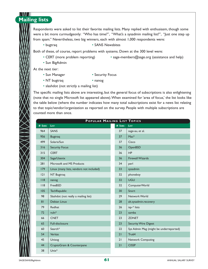# **Mailing lists**

Respondents were asked to list their favorite mailing lists. Many replied with enthusiasm, though some were a bit more curmudgeonly: "Who has time?", "What's a sysadmin mailing list?", "Just one step up from spam." Nevertheless, two big winners, each with almost 1,000 respondents were:

• bugtraq • SANS Newsbites

Both of these, of course, report problems with systems. Down at the 300 level were:

- 
- CERT (more problem reporting) sage-members@sage.org (assistance and help)
- Sun BigAdmin

At the next tier:

- Sun Manager Security Focus
- NT bugtraq nanog
- slashdot (not strictly a mailing list)

The specific mailing lists above are interesting, but the general focus of subscriptions is also enlightening (note that no single Microsoft list appeared above).When examined for 'area of focus,' the list looks like the table below (where the number indicates how many total subscriptions exist for a news list relating to that topic/vendor/organization as reported on the survey. People with multiple subscriptions are counted more than once.

| POPULAR MAILING LIST TOPICS |                                          |        |                                        |  |
|-----------------------------|------------------------------------------|--------|----------------------------------------|--|
| # SUBS                      | <b>LIST</b>                              | # Subs | <b>LIST</b>                            |  |
| 964                         | <b>SANS</b>                              | 37     | sage-au, et al.                        |  |
| 956                         | <b>Bugtraq</b>                           | 37     | $Mac*$                                 |  |
| 499                         | Solaris/Sun                              | 37     | Cisco                                  |  |
| 316                         | <b>Security Focus</b>                    | 36     | OpenBSD                                |  |
| 315                         | <b>CERT</b>                              | 36     | HP                                     |  |
| 304                         | Sage/Usenix                              | 36     | <b>Firewall Wizards</b>                |  |
| 281                         | Microsoft and MS Products                | 34     | perl                                   |  |
| 179                         | Linux (many lists, vendors not included) | 33     | sysadmin                               |  |
| 2                           | NT Bugtraq                               | 32     | phoneboy                               |  |
| 118                         | nanog                                    | 32     | <b>UGU</b>                             |  |
| 118                         | FreeBSD                                  | 32     | ComputerWorld                          |  |
| 105                         | <b>TechRepublic</b>                      | 30     | Snort                                  |  |
| 98                          | Slashdot (not really a mailing list)     | 29     | Network World                          |  |
| 81                          | Debian Linux                             | 28     | alt.sysadmin.recovery                  |  |
| 79                          | Redhat                                   | 26     | isp-* lists                            |  |
| 72                          | vuln <sup>*</sup>                        | 23     | samba                                  |  |
| 66                          | <b>CNET</b>                              | 23     | <b>ZDNET</b>                           |  |
| 65                          | Full-disclosure                          | 23     | <b>Security Wire Digest</b>            |  |
| 60                          | Search*                                  | 22     | Sys Admin Mag (might be underreported) |  |
| 54                          | Veritas                                  | 21     | Tru <sub>64</sub>                      |  |
| 45                          | Unisog                                   | 21     | <b>Network Computing</b>               |  |
| 44                          | CryptoGram & Counterpane                 | 21     | <b>CISSP</b>                           |  |
| 38                          | $Unix*$                                  |        |                                        |  |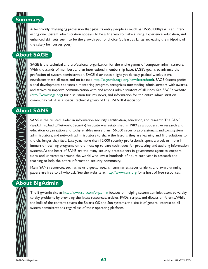

A technically challenging profession that pays its entry people as much as US\$50,000/year is an interesting one. System administration appears to be a fine way to make a living. Experience, education, and enhanced skill sets seem to be the growth path of choice (at least as far as increasing the midpoint of the salary bell curves goes).

# **About SAGE**

SAGE is the technical and professional organization for the entire gamut of computer administrators. With thousands of members and an international membership base, SAGE's goal is to advance the profession of system administration. SAGE distributes a light yet densely packed weekly e-mail newsletter that's all meat and no fat (see http://sageweb.sage.org/newsletter.html). SAGE fosters professional development, sponsors a mentoring program, recognizes outstanding administrators with awards, and strives to improve communication with and among administrators of all kinds. See SAGE's website (http://www.sage.org) for discussion forums, news, and information for the entire administration community. SAGE is a special technical group of The USENIX Association.

## **About SANS**

SANS is the trusted leader in information security certification, education, and research.The SANS (SysAdmin,Audit, Network, Security) Institute was established in 1989 as a cooperative research and education organization and today enables more than 156,000 security professionals, auditors, system administrators, and network administrators to share the lessons they are learning and find solutions to the challenges they face. Last year, more than 12,000 security professionals spent a week or more in immersion training programs on the most up to date techniques for protecting and auditing information systems.At the heart of SANS are the many security practitioners in government agencies, corporations, and universities around the world who invest hundreds of hours each year in research and teaching to help the entire information security community.

Many SANS resources, such as news digests, research summaries, security alerts and award-winning papers are free to all who ask. See the website at http://www.sans.org for a host of free resources.

## **About BigAdmin**

The BigAdmin site at http://www.sun.com/bigadmin focuses on helping system administrators solve dayto-day problems by providing the latest resources, articles, FAQs, scripts, and discussion forums.While the bulk of the content covers the Solaris OS and Sun systems, the site is of general interest to all system administrations regardless of their operating platform.